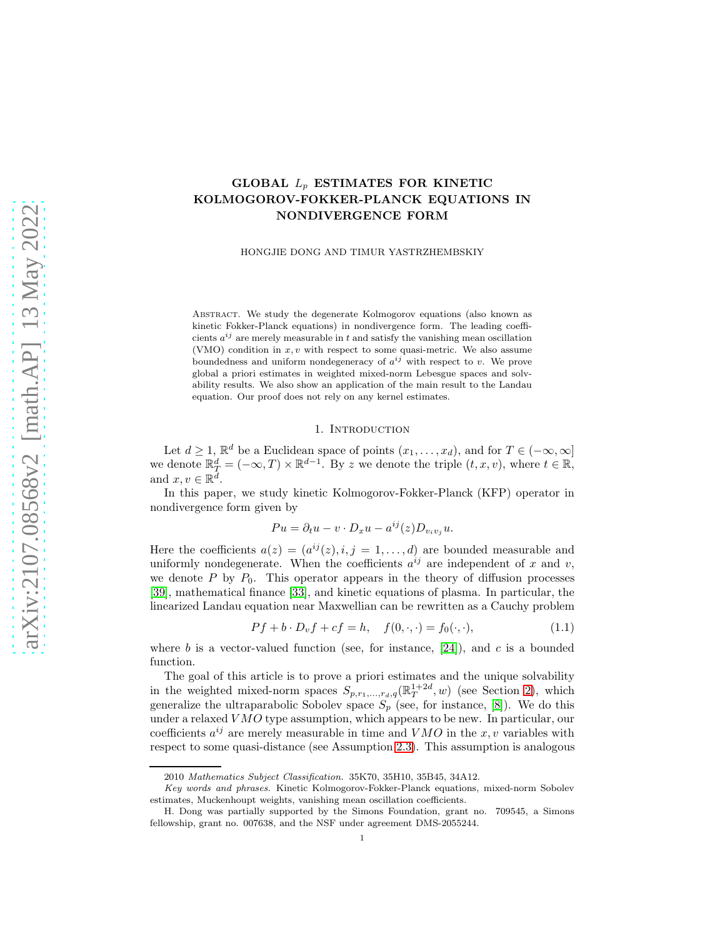# GLOBAL  $L_p$  ESTIMATES FOR KINETIC KOLMOGOROV-FOKKER-PLANCK EQUATIONS IN NONDIVERGENCE FORM

HONGJIE DONG AND TIMUR YASTRZHEMBSKIY

Abstract. We study the degenerate Kolmogorov equations (also known as kinetic Fokker-Planck equations) in nondivergence form. The leading coefficients  $a^{ij}$  are merely measurable in t and satisfy the vanishing mean oscillation (VMO) condition in  $x, v$  with respect to some quasi-metric. We also assume boundedness and uniform nondegeneracy of  $a^{ij}$  with respect to v. We prove global a priori estimates in weighted mixed-norm Lebesgue spaces and solvability results. We also show an application of the main result to the Landau equation. Our proof does not rely on any kernel estimates.

### 1. Introduction

<span id="page-0-1"></span>Let  $d \geq 1$ ,  $\mathbb{R}^d$  be a Euclidean space of points  $(x_1, \ldots, x_d)$ , and for  $T \in (-\infty, \infty]$ we denote  $\mathbb{R}_T^d = (-\infty, T) \times \mathbb{R}^{d-1}$ . By z we denote the triple  $(t, x, v)$ , where  $t \in \mathbb{R}$ , and  $x, v \in \mathbb{R}^{\tilde{d}}$ .

In this paper, we study kinetic Kolmogorov-Fokker-Planck (KFP) operator in nondivergence form given by

$$
Pu = \partial_t u - v \cdot D_x u - a^{ij}(z) D_{v_i v_j} u.
$$

Here the coefficients  $a(z) = (a^{ij}(z), i, j = 1, \dots, d)$  are bounded measurable and uniformly nondegenerate. When the coefficients  $a^{ij}$  are independent of x and v, we denote  $P$  by  $P_0$ . This operator appears in the theory of diffusion processes [\[39\]](#page-55-0), mathematical finance [\[33\]](#page-54-0), and kinetic equations of plasma. In particular, the linearized Landau equation near Maxwellian can be rewritten as a Cauchy problem

<span id="page-0-0"></span>
$$
Pf + b \cdot D_v f + cf = h, \quad f(0, \cdot, \cdot) = f_0(\cdot, \cdot), \tag{1.1}
$$

where  $b$  is a vector-valued function (see, for instance,  $[24]$ ), and  $c$  is a bounded function.

The goal of this article is to prove a priori estimates and the unique solvability in the weighted mixed-norm spaces  $S_{p,r_1,\dots,r_d,q}(\mathbb{R}^{1+2d}_T, w)$  (see Section [2\)](#page-3-0), which generalize the ultraparabolic Sobolev space  $S_p$  (see, for instance, [\[8\]](#page-53-0)). We do this under a relaxed VMO type assumption, which appears to be new. In particular, our coefficients  $a^{ij}$  are merely measurable in time and  $VMO$  in the x, v variables with respect to some quasi-distance (see Assumption [2.3\)](#page-5-0). This assumption is analogous

<sup>2010</sup> Mathematics Subject Classification. 35K70, 35H10, 35B45, 34A12.

Key words and phrases. Kinetic Kolmogorov-Fokker-Planck equations, mixed-norm Sobolev estimates, Muckenhoupt weights, vanishing mean oscillation coefficients.

H. Dong was partially supported by the Simons Foundation, grant no. 709545, a Simons fellowship, grant no. 007638, and the NSF under agreement DMS-2055244.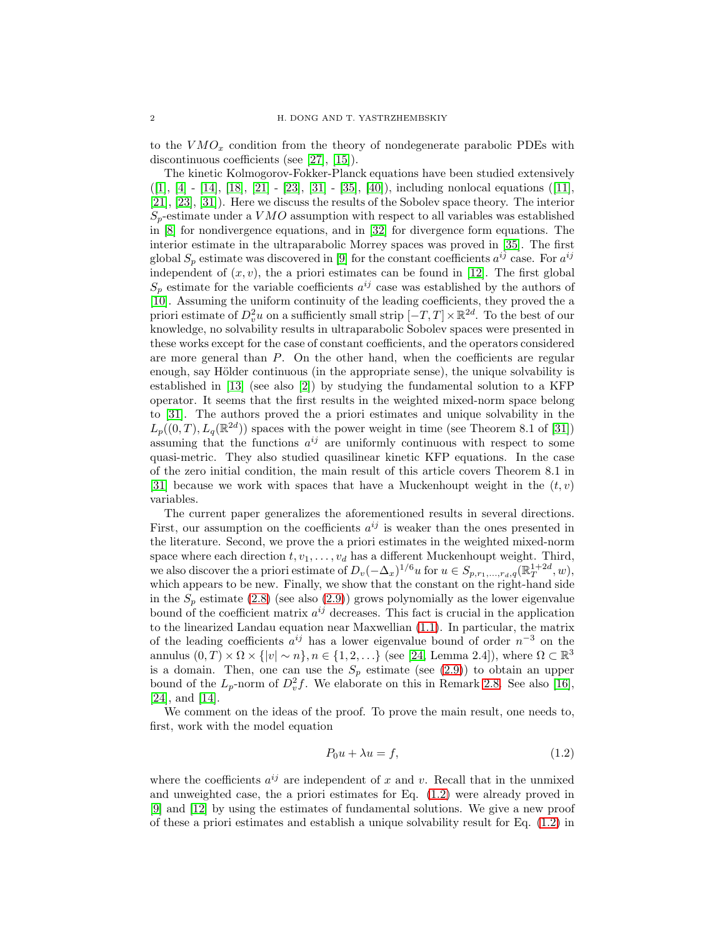to the  $VMO_x$  condition from the theory of nondegenerate parabolic PDEs with discontinuous coefficients (see [\[27\]](#page-54-2), [\[15\]](#page-54-3)).

The kinetic Kolmogorov-Fokker-Planck equations have been studied extensively ([\[1\]](#page-53-1), [\[4\]](#page-53-2) - [\[14\]](#page-54-4), [\[18\]](#page-54-5), [\[21\]](#page-54-6) - [\[23\]](#page-54-7), [\[31\]](#page-54-8) - [\[35\]](#page-54-9), [\[40\]](#page-55-1)), including nonlocal equations ([\[11\]](#page-54-10), [\[21\]](#page-54-6), [\[23\]](#page-54-7), [\[31\]](#page-54-8)). Here we discuss the results of the Sobolev space theory. The interior  $S_p$ -estimate under a VMO assumption with respect to all variables was established in [\[8\]](#page-53-0) for nondivergence equations, and in [\[32\]](#page-54-11) for divergence form equations. The interior estimate in the ultraparabolic Morrey spaces was proved in [\[35\]](#page-54-9). The first global  $S_p$  estimate was discovered in [\[9\]](#page-53-3) for the constant coefficients  $a^{ij}$  case. For  $a^{ij}$ independent of  $(x, v)$ , the a priori estimates can be found in [\[12\]](#page-54-12). The first global  $S_p$  estimate for the variable coefficients  $a^{ij}$  case was established by the authors of [\[10\]](#page-54-13). Assuming the uniform continuity of the leading coefficients, they proved the a priori estimate of  $D_v^2 u$  on a sufficiently small strip  $[-T, T] \times \mathbb{R}^{2d}$ . To the best of our knowledge, no solvability results in ultraparabolic Sobolev spaces were presented in these works except for the case of constant coefficients, and the operators considered are more general than P. On the other hand, when the coefficients are regular enough, say Hölder continuous (in the appropriate sense), the unique solvability is established in [\[13\]](#page-54-14) (see also [\[2\]](#page-53-4)) by studying the fundamental solution to a KFP operator. It seems that the first results in the weighted mixed-norm space belong to [\[31\]](#page-54-8). The authors proved the a priori estimates and unique solvability in the  $L_p((0,T), L_q(\mathbb{R}^{2d}))$  spaces with the power weight in time (see Theorem 8.1 of [\[31\]](#page-54-8)) assuming that the functions  $a^{ij}$  are uniformly continuous with respect to some quasi-metric. They also studied quasilinear kinetic KFP equations. In the case of the zero initial condition, the main result of this article covers Theorem 8.1 in [\[31\]](#page-54-8) because we work with spaces that have a Muckenhoupt weight in the  $(t, v)$ variables.

The current paper generalizes the aforementioned results in several directions. First, our assumption on the coefficients  $a^{ij}$  is weaker than the ones presented in the literature. Second, we prove the a priori estimates in the weighted mixed-norm space where each direction  $t, v_1, \ldots, v_d$  has a different Muckenhoupt weight. Third, we also discover the a priori estimate of  $D_v(-\Delta_x)^{1/6}u$  for  $u \in S_{p,r_1,\dots,r_d,q}(\mathbb{R}^{1+2d}_T, w)$ , which appears to be new. Finally, we show that the constant on the right-hand side in the  $S_p$  estimate [\(2.8\)](#page-6-0) (see also [\(2.9\)](#page-7-0)) grows polynomially as the lower eigenvalue bound of the coefficient matrix  $a^{ij}$  decreases. This fact is crucial in the application to the linearized Landau equation near Maxwellian [\(1.1\)](#page-0-0). In particular, the matrix of the leading coefficients  $a^{ij}$  has a lower eigenvalue bound of order  $n^{-3}$  on the annulus  $(0,T) \times \Omega \times \{|v| \sim n\}, n \in \{1,2,\ldots\}$  (see [\[24,](#page-54-1) Lemma 2.4]), where  $\Omega \subset \mathbb{R}^3$ is a domain. Then, one can use the  $S_p$  estimate (see [\(2.9\)](#page-7-0)) to obtain an upper bound of the  $L_p$ -norm of  $D_v^2 f$ . We elaborate on this in Remark [2.8.](#page-7-1) See also [\[16\]](#page-54-15), [\[24\]](#page-54-1), and [\[14\]](#page-54-4).

We comment on the ideas of the proof. To prove the main result, one needs to, first, work with the model equation

<span id="page-1-0"></span>
$$
P_0 u + \lambda u = f,\tag{1.2}
$$

where the coefficients  $a^{ij}$  are independent of x and v. Recall that in the unmixed and unweighted case, the a priori estimates for Eq. [\(1.2\)](#page-1-0) were already proved in [\[9\]](#page-53-3) and [\[12\]](#page-54-12) by using the estimates of fundamental solutions. We give a new proof of these a priori estimates and establish a unique solvability result for Eq. [\(1.2\)](#page-1-0) in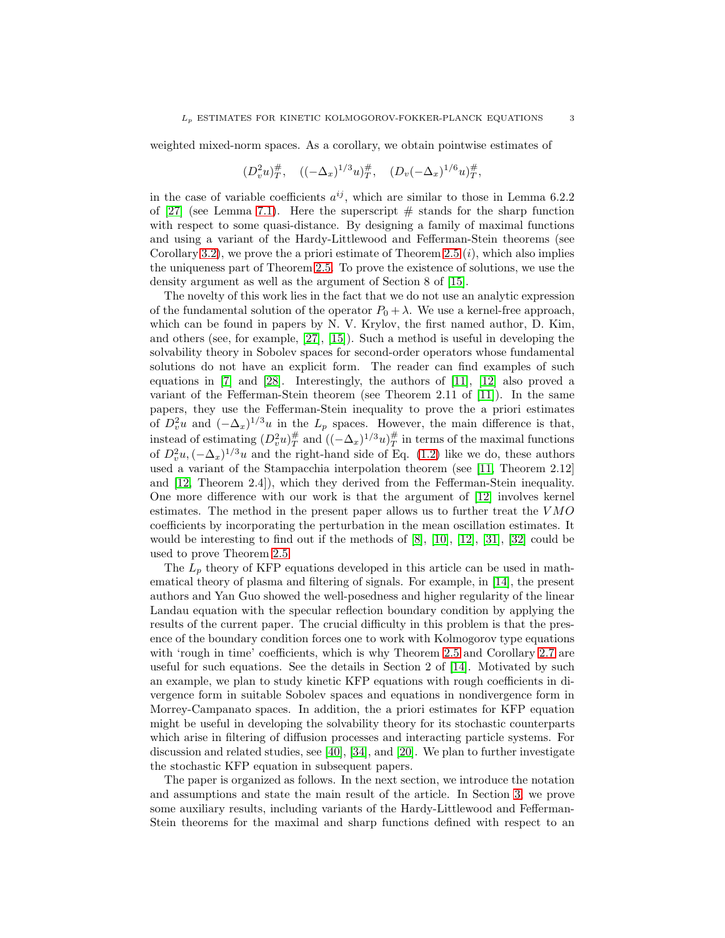weighted mixed-norm spaces. As a corollary, we obtain pointwise estimates of

$$
(D_v^2 u)_T^{\#}, \quad ((-\Delta_x)^{1/3} u)_T^{\#}, \quad (D_v(-\Delta_x)^{1/6} u)_T^{\#},
$$

in the case of variable coefficients  $a^{ij}$ , which are similar to those in Lemma 6.2.2 of [\[27\]](#page-54-2) (see Lemma [7.1\)](#page-45-0). Here the superscript  $#$  stands for the sharp function with respect to some quasi-distance. By designing a family of maximal functions and using a variant of the Hardy-Littlewood and Fefferman-Stein theorems (see Corollary [3.2\)](#page-9-0), we prove the a priori estimate of Theorem [2.5](#page-6-1)  $(i)$ , which also implies the uniqueness part of Theorem [2.5.](#page-6-1) To prove the existence of solutions, we use the density argument as well as the argument of Section 8 of [\[15\]](#page-54-3).

The novelty of this work lies in the fact that we do not use an analytic expression of the fundamental solution of the operator  $P_0 + \lambda$ . We use a kernel-free approach, which can be found in papers by N. V. Krylov, the first named author, D. Kim, and others (see, for example, [\[27\]](#page-54-2), [\[15\]](#page-54-3)). Such a method is useful in developing the solvability theory in Sobolev spaces for second-order operators whose fundamental solutions do not have an explicit form. The reader can find examples of such equations in [\[7\]](#page-53-5) and [\[28\]](#page-54-16). Interestingly, the authors of [\[11\]](#page-54-10), [\[12\]](#page-54-12) also proved a variant of the Fefferman-Stein theorem (see Theorem 2.11 of [\[11\]](#page-54-10)). In the same papers, they use the Fefferman-Stein inequality to prove the a priori estimates of  $D_v^2 u$  and  $(-\Delta_x)^{1/3} u$  in the  $L_p$  spaces. However, the main difference is that, instead of estimating  $(D_v^2 u)_T^{\#}$  and  $((-\Delta_x)^{1/3} u)_T^{\#}$  in terms of the maximal functions of  $D_v^2 u$ ,  $(-\Delta_x)^{1/3} u$  and the right-hand side of Eq. [\(1.2\)](#page-1-0) like we do, these authors used a variant of the Stampacchia interpolation theorem (see [\[11,](#page-54-10) Theorem 2.12] and [\[12,](#page-54-12) Theorem 2.4]), which they derived from the Fefferman-Stein inequality. One more difference with our work is that the argument of [\[12\]](#page-54-12) involves kernel estimates. The method in the present paper allows us to further treat the  $VMO$ coefficients by incorporating the perturbation in the mean oscillation estimates. It would be interesting to find out if the methods of  $[8]$ ,  $[10]$ ,  $[12]$ ,  $[31]$ ,  $[32]$  could be used to prove Theorem [2.5.](#page-6-1)

The  $L_p$  theory of KFP equations developed in this article can be used in mathematical theory of plasma and filtering of signals. For example, in [\[14\]](#page-54-4), the present authors and Yan Guo showed the well-posedness and higher regularity of the linear Landau equation with the specular reflection boundary condition by applying the results of the current paper. The crucial difficulty in this problem is that the presence of the boundary condition forces one to work with Kolmogorov type equations with 'rough in time' coefficients, which is why Theorem [2.5](#page-6-1) and Corollary [2.7](#page-6-2) are useful for such equations. See the details in Section 2 of [\[14\]](#page-54-4). Motivated by such an example, we plan to study kinetic KFP equations with rough coefficients in divergence form in suitable Sobolev spaces and equations in nondivergence form in Morrey-Campanato spaces. In addition, the a priori estimates for KFP equation might be useful in developing the solvability theory for its stochastic counterparts which arise in filtering of diffusion processes and interacting particle systems. For discussion and related studies, see [\[40\]](#page-55-1), [\[34\]](#page-54-17), and [\[20\]](#page-54-18). We plan to further investigate the stochastic KFP equation in subsequent papers.

The paper is organized as follows. In the next section, we introduce the notation and assumptions and state the main result of the article. In Section [3,](#page-8-0) we prove some auxiliary results, including variants of the Hardy-Littlewood and Fefferman-Stein theorems for the maximal and sharp functions defined with respect to an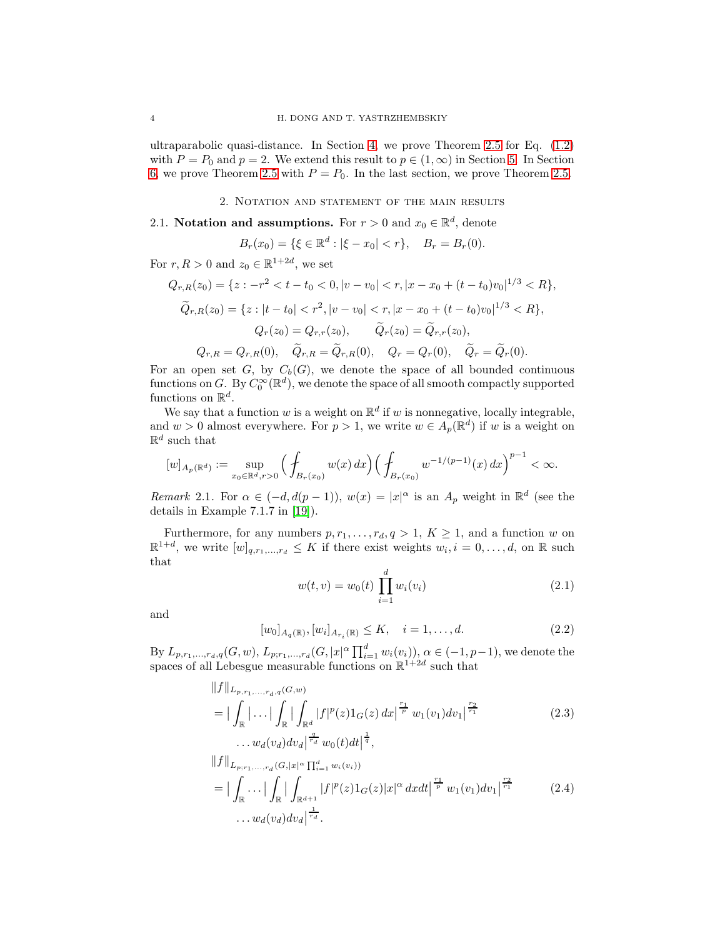ultraparabolic quasi-distance. In Section [4,](#page-15-0) we prove Theorem [2.5](#page-6-1) for Eq. [\(1.2\)](#page-1-0) with  $P = P_0$  and  $p = 2$ . We extend this result to  $p \in (1, \infty)$  in Section [5.](#page-21-0) In Section [6,](#page-40-0) we prove Theorem [2.5](#page-6-1) with  $P = P_0$ . In the last section, we prove Theorem [2.5.](#page-6-1)

2. Notation and statement of the main results

# <span id="page-3-0"></span>2.1. Notation and assumptions. For  $r > 0$  and  $x_0 \in \mathbb{R}^d$ , denote

$$
B_r(x_0) = \{ \xi \in \mathbb{R}^d : |\xi - x_0| < r \}, \quad B_r = B_r(0).
$$

For  $r, R > 0$  and  $z_0 \in \mathbb{R}^{1+2d}$ , we set

$$
Q_{r,R}(z_0) = \{z : -r^2 < t - t_0 < 0, |v - v_0| < r, |x - x_0 + (t - t_0)v_0|^{1/3} < R\},\
$$
  

$$
\widetilde{Q}_{r,R}(z_0) = \{z : |t - t_0| < r^2, |v - v_0| < r, |x - x_0 + (t - t_0)v_0|^{1/3} < R\},\
$$
  

$$
Q_r(z_0) = Q_{r,r}(z_0), \qquad \widetilde{Q}_r(z_0) = \widetilde{Q}_{r,r}(z_0),\
$$
  

$$
Q_{r,R} = Q_{r,R}(0), \quad \widetilde{Q}_{r,R} = \widetilde{Q}_{r,R}(0), \qquad Q_r = Q_r(0), \quad \widetilde{Q}_r = \widetilde{Q}_r(0).
$$

For an open set G, by  $C_b(G)$ , we denote the space of all bounded continuous functions on G. By  $C_0^{\infty}(\mathbb{R}^d)$ , we denote the space of all smooth compactly supported functions on  $\mathbb{R}^d$ .

We say that a function  $w$  is a weight on  $\mathbb{R}^d$  if  $w$  is nonnegative, locally integrable, and  $w > 0$  almost everywhere. For  $p > 1$ , we write  $w \in A_p(\mathbb{R}^d)$  if w is a weight on  $\mathbb{R}^d$  such that

$$
[w]_{A_p(\mathbb{R}^d)} := \sup_{x_0 \in \mathbb{R}^d, r > 0} \Big( \int_{B_r(x_0)} w(x) \, dx \Big) \Big( \int_{B_r(x_0)} w^{-1/(p-1)}(x) \, dx \Big)^{p-1} < \infty.
$$

<span id="page-3-3"></span>*Remark* 2.1. For  $\alpha \in (-d, d(p-1)), w(x) = |x|^{\alpha}$  is an  $A_p$  weight in  $\mathbb{R}^d$  (see the details in Example 7.1.7 in [\[19\]](#page-54-19)).

Furthermore, for any numbers  $p, r_1, \ldots, r_d, q > 1, K \geq 1$ , and a function w on  $\mathbb{R}^{1+d}$ , we write  $[w]_{q,r_1,\dots,r_d} \leq K$  if there exist weights  $w_i, i = 0,\dots,d$ , on  $\mathbb{R}$  such that

<span id="page-3-2"></span>
$$
w(t, v) = w_0(t) \prod_{i=1}^{d} w_i(v_i)
$$
 (2.1)

and

<span id="page-3-4"></span><span id="page-3-1"></span>
$$
[w_0]_{A_q(\mathbb{R})}, [w_i]_{A_{r_i}(\mathbb{R})} \le K, \quad i = 1, \dots, d.
$$
 (2.2)

By  $L_{p,r_1,...,r_d,q}(G, w), L_{p;r_1,...,r_d}(G, |x|^{\alpha} \prod_{i=1}^d w_i(v_i)), \alpha \in (-1, p-1)$ , we denote the spaces of all Lebesgue measurable functions on  $\mathbb{R}^{1+2d}$  such that

$$
||f||_{L_{p,r_1,...,r_d,q}(G,w)}
$$
\n
$$
= |\int_{\mathbb{R}} |\dots| \int_{\mathbb{R}} |\int_{\mathbb{R}^d} |f|^p(z) 1_G(z) dx|^{\frac{r_1}{p}} w_1(v_1) dv_1|^{\frac{r_2}{r_1}}
$$
\n
$$
\dots w_d(v_d) dv_d|^{\frac{q}{r_d}} w_0(t) dt|^{\frac{1}{q}},
$$
\n
$$
||f||_{L_{p;r_1,...,r_d}(G,|x|^{\alpha} \prod_{i=1}^d w_i(v_i))}
$$
\n
$$
= |\int_{\mathbb{R}} \dots |\int_{\mathbb{R}} |\int_{\mathbb{R}^{d+1}} |f|^p(z) 1_G(z) |x|^{\alpha} dx dt|^{\frac{r_1}{p}} w_1(v_1) dv_1|^{\frac{r_2}{r_1}}
$$
\n
$$
\dots w_d(v_d) dv_d|^{\frac{1}{r_d}}.
$$
\n(2.4)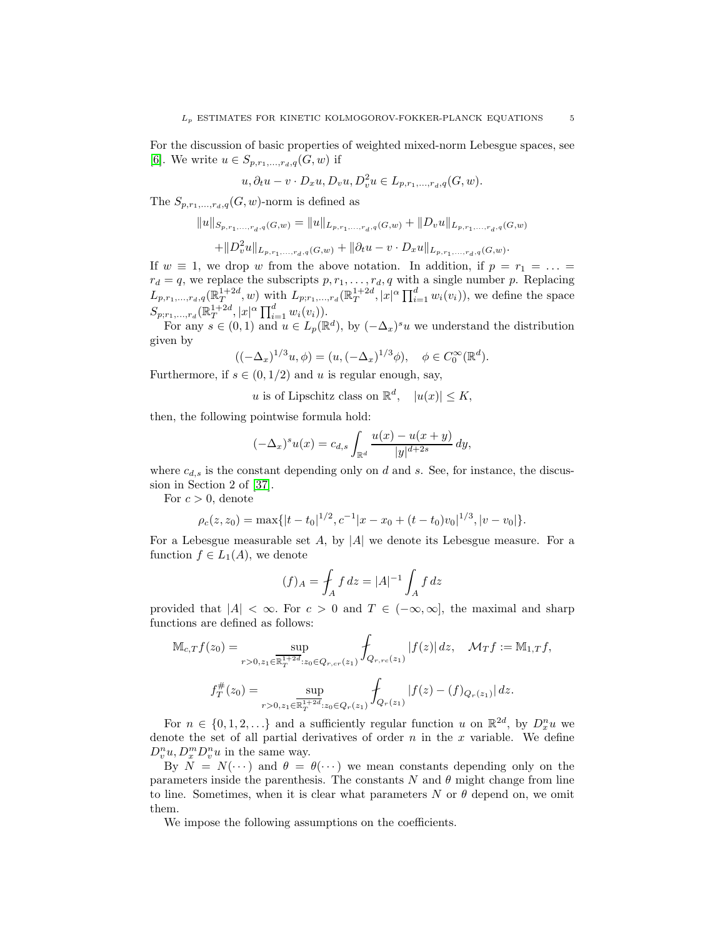For the discussion of basic properties of weighted mixed-norm Lebesgue spaces, see [\[6\]](#page-53-6). We write  $u \in S_{p,r_1,...,r_d,q}(G, w)$  if

$$
u, \partial_t u - v \cdot D_x u, D_v u, D_v^2 u \in L_{p,r_1,\ldots,r_d,q}(G, w).
$$

The  $S_{p,r_1,...,r_d,q}(G, w)$ -norm is defined as

$$
||u||_{S_{p,r_1,...,r_d,q}(G,w)} = ||u||_{L_{p,r_1,...,r_d,q}(G,w)} + ||D_v u||_{L_{p,r_1,...,r_d,q}(G,w)}
$$
  
+
$$
||D_v^2 u||_{L_{p,r_1,...,r_d,q}(G,w)} + ||\partial_t u - v \cdot D_x u||_{L_{p,r_1,...,r_d,q}(G,w)}.
$$

If  $w \equiv 1$ , we drop w from the above notation. In addition, if  $p = r_1 = \ldots =$  $r_d = q$ , we replace the subscripts  $p, r_1, \ldots, r_d, q$  with a single number p. Replacing  $L_{p,r_1,...,r_d,q}(\mathbb{R}^{1+2d}_T, w)$  with  $L_{p;r_1,...,r_d}(\mathbb{R}^{1+2d}_T, |x|^{\alpha} \prod_{i=1}^d w_i(v_i)),$  we define the space  $S_{p;r_1,...,r_d}(\mathbb{R}^{1+2d}_T, |x|^\alpha \prod_{i=1}^d w_i(v_i)).$ 

For any  $s \in (0,1)$  and  $u \in L_p(\mathbb{R}^d)$ , by  $(-\Delta_x)^s u$  we understand the distribution given by

$$
((-\Delta_x)^{1/3}u, \phi) = (u, (-\Delta_x)^{1/3}\phi), \quad \phi \in C_0^{\infty}(\mathbb{R}^d).
$$

Furthermore, if  $s \in (0, 1/2)$  and u is regular enough, say,

u is of Lipschitz class on  $\mathbb{R}^d$ ,  $|u(x)| \le K$ ,

then, the following pointwise formula hold:

$$
(-\Delta_x)^s u(x) = c_{d,s} \int_{\mathbb{R}^d} \frac{u(x) - u(x+y)}{|y|^{d+2s}} \, dy,
$$

where  $c_{d,s}$  is the constant depending only on d and s. See, for instance, the discussion in Section 2 of [\[37\]](#page-55-2).

For  $c > 0$ , denote

$$
\rho_c(z, z_0) = \max\{|t - t_0|^{1/2}, c^{-1}|x - x_0 + (t - t_0)v_0|^{1/3}, |v - v_0|\}.
$$

For a Lebesgue measurable set  $A$ , by  $|A|$  we denote its Lebesgue measure. For a function  $f \in L_1(A)$ , we denote

$$
(f)_A = \int_A f \, dz = |A|^{-1} \int_A f \, dz
$$

provided that  $|A| < \infty$ . For  $c > 0$  and  $T \in (-\infty, \infty]$ , the maximal and sharp functions are defined as follows:

$$
\mathbb{M}_{c,T}f(z_0) = \sup_{r>0, z_1 \in \overline{\mathbb{R}_T^{1+2d}}: z_0 \in Q_{r,cr}(z_1)} \int_{Q_{r,rc}(z_1)} |f(z)| dz, \quad \mathcal{M}_T f := \mathbb{M}_{1,T} f,
$$
  

$$
f_T^{\#}(z_0) = \sup_{r>0, z_1 \in \overline{\mathbb{R}_T^{1+2d}}: z_0 \in Q_r(z_1)} \int_{Q_r(z_1)} |f(z) - (f)_{Q_r(z_1)}| dz.
$$

For  $n \in \{0, 1, 2, \ldots\}$  and a sufficiently regular function u on  $\mathbb{R}^{2d}$ , by  $D_x^n u$  we denote the set of all partial derivatives of order  $n$  in the x variable. We define  $D_v^n u, D_x^m D_v^n u$  in the same way.

By  $N = N(\cdots)$  and  $\theta = \theta(\cdots)$  we mean constants depending only on the parameters inside the parenthesis. The constants  $N$  and  $\theta$  might change from line to line. Sometimes, when it is clear what parameters  $N$  or  $\theta$  depend on, we omit them.

We impose the following assumptions on the coefficients.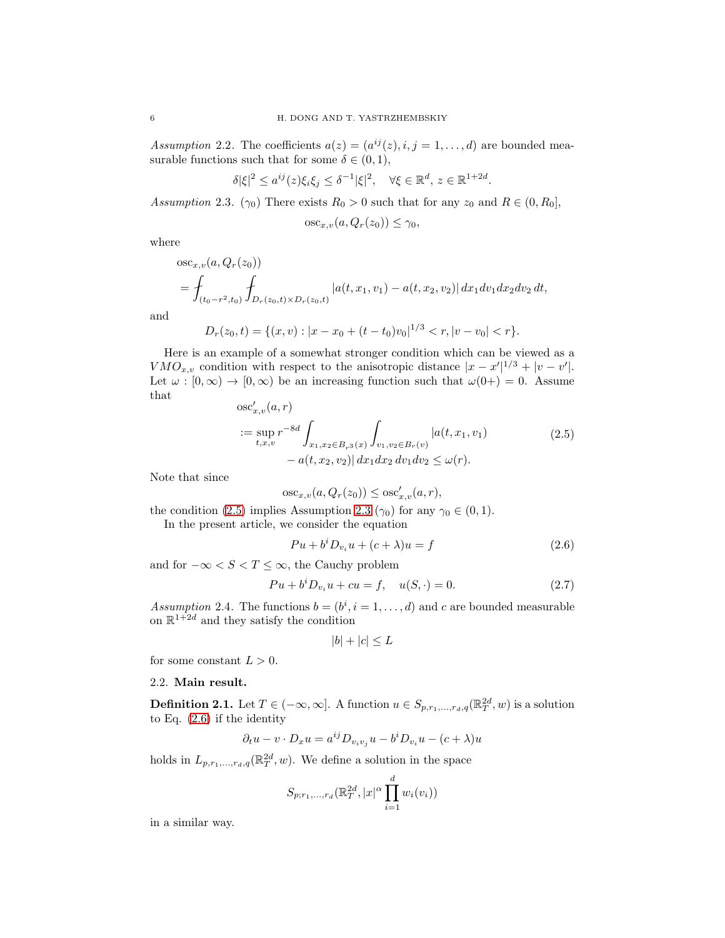<span id="page-5-4"></span>*Assumption* 2.2. The coefficients  $a(z) = (a^{ij}(z), i, j = 1, \ldots, d)$  are bounded measurable functions such that for some  $\delta \in (0,1)$ ,

$$
\delta|\xi|^2 \le a^{ij}(z)\xi_i\xi_j \le \delta^{-1}|\xi|^2, \quad \forall \xi \in \mathbb{R}^d, \, z \in \mathbb{R}^{1+2d}.
$$

<span id="page-5-0"></span>*Assumption* 2.3*.* ( $\gamma_0$ ) There exists  $R_0 > 0$  such that for any  $z_0$  and  $R \in (0, R_0]$ ,

$$
osc_{x,v}(a, Q_r(z_0)) \le \gamma_0,
$$

where

$$
osc_{x,v}(a, Q_r(z_0))
$$
  
=  $\oint_{(t_0-r^2,t_0)} \oint_{D_r(z_0,t) \times D_r(z_0,t)} |a(t, x_1, v_1) - a(t, x_2, v_2)| dx_1 dv_1 dx_2 dv_2 dt$ ,

and

$$
D_r(z_0, t) = \{(x, v) : |x - x_0 + (t - t_0)v_0|^{1/3} < r, |v - v_0| < r\}.
$$

Here is an example of a somewhat stronger condition which can be viewed as a  $VMO_{x,v}$  condition with respect to the anisotropic distance  $|x-x'|^{1/3} + |v-v'|$ . Let  $\omega : [0, \infty) \to [0, \infty)$  be an increasing function such that  $\omega(0+) = 0$ . Assume that

<span id="page-5-1"></span>
$$
\begin{split} \n\text{osc}'_{x,v}(a,r) \\
&:= \sup_{t,x,v} r^{-8d} \int_{x_1,x_2 \in B_{r^3}(x)} \int_{v_1,v_2 \in B_r(v)} |a(t,x_1,v_1)| \\
&- a(t,x_2,v_2) | \, dx_1 dx_2 \, dv_1 dv_2 \le \omega(r). \n\end{split} \tag{2.5}
$$

Note that since

$$
\mathrm{osc}_{x,v}(a, Q_r(z_0)) \leq \mathrm{osc}'_{x,v}(a,r),
$$

the condition [\(2.5\)](#page-5-1) implies Assumption [2.3](#page-5-0) ( $\gamma_0$ ) for any  $\gamma_0 \in (0,1)$ .

In the present article, we consider the equation

<span id="page-5-2"></span>
$$
Pu + biDviu + (c + \lambda)u = f
$$
\n(2.6)

and for  $-\infty < S < T \leq \infty$ , the Cauchy problem

<span id="page-5-3"></span>
$$
Pu + b^i D_{v_i} u + cu = f, \quad u(S, \cdot) = 0.
$$
 (2.7)

<span id="page-5-5"></span>Assumption 2.4. The functions  $b = (b^i, i = 1, ..., d)$  and c are bounded measurable on  $\mathbb{R}^{1+2d}$  and they satisfy the condition

$$
|b| + |c| \le L
$$

for some constant  $L > 0$ .

### 2.2. Main result.

<span id="page-5-6"></span>**Definition 2.1.** Let  $T \in (-\infty, \infty]$ . A function  $u \in S_{p,r_1,\dots,r_d,q}(\mathbb{R}^{2d}_T, w)$  is a solution to Eq. [\(2.6\)](#page-5-2) if the identity

$$
\partial_t u - v \cdot D_x u = a^{ij} D_{v_i v_j} u - b^i D_{v_i} u - (c + \lambda) u
$$

holds in  $L_{p,r_1,\ldots,r_d,q}(\mathbb{R}^{2d}_T,w)$ . We define a solution in the space

$$
S_{p;r_1,...,r_d}(\mathbb{R}_T^{2d},|x|^{\alpha}\prod_{i=1}^d w_i(v_i))
$$

in a similar way.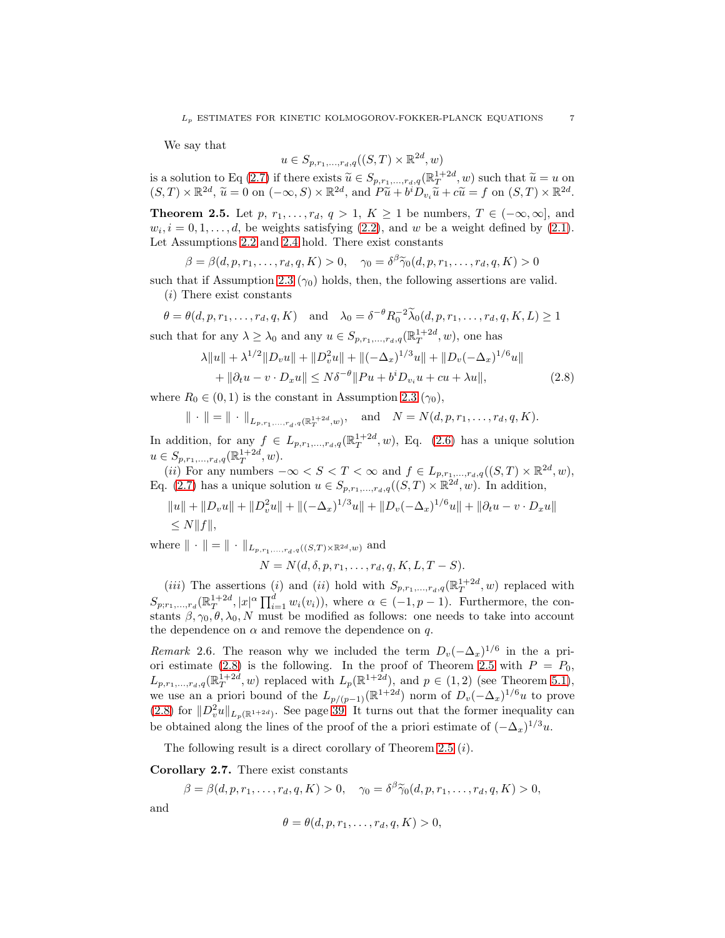We say that

<span id="page-6-0"></span>
$$
u \in S_{p,r_1,\ldots,r_d,q}((S,T) \times \mathbb{R}^{2d},w)
$$

is a solution to Eq [\(2.7\)](#page-5-3) if there exists  $\widetilde{u} \in S_{p,r_1,\dots,r_d,q}(\mathbb{R}^{1+2d}_T, w)$  such that  $\widetilde{u} = u$  on  $(S,T) \times \mathbb{R}^{2d}$ ,  $\widetilde{u} = 0$  on  $(-\infty, S) \times \mathbb{R}^{2d}$ , and  $P\widetilde{u} + b^i D_{v_i}\widetilde{u} + c\widetilde{u} = f$  on  $(S,T) \times \mathbb{R}$ 

<span id="page-6-1"></span>**Theorem 2.5.** Let p,  $r_1, \ldots, r_d, q > 1, K \ge 1$  be numbers,  $T \in (-\infty, \infty]$ , and  $w_i, i = 0, 1, \ldots, d$ , be weights satisfying [\(2.2\)](#page-3-1), and w be a weight defined by [\(2.1\)](#page-3-2). Let Assumptions [2.2](#page-5-4) and [2.4](#page-5-5) hold. There exist constants

$$
\beta = \beta(d, p, r_1, \dots, r_d, q, K) > 0, \quad \gamma_0 = \delta^{\beta} \widetilde{\gamma}_0(d, p, r_1, \dots, r_d, q, K) > 0
$$

such that if Assumption [2.3](#page-5-0)  $(\gamma_0)$  holds, then, the following assertions are valid. (i) There exist constants

$$
\theta = \theta(d, p, r_1, \dots, r_d, q, K) \text{ and } \lambda_0 = \delta^{-\theta} R_0^{-2} \widetilde{\lambda}_0(d, p, r_1, \dots, r_d, q, K, L) \ge 1
$$
  
such that for any  $\lambda \ge \lambda_0$  and any  $u \in S_{p, r_1, \dots, r_d, q}(\mathbb{R}_T^{1+2d}, w)$ , one has

$$
\lambda \|u\| + \lambda^{1/2} \|D_v u\| + \|D_v^2 u\| + \|(-\Delta_x)^{1/3} u\| + \|D_v(-\Delta_x)^{1/6} u\| + \|\partial_t u - v \cdot D_x u\| \le N\delta^{-\theta} \|Pu + b^i D_{v_i} u + cu + \lambda u\|,
$$
\n(2.8)

where  $R_0 \in (0, 1)$  is the constant in Assumption [2.3](#page-5-0)  $(\gamma_0)$ ,

$$
\| \cdot \| = \| \cdot \|_{L_{p,r_1,\ldots,r_d,q}(\mathbb{R}^{1+2d}_T, w)},
$$
 and  $N = N(d, p, r_1, \ldots, r_d, q, K).$ 

In addition, for any  $f \in L_{p,r_1,\dots,r_d,q}(\mathbb{R}_T^{1+2d},w)$ , Eq. [\(2.6\)](#page-5-2) has a unique solution  $u \in S_{p,r_1,...,r_d,q}(\mathbb{R}_T^{1+2d}, w).$ 

(*ii*) For any numbers  $-\infty < S < T < \infty$  and  $f \in L_{p,r_1,\dots,r_d,q}((S,T) \times \mathbb{R}^{2d},w)$ , Eq. [\(2.7\)](#page-5-3) has a unique solution  $u \in S_{p,r_1,\dots,r_d,q}((S,T) \times \mathbb{R}^{2d},w)$ . In addition,

$$
||u|| + ||D_v u|| + ||D_v^2 u|| + ||(-\Delta_x)^{1/3} u|| + ||D_v(-\Delta_x)^{1/6} u|| + ||\partial_t u - v \cdot D_x u||
$$
  
\$\le N ||f||\$,

where  $\| \cdot \| = \| \cdot \|_{L_{p,r_1,\ldots,r_d,g}((S,T)\times\mathbb{R}^{2d},w)}$  and

$$
N = N(d, \delta, p, r_1, \ldots, r_d, q, K, L, T - S).
$$

(*iii*) The assertions (*i*) and (*ii*) hold with  $S_{p,r_1,...,r_d,q}(\mathbb{R}^{1+2d}_T, w)$  replaced with  $S_{p;r_1,\ldots,r_d}(\mathbb{R}^{1+2d}_T,|x|^\alpha\prod_{i=1}^dw_i(v_i)),$  where  $\alpha\in(-1,p-1)$ . Furthermore, the constants  $\beta$ ,  $\gamma_0$ ,  $\theta$ ,  $\lambda_0$ , N must be modified as follows: one needs to take into account the dependence on  $\alpha$  and remove the dependence on q.

*Remark* 2.6. The reason why we included the term  $D_v(-\Delta_x)^{1/6}$  in the a pri-ori estimate [\(2.8\)](#page-6-0) is the following. In the proof of Theorem [2.5](#page-6-1) with  $P = P_0$ ,  $L_{p,r_1,\ldots,r_d,q}(\mathbb{R}^{1+2d}_T, w)$  replaced with  $L_p(\mathbb{R}^{1+2d})$ , and  $p \in (1,2)$  (see Theorem [5.1\)](#page-21-1), we use an a priori bound of the  $L_{p/(p-1)}(\mathbb{R}^{1+2d})$  norm of  $D_v(-\Delta_x)^{1/6}u$  to prove [\(2.8\)](#page-6-0) for  $||D_v^2u||_{L_p(\mathbb{R}^{1+2d})}$ . See page [39.](#page-38-0) It turns out that the former inequality can be obtained along the lines of the proof of the a priori estimate of  $(-\Delta_x)^{1/3}u$ .

The following result is a direct corollary of Theorem [2.5](#page-6-1)  $(i)$ .

<span id="page-6-2"></span>Corollary 2.7. There exist constants

$$
\beta = \beta(d, p, r_1, \dots, r_d, q, K) > 0, \quad \gamma_0 = \delta^{\beta} \widetilde{\gamma}_0(d, p, r_1, \dots, r_d, q, K) > 0,
$$

and

$$
\theta = \theta(d, p, r_1, \dots, r_d, q, K) > 0,
$$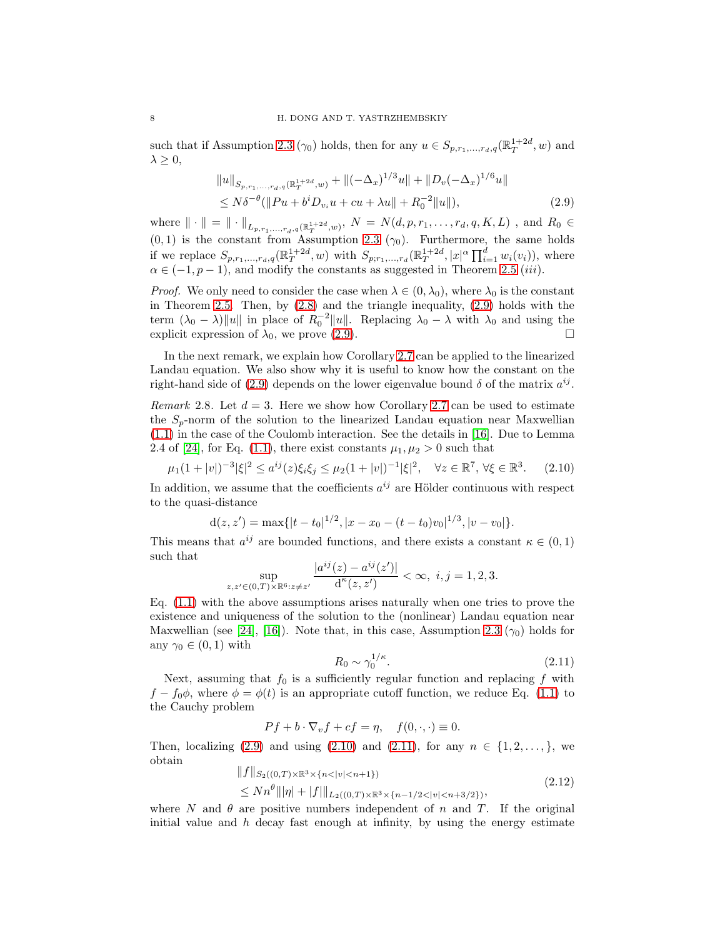such that if Assumption [2.3](#page-5-0) ( $\gamma_0$ ) holds, then for any  $u \in S_{p,r_1,\dots,r_d,q}(\mathbb{R}^{1+2d}_T, w)$  and  $\lambda \geq 0$ ,

<span id="page-7-0"></span>
$$
||u||_{S_{p,r_1,...,r_d,q}(\mathbb{R}^{1+2d}_T,w)} + ||(-\Delta_x)^{1/3}u|| + ||D_v(-\Delta_x)^{1/6}u||
$$
  
\n
$$
\leq N\delta^{-\theta} (||Pu + b^i D_{v_i}u + cu + \lambda u|| + R_0^{-2}||u||),
$$
\n(2.9)

where  $\|\cdot\| = \|\cdot\|_{L_{p,r_1,...,r_d,q}(\mathbb{R}^{1+2d}_T,w)}, N = N(d,p,r_1,...,r_d,q,K,L)$ , and  $R_0 \in$  $(0, 1)$  is the constant from Assumption [2.3](#page-5-0) ( $\gamma_0$ ). Furthermore, the same holds if we replace  $S_{p,r_1,...,r_d,q}(\mathbb{R}^{1+2d}_T, w)$  with  $S_{p,r_1,...,r_d}(\mathbb{R}^{1+2d}_T, |x|^{\alpha} \prod_{i=1}^d w_i(v_i)),$  where  $\alpha \in (-1, p-1)$ , and modify the constants as suggested in Theorem [2.5](#page-6-1) (iii).

*Proof.* We only need to consider the case when  $\lambda \in (0, \lambda_0)$ , where  $\lambda_0$  is the constant in Theorem [2.5.](#page-6-1) Then, by  $(2.8)$  and the triangle inequality,  $(2.9)$  holds with the term  $(\lambda_0 - \lambda) ||u||$  in place of  $R_0^{-2} ||u||$ . Replacing  $\lambda_0 - \lambda$  with  $\lambda_0$  and using the explicit expression of  $\lambda_0$ , we prove [\(2.9\)](#page-7-0).

In the next remark, we explain how Corollary [2.7](#page-6-2) can be applied to the linearized Landau equation. We also show why it is useful to know how the constant on the right-hand side of [\(2.9\)](#page-7-0) depends on the lower eigenvalue bound  $\delta$  of the matrix  $a^{ij}$ .

<span id="page-7-1"></span>*Remark* 2.8. Let  $d = 3$ . Here we show how Corollary [2.7](#page-6-2) can be used to estimate the  $S_p$ -norm of the solution to the linearized Landau equation near Maxwellian [\(1.1\)](#page-0-0) in the case of the Coulomb interaction. See the details in [\[16\]](#page-54-15). Due to Lemma 2.4 of [\[24\]](#page-54-1), for Eq. [\(1.1\)](#page-0-0), there exist constants  $\mu_1, \mu_2 > 0$  such that

<span id="page-7-2"></span> $\mu_1(1+|v|)^{-3}|\xi|^2 \leq a^{ij}(z)\xi_i\xi_j \leq \mu_2(1+|v|)^{-1}|\xi|^2, \quad \forall z \in \mathbb{R}^7, \forall \xi \in \mathbb{R}^3$  $(2.10)$ 

In addition, we assume that the coefficients  $a^{ij}$  are Hölder continuous with respect to the quasi-distance

$$
d(z, z') = \max\{|t - t_0|^{1/2}, |x - x_0 - (t - t_0)v_0|^{1/3}, |v - v_0|\}.
$$

This means that  $a^{ij}$  are bounded functions, and there exists a constant  $\kappa \in (0,1)$ such that ij (z) − a

$$
\sup_{z,z'\in(0,T)\times\mathbb{R}^6:z\neq z'}\frac{|a^{ij}(z)-a^{ij}(z')|}{d^{\kappa}(z,z')}<\infty,\,\,i,j=1,2,3.
$$

Eq. [\(1.1\)](#page-0-0) with the above assumptions arises naturally when one tries to prove the existence and uniqueness of the solution to the (nonlinear) Landau equation near Maxwellian (see [\[24\]](#page-54-1), [\[16\]](#page-54-15)). Note that, in this case, Assumption [2.3](#page-5-0) ( $\gamma_0$ ) holds for any  $\gamma_0 \in (0,1)$  with

<span id="page-7-3"></span>
$$
R_0 \sim \gamma_0^{1/\kappa}.\tag{2.11}
$$

Next, assuming that  $f_0$  is a sufficiently regular function and replacing f with  $f - f_0 \phi$ , where  $\phi = \phi(t)$  is an appropriate cutoff function, we reduce Eq. [\(1.1\)](#page-0-0) to the Cauchy problem

$$
Pf + b \cdot \nabla_v f + cf = \eta, \quad f(0, \cdot, \cdot) \equiv 0.
$$

Then, localizing [\(2.9\)](#page-7-0) and using [\(2.10\)](#page-7-2) and [\(2.11\)](#page-7-3), for any  $n \in \{1, 2, ..., \}$ , we obtain

<span id="page-7-4"></span>
$$
||f||_{S_2((0,T)\times\mathbb{R}^3\times\{n<|v|\n(2.12)
$$

where N and  $\theta$  are positive numbers independent of n and T. If the original initial value and  $h$  decay fast enough at infinity, by using the energy estimate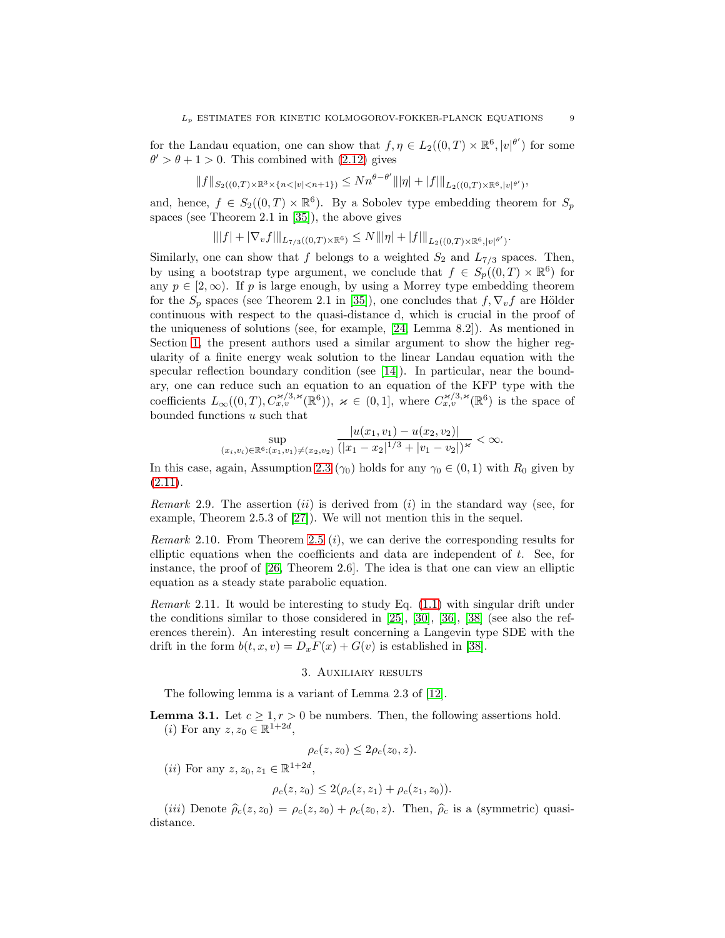for the Landau equation, one can show that  $f, \eta \in L_2((0,T) \times \mathbb{R}^6, |v|^{\theta'})$  for some  $\theta' > \theta + 1 > 0$ . This combined with [\(2.12\)](#page-7-4) gives

$$
\|f\|_{S_2((0,T)\times{\mathbb R}^3\times \{n<|v|
$$

and, hence,  $f \in S_2((0,T) \times \mathbb{R}^6)$ . By a Sobolev type embedding theorem for  $S_p$ spaces (see Theorem 2.1 in [\[35\]](#page-54-9)), the above gives

$$
\||f| + |\nabla_v f| \|_{L_{7/3}((0,T)\times \mathbb{R}^6)} \le N \||\eta| + |f| \|_{L_2((0,T)\times \mathbb{R}^6, |v|^{\theta'})}.
$$

Similarly, one can show that f belongs to a weighted  $S_2$  and  $L_{7/3}$  spaces. Then, by using a bootstrap type argument, we conclude that  $f \in S_p((0,T) \times \mathbb{R}^6)$  for any  $p \in [2,\infty)$ . If p is large enough, by using a Morrey type embedding theorem for the  $S_p$  spaces (see Theorem 2.1 in [\[35\]](#page-54-9)), one concludes that  $f, \nabla_v f$  are Hölder continuous with respect to the quasi-distance d, which is crucial in the proof of the uniqueness of solutions (see, for example, [\[24,](#page-54-1) Lemma 8.2]). As mentioned in Section [1,](#page-0-1) the present authors used a similar argument to show the higher regularity of a finite energy weak solution to the linear Landau equation with the specular reflection boundary condition (see [\[14\]](#page-54-4)). In particular, near the boundary, one can reduce such an equation to an equation of the KFP type with the coefficients  $L_\infty((0,T), C_{x,v}^{\varkappa/3,\varkappa}(\mathbb{R}^6)), \varkappa \in (0,1],$  where  $C_{x,v}^{\varkappa/3,\varkappa}(\mathbb{R}^6)$  is the space of bounded functions  $u$  such that  $|u(x)| \leq x$ 

$$
\sup_{(x_i,v_i)\in\mathbb{R}^6\colon(x_1,v_1)\neq(x_2,v_2)}\frac{|u(x_1,v_1)-u(x_2,v_2)|}{(|x_1-x_2|^{1/3}+|v_1-v_2|)^{\varkappa}}<\infty.
$$

In this case, again, Assumption [2.3](#page-5-0) ( $\gamma_0$ ) holds for any  $\gamma_0 \in (0,1)$  with  $R_0$  given by  $(2.11).$  $(2.11).$ 

*Remark* 2.9. The assertion  $(ii)$  is derived from  $(i)$  in the standard way (see, for example, Theorem 2.5.3 of [\[27\]](#page-54-2)). We will not mention this in the sequel.

*Remark* 2.10*.* From Theorem [2.5](#page-6-1) (i), we can derive the corresponding results for elliptic equations when the coefficients and data are independent of  $t$ . See, for instance, the proof of [\[26,](#page-54-20) Theorem 2.6]. The idea is that one can view an elliptic equation as a steady state parabolic equation.

*Remark* 2.11*.* It would be interesting to study Eq. [\(1.1\)](#page-0-0) with singular drift under the conditions similar to those considered in [\[25\]](#page-54-21), [\[30\]](#page-54-22), [\[36\]](#page-54-23), [\[38\]](#page-55-3) (see also the references therein). An interesting result concerning a Langevin type SDE with the drift in the form  $b(t, x, v) = D_x F(x) + G(v)$  is established in [\[38\]](#page-55-3).

### 3. Auxiliary results

<span id="page-8-0"></span>The following lemma is a variant of Lemma 2.3 of [\[12\]](#page-54-12).

<span id="page-8-1"></span>**Lemma 3.1.** Let  $c \geq 1, r > 0$  be numbers. Then, the following assertions hold. (*i*) For any  $z, z_0 \in \mathbb{R}^{1+2d}$ ,

$$
\rho_c(z, z_0) \leq 2\rho_c(z_0, z).
$$

(*ii*) For any  $z, z_0, z_1 \in \mathbb{R}^{1+2d}$ ,

$$
\rho_c(z, z_0) \leq 2(\rho_c(z, z_1) + \rho_c(z_1, z_0)).
$$

(iii) Denote  $\hat{\rho}_c(z, z_0) = \rho_c(z, z_0) + \rho_c(z_0, z)$ . Then,  $\hat{\rho}_c$  is a (symmetric) quasidistance.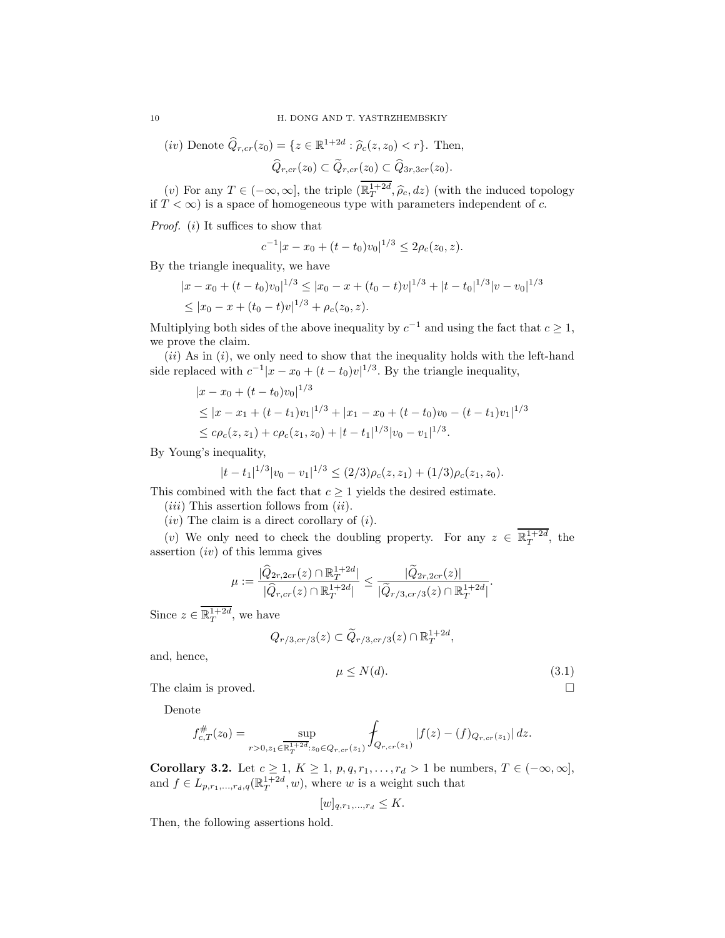$$
(iv) \text{ Denote } \widehat{Q}_{r,cr}(z_0) = \{ z \in \mathbb{R}^{1+2d} : \widehat{\rho}_c(z, z_0) < r \}. \text{ Then,}
$$
\n
$$
\widehat{Q}_{r,cr}(z_0) \subset \widetilde{Q}_{r,cr}(z_0) \subset \widehat{Q}_{3r,3cr}(z_0).
$$

(v) For any  $T \in (-\infty, \infty]$ , the triple  $(\mathbb{R}^{1+2d}_T, \widehat{\rho}_c, dz)$  (with the induced topology if  $T < \infty$ ) is a space of homogeneous type with parameters independent of c.

*Proof.* (*i*) It suffices to show that

$$
c^{-1}|x - x_0 + (t - t_0)v_0|^{1/3} \le 2\rho_c(z_0, z).
$$

By the triangle inequality, we have

$$
|x - x_0 + (t - t_0)v_0|^{1/3} \le |x_0 - x + (t_0 - t)v|^{1/3} + |t - t_0|^{1/3}|v - v_0|^{1/3}
$$
  
\$\le |x\_0 - x + (t\_0 - t)v|^{1/3} + \rho\_c(z\_0, z).

Multiplying both sides of the above inequality by  $c^{-1}$  and using the fact that  $c \geq 1$ , we prove the claim.

 $(ii)$  As in  $(i)$ , we only need to show that the inequality holds with the left-hand side replaced with  $c^{-1}|x-x_0+(t-t_0)v|^{1/3}$ . By the triangle inequality,

$$
|x - x_0 + (t - t_0)v_0|^{1/3}
$$
  
\n
$$
\le |x - x_1 + (t - t_1)v_1|^{1/3} + |x_1 - x_0 + (t - t_0)v_0 - (t - t_1)v_1|^{1/3}
$$
  
\n
$$
\le c\rho_c(z, z_1) + c\rho_c(z_1, z_0) + |t - t_1|^{1/3}|v_0 - v_1|^{1/3}.
$$

By Young's inequality,

$$
|t-t_1|^{1/3}|v_0-v_1|^{1/3}\leq (2/3)\rho_c(z,z_1)+(1/3)\rho_c(z_1,z_0).
$$

This combined with the fact that  $c \geq 1$  yields the desired estimate.

 $(iii)$  This assertion follows from  $(ii)$ .

 $(iv)$  The claim is a direct corollary of  $(i)$ .

(v) We only need to check the doubling property. For any  $z \in \mathbb{R}^{1+2d}_T$ , the assertion  $(iv)$  of this lemma gives

$$
\mu := \frac{|\widehat{Q}_{2r,2cr}(z) \cap \mathbb{R}_T^{1+2d}|}{|\widehat{Q}_{r,cr}(z) \cap \mathbb{R}_T^{1+2d}|} \leq \frac{|\widetilde{Q}_{2r,2cr}(z)|}{|\widetilde{Q}_{r/3,cr/3}(z) \cap \mathbb{R}_T^{1+2d}|}.
$$

Since  $z \in \mathbb{R}^{1+2d}_T$ , we have

$$
Q_{r/3,cr/3}(z) \subset \widetilde{Q}_{r/3,cr/3}(z) \cap \mathbb{R}_T^{1+2d},
$$

and, hence,

<span id="page-9-1"></span>
$$
\mu \le N(d). \tag{3.1}
$$

The claim is proved.

Denote

$$
f_{c,T}^{#}(z_0) = \sup_{r>0, z_1 \in \overline{\mathbb{R}_T^{1+2d}}: z_0 \in Q_{r,cr}(z_1)} \int_{Q_{r,cr}(z_1)} |f(z) - (f)_{Q_{r,cr}(z_1)}| dz.
$$

<span id="page-9-0"></span>**Corollary 3.2.** Let  $c \geq 1$ ,  $K \geq 1$ ,  $p, q, r_1, \ldots, r_d > 1$  be numbers,  $T \in (-\infty, \infty]$ , and  $f \in L_{p,r_1,\ldots,r_d,q}(\mathbb{R}^{1+2d}_T, w)$ , where w is a weight such that

$$
[w]_{q,r_1,\ldots,r_d} \leq K.
$$

Then, the following assertions hold.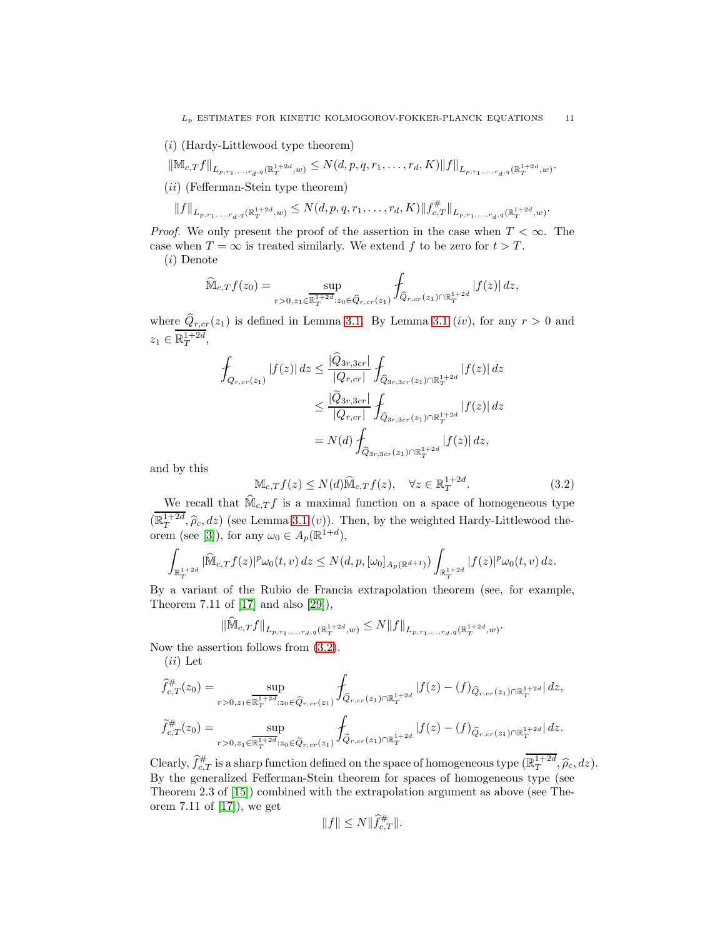- (i) (Hardy-Littlewood type theorem)
- $\|\mathbb{M}_{c,T}f\|_{L_{p,r_1,...,r_d,q}(\mathbb{R}^{1+2d}_T,w)}\leq N(d,p,q,r_1,\ldots,r_d,K)\|f\|_{L_{p,r_1,...,r_d,q}(\mathbb{R}^{1+2d}_T,w)}.$
- (ii) (Fefferman-Stein type theorem)

$$
||f||_{L_{p,r_1,\ldots,r_d,q}(\mathbb{R}_T^{1+2d},w)} \leq N(d,p,q,r_1,\ldots,r_d,K) ||f_{c,T}^{\#}||_{L_{p,r_1,\ldots,r_d,q}(\mathbb{R}_T^{1+2d},w)}.
$$

*Proof.* We only present the proof of the assertion in the case when  $T < \infty$ . The case when  $T = \infty$  is treated similarly. We extend f to be zero for  $t > T$ .

(i) Denote

$$
\widehat{\mathbb{M}}_{c,T} f(z_0) = \sup_{r>0, z_1 \in \overline{\mathbb{R}_T^{1+2d}} : z_0 \in \widehat{Q}_{r,cr}(z_1)} \int_{\widehat{Q}_{r,cr}(z_1) \cap \mathbb{R}_T^{1+2d}} |f(z)| dz,
$$

where  $Q_{r,cr}(z_1)$  is defined in Lemma [3.1.](#page-8-1) By Lemma [3.1](#page-8-1) (iv), for any  $r > 0$  and  $z_1 \in \mathbb{R}^{1+2d}_T,$ 

$$
\int_{Q_{r,cr}(z_1)} |f(z)| dz \le \frac{|Q_{3r,3cr}|}{|Q_{r,cr}|} \int_{\widehat{Q}_{3r,3cr}(z_1) \cap \mathbb{R}^{1+2d}_T} |f(z)| dz
$$
\n
$$
\le \frac{|\widehat{Q}_{3r,3cr}|}{|Q_{r,cr}|} \int_{\widehat{Q}_{3r,3cr}(z_1) \cap \mathbb{R}^{1+2d}_T} |f(z)| dz
$$
\n
$$
= N(d) \int_{\widehat{Q}_{3r,3cr}(z_1) \cap \mathbb{R}^{1+2d}_T} |f(z)| dz,
$$

and by this

<span id="page-10-0"></span>
$$
\mathbb{M}_{c,T}f(z) \le N(d)\widehat{\mathbb{M}}_{c,T}f(z), \quad \forall z \in \mathbb{R}_T^{1+2d}.\tag{3.2}
$$

We recall that  $\widehat{\mathbb{M}}_{c,T} f$  is a maximal function on a space of homogeneous type  $(\mathbb{R}_T^{1+2d}, \hat{\rho}_c, dz)$  (see Lemma [3.1](#page-8-1)  $(v)$ ). Then, by the weighted Hardy-Littlewood the-orem (see [\[3\]](#page-53-7)), for any  $\omega_0 \in A_p(\mathbb{R}^{1+d}),$ 

$$
\int_{\mathbb{R}_T^{1+2d}} |\widehat{\mathbb{M}}_{c,T} f(z)|^p \omega_0(t,v) \, dz \le N(d,p, [\omega_0]_{A_p(\mathbb{R}^{d+1})}) \int_{\mathbb{R}_T^{1+2d}} |f(z)|^p \omega_0(t,v) \, dz.
$$

By a variant of the Rubio de Francia extrapolation theorem (see, for example, Theorem 7.11 of [\[17\]](#page-54-24) and also [\[29\]](#page-54-25)),

$$
\|\widehat{\mathbb{M}}_{c,T}f\|_{L_{p,r_1,...,r_d,q}(\mathbb{R}^{1+2d}_T,w)} \leq N \|f\|_{L_{p,r_1,...,r_d,q}(\mathbb{R}^{1+2d}_T,w)}.
$$

Now the assertion follows from [\(3.2\)](#page-10-0).

 $(ii)$  Let

$$
\begin{split}\n\widehat{f}_{c,T}^{\#}(z_0) &= \sup_{r > 0, z_1 \in \mathbb{R}_T^{1+2d}: z_0 \in \widehat{Q}_{r,cr}(z_1)} \int_{\widehat{Q}_{r,cr}(z_1) \cap \mathbb{R}_T^{1+2d}} |f(z) - (f)_{\widehat{Q}_{r,cr}(z_1) \cap \mathbb{R}_T^{1+2d}}| \, dz, \\
\widetilde{f}_{c,T}^{\#}(z_0) &= \sup_{r > 0, z_1 \in \mathbb{R}_T^{1+2d}: z_0 \in \widehat{Q}_{r,cr}(z_1)} \int_{\widehat{Q}_{r,cr}(z_1) \cap \mathbb{R}_T^{1+2d}} |f(z) - (f)_{\widehat{Q}_{r,cr}(z_1) \cap \mathbb{R}_T^{1+2d}}| \, dz.\n\end{split}
$$

Clearly,  $\hat{f}_{c,T}^{\#}$  is a sharp function defined on the space of homogeneous type  $(\mathbb{R}_T^{1+2d}, \hat{\rho}_c, dz)$ . By the generalized Fefferman-Stein theorem for spaces of homogeneous type (see Theorem 2.3 of [\[15\]](#page-54-3)) combined with the extrapolation argument as above (see Theorem 7.11 of [\[17\]](#page-54-24)), we get

$$
||f|| \leq N ||\hat{f}_{c,T}^{\#}||
$$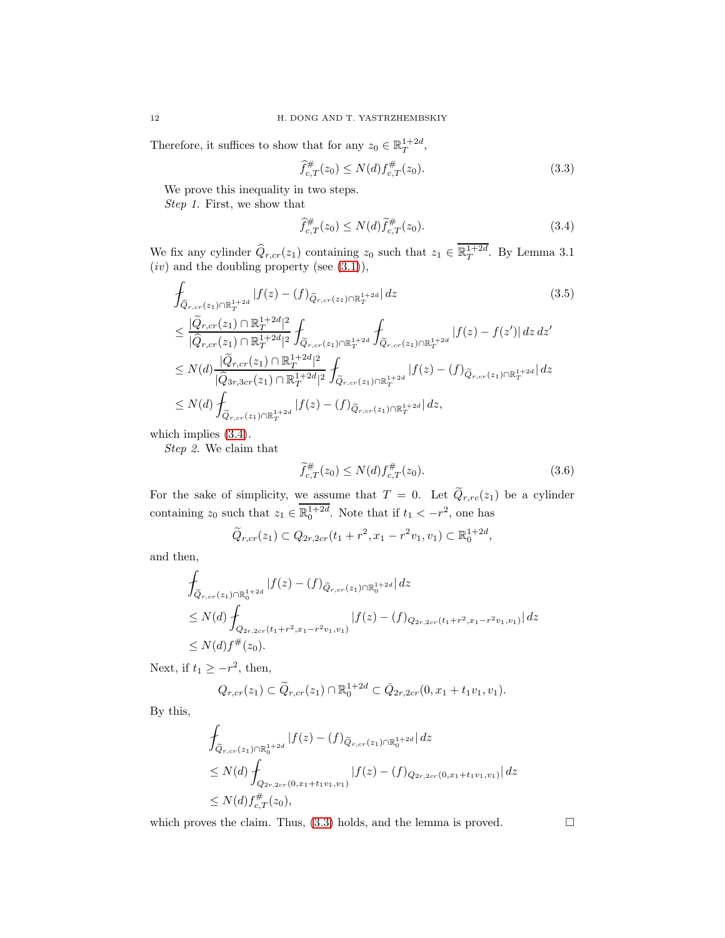Therefore, it suffices to show that for any  $z_0 \in \mathbb{R}^{1+2d}_T$ ,

<span id="page-11-1"></span>
$$
\hat{f}_{c,T}^{\#}(z_0) \le N(d) f_{c,T}^{\#}(z_0). \tag{3.3}
$$

We prove this inequality in two steps.

*Step 1.* First, we show that

<span id="page-11-3"></span><span id="page-11-0"></span>
$$
\hat{f}_{c,T}^{\#}(z_0) \le N(d)\tilde{f}_{c,T}^{\#}(z_0). \tag{3.4}
$$

We fix any cylinder  $\hat{Q}_{r,cr}(z_1)$  containing  $z_0$  such that  $z_1 \in \mathbb{R}^{1+2d}_T$ . By Lemma 3.1  $(iv)$  and the doubling property (see  $(3.1)$ ),

$$
\int_{\hat{Q}_{r,cr}(z_1)\cap\mathbb{R}_T^{1+2d}} |f(z) - (f)_{\hat{Q}_{r,cr}(z_1)\cap\mathbb{R}_T^{1+2d}}| dz
$$
\n
$$
\leq \frac{|\tilde{Q}_{r,cr}(z_1)\cap\mathbb{R}_T^{1+2d}|^2}{|\hat{Q}_{r,cr}(z_1)\cap\mathbb{R}_T^{1+2d}|^2} \int_{\tilde{Q}_{r,cr}(z_1)\cap\mathbb{R}_T^{1+2d}} \int_{\tilde{Q}_{r,cr}(z_1)\cap\mathbb{R}_T^{1+2d}} |f(z) - f(z')| dz dz'
$$
\n
$$
\leq N(d) \frac{|\tilde{Q}_{r,cr}(z_1)\cap\mathbb{R}_T^{1+2d}|^2}{|\hat{Q}_{3r,3cr}(z_1)\cap\mathbb{R}_T^{1+2d}|^2} \int_{\tilde{Q}_{r,cr}(z_1)\cap\mathbb{R}_T^{1+2d}} |f(z) - (f)_{\tilde{Q}_{r,cr}(z_1)\cap\mathbb{R}_T^{1+2d}}| dz
$$
\n
$$
\leq N(d) \int_{\tilde{Q}_{r,cr}(z_1)\cap\mathbb{R}_T^{1+2d}} |f(z) - (f)_{\tilde{Q}_{r,cr}(z_1)\cap\mathbb{R}_T^{1+2d}}| dz,
$$
\n(3.5)

which implies [\(3.4\)](#page-11-0).

*Step 2.* We claim that

<span id="page-11-2"></span>
$$
\widetilde{f}_{c,T}^{\#}(z_0) \le N(d) f_{c,T}^{\#}(z_0). \tag{3.6}
$$

For the sake of simplicity, we assume that  $T = 0$ . Let  $Q_{r,rc}(z_1)$  be a cylinder containing  $z_0$  such that  $z_1 \in \overline{\mathbb{R}_0^{1+2d}}$ . Note that if  $t_1 < -r^2$ , one has

$$
\widetilde{Q}_{r,cr}(z_1) \subset Q_{2r,2cr}(t_1+r^2,x_1-r^2v_1,v_1) \subset \mathbb{R}_0^{1+2d},
$$

and then,

$$
\int_{\tilde{Q}_{r,cr}(z_1)\cap\mathbb{R}_0^{1+2d}} |f(z)-(f)_{\tilde{Q}_{r,cr}(z_1)\cap\mathbb{R}_0^{1+2d}}|dz
$$
\n
$$
\leq N(d) \int_{Q_{2r,2cr}(t_1+r^2,x_1-r^2v_1,v_1)} |f(z)-(f)_{Q_{2r,2cr}(t_1+r^2,x_1-r^2v_1,v_1)}|dz
$$
\n
$$
\leq N(d)f^{\#}(z_0).
$$

Next, if  $t_1 \geq -r^2$ , then,

$$
Q_{r,cr}(z_1) \subset \widetilde{Q}_{r,cr}(z_1) \cap \mathbb{R}_0^{1+2d} \subset \bar{Q}_{2r,2cr}(0,x_1+t_1v_1,v_1).
$$

By this,

$$
\int_{\widetilde{Q}_{r,cr}(z_1)\cap\mathbb{R}_0^{1+2d}} |f(z) - (f)_{\widetilde{Q}_{r,cr}(z_1)\cap\mathbb{R}_0^{1+2d}}| dz
$$
\n
$$
\leq N(d) \int_{Q_{2r,2cr}(0,x_1+t_1v_1,v_1)} |f(z) - (f)_{Q_{2r,2cr}(0,x_1+t_1v_1,v_1)}| dz
$$
\n
$$
\leq N(d) f_{c,T}^{\#}(z_0),
$$

which proves the claim. Thus,  $(3.3)$  holds, and the lemma is proved.  $\Box$ 

$$
12\quad
$$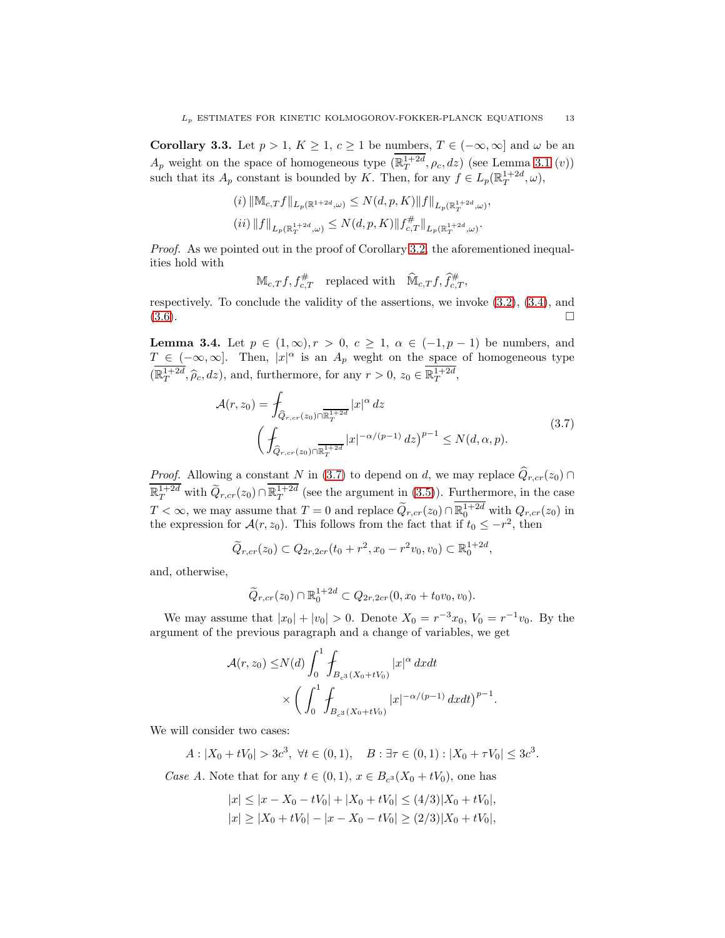<span id="page-12-2"></span>Corollary 3.3. Let  $p > 1$ ,  $K \ge 1$ ,  $c \ge 1$  be numbers,  $T \in (-\infty, \infty]$  and  $\omega$  be an  $A_p$  weight on the space of homogeneous type  $(\mathbb{R}_T^{1+2d}, \rho_c, dz)$  (see Lemma [3.1](#page-8-1)  $(v)$ ) such that its  $A_p$  constant is bounded by K. Then, for any  $f \in L_p(\mathbb{R}^{1+2d}_T, \omega)$ ,

$$
\begin{aligned} &(i)\,\|\mathbb{M}_{c,T}f\|_{L_p(\mathbb{R}^{1+2d},\omega)}\leq N(d,p,K)\|f\|_{L_p(\mathbb{R}^{1+2d}_T,\omega)},\\ &(ii)\,\|f\|_{L_p(\mathbb{R}^{1+2d}_T,\omega)}\leq N(d,p,K)\|f^{\#}_{c,T}\|_{L_p(\mathbb{R}^{1+2d}_T,\omega)}. \end{aligned}
$$

*Proof.* As we pointed out in the proof of Corollary [3.2,](#page-9-0) the aforementioned inequalities hold with

 $\mathbb{M}_{c,T}f, f_{c,T}^{\#} \quad \text{replaced with} \quad \widehat{\mathbb{M}}_{c,T}f, \widehat{f}_{c,T}^{\#},$ 

respectively. To conclude the validity of the assertions, we invoke [\(3.2\)](#page-10-0), [\(3.4\)](#page-11-0), and  $(3.6)$ .

<span id="page-12-1"></span>**Lemma 3.4.** Let  $p \in (1,\infty), r > 0, c \ge 1, \alpha \in (-1,p-1)$  be numbers, and  $T \in (-\infty, \infty]$ . Then,  $|x|^{\alpha}$  is an  $A_p$  weght on the space of homogeneous type  $(\mathbb{R}_T^{1+2d}, \widehat{\rho}_c, dz)$ , and, furthermore, for any  $r > 0$ ,  $z_0 \in \mathbb{R}_T^{1+2d}$ ,

<span id="page-12-0"></span>
$$
\mathcal{A}(r,z_0) = \int_{\widehat{Q}_{r,cr}(z_0)\cap\overline{\mathbb{R}_T}^{1+2d}} |x|^\alpha dz
$$
\n
$$
\left(\int_{\widehat{Q}_{r,cr}(z_0)\cap\overline{\mathbb{R}_T}^{1+2d}} |x|^{-\alpha/(p-1)} dz\right)^{p-1} \le N(d,\alpha,p).
$$
\n(3.7)

*Proof.* Allowing a constant N in [\(3.7\)](#page-12-0) to depend on d, we may replace  $\hat{Q}_{r,cr}(z_0)$  ∩  $\mathbb{R}^{1+2d}_T$  with  $\widetilde{Q}_{r,cr}(z_0) \cap \mathbb{R}^{1+2d}_T$  (see the argument in [\(3.5\)](#page-11-3)). Furthermore, in the case  $T < \infty$ , we may assume that  $T = 0$  and replace  $\widetilde{Q}_{r,cr}(z_0) \cap \mathbb{R}^{1+2d}_0$  with  $Q_{r,cr}(z_0)$  in the expression for  $\mathcal{A}(r, z_0)$ . This follows from the fact that if  $t_0 \leq -r^2$ , then

$$
\widetilde{Q}_{r,cr}(z_0) \subset Q_{2r,2cr}(t_0+r^2,x_0-r^2v_0,v_0) \subset \mathbb{R}_0^{1+2d},
$$

and, otherwise,

$$
\widetilde{Q}_{r,cr}(z_0)\cap\mathbb{R}^{1+2d}_0\subset Q_{2r,2cr}(0,x_0+t_0v_0,v_0).
$$

We may assume that  $|x_0| + |v_0| > 0$ . Denote  $X_0 = r^{-3}x_0$ ,  $V_0 = r^{-1}v_0$ . By the argument of the previous paragraph and a change of variables, we get

$$
\mathcal{A}(r, z_0) \le N(d) \int_0^1 \int_{B_{c^3}(X_0 + tV_0)} |x|^\alpha dx dt
$$
  
\$\times \left( \int\_0^1 \int\_{B\_{c^3}(X\_0 + tV\_0)} |x|^{-\alpha/(p-1)} dx dt \right)^{p-1}\$.

We will consider two cases:

 $A: |X_0 + tV_0| > 3c^3, \ \forall t \in (0,1), \quad B: \exists \tau \in (0,1) : |X_0 + \tau V_0| \le 3c^3.$ 

*Case A.* Note that for any  $t \in (0,1)$ ,  $x \in B_{c^3}(X_0 + tV_0)$ , one has

$$
|x| \le |x - X_0 - tV_0| + |X_0 + tV_0| \le (4/3)|X_0 + tV_0|,
$$
  

$$
|x| \ge |X_0 + tV_0| - |x - X_0 - tV_0| \ge (2/3)|X_0 + tV_0|,
$$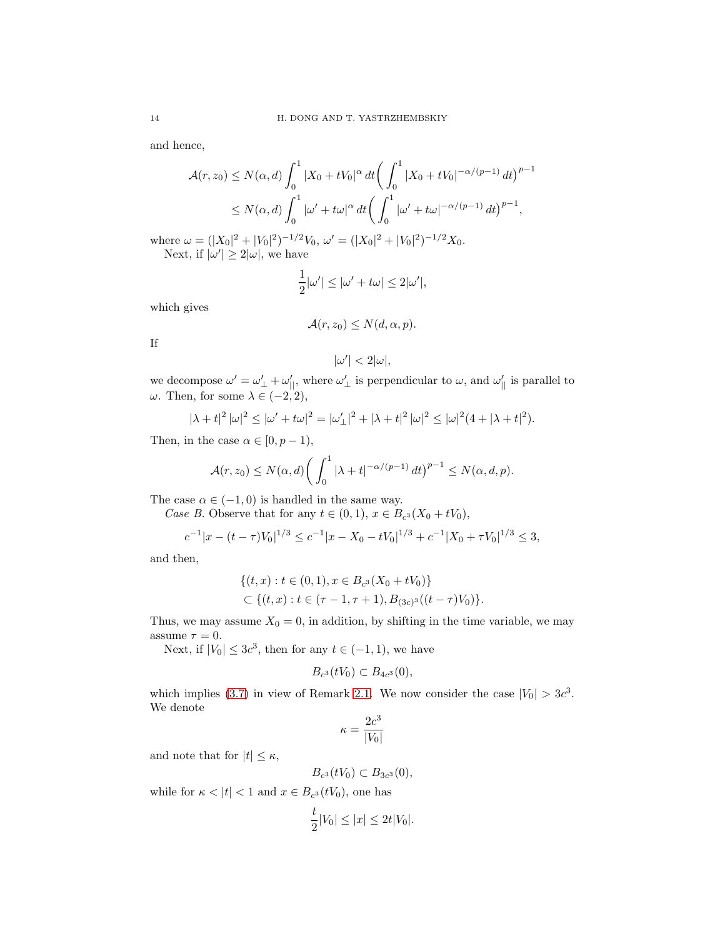and hence,

$$
\mathcal{A}(r, z_0) \le N(\alpha, d) \int_0^1 |X_0 + tV_0|^\alpha dt \left( \int_0^1 |X_0 + tV_0|^{-\alpha/(p-1)} dt \right)^{p-1}
$$
  
 
$$
\le N(\alpha, d) \int_0^1 |\omega' + t\omega|^\alpha dt \left( \int_0^1 |\omega' + t\omega|^{-\alpha/(p-1)} dt \right)^{p-1},
$$

where  $\omega = (|X_0|^2 + |V_0|^2)^{-1/2}V_0$ ,  $\omega' = (|X_0|^2 + |V_0|^2)^{-1/2}X_0$ . Next, if  $|\omega'| \geq 2|\omega|$ , we have

$$
\frac{1}{2}|\omega'| \le |\omega' + t\omega| \le 2|\omega'|,
$$

which gives

$$
\mathcal{A}(r,z_0) \le N(d,\alpha,p).
$$

If

$$
|\omega'| < 2|\omega|,
$$

we decompose  $\omega' = \omega'_{\perp} + \omega'_{\parallel}$ , where  $\omega'_{\perp}$  is perpendicular to  $\omega$ , and  $\omega'_{\parallel}$  is parallel to  $ω$ . Then, for some  $λ ∈ (-2, 2)$ ,

$$
|\lambda + t|^2 |\omega|^2 \le |\omega' + t\omega|^2 = |\omega'_\perp|^2 + |\lambda + t|^2 |\omega|^2 \le |\omega|^2 (4 + |\lambda + t|^2).
$$

Then, in the case  $\alpha \in [0, p-1)$ ,

$$
\mathcal{A}(r,z_0) \le N(\alpha,d) \bigg( \int_0^1 |\lambda + t|^{-\alpha/(p-1)} dt \big)^{p-1} \le N(\alpha,d,p).
$$

The case  $\alpha \in (-1,0)$  is handled in the same way.

*Case B.* Observe that for any  $t \in (0, 1)$ ,  $x \in B_{c^3}(X_0 + tV_0)$ ,

$$
c^{-1}|x - (t - \tau)V_0|^{1/3} \le c^{-1}|x - X_0 - tV_0|^{1/3} + c^{-1}|X_0 + \tau V_0|^{1/3} \le 3,
$$

and then,

$$
\{(t,x): t \in (0,1), x \in B_{c^3}(X_0 + tV_0)\}
$$
  

$$
\subset \{(t,x): t \in (\tau - 1, \tau + 1), B_{(3c)^3}((t - \tau)V_0)\}.
$$

Thus, we may assume  $X_0 = 0$ , in addition, by shifting in the time variable, we may assume  $\tau = 0$ .

Next, if  $|V_0| \leq 3c^3$ , then for any  $t \in (-1, 1)$ , we have

$$
B_{c^3}(tV_0)\subset B_{4c^3}(0),
$$

which implies [\(3.7\)](#page-12-0) in view of Remark [2.1.](#page-3-3) We now consider the case  $|V_0| > 3c^3$ . We denote

$$
\kappa = \frac{2c^3}{|V_0|}
$$

and note that for  $|t| \leq \kappa$ ,

$$
B_{c^3}(tV_0) \subset B_{3c^3}(0),
$$

while for  $\kappa < |t| < 1$  and  $x \in B_{c^3}(tV_0)$ , one has

$$
\frac{t}{2}|V_0| \le |x| \le 2t|V_0|.
$$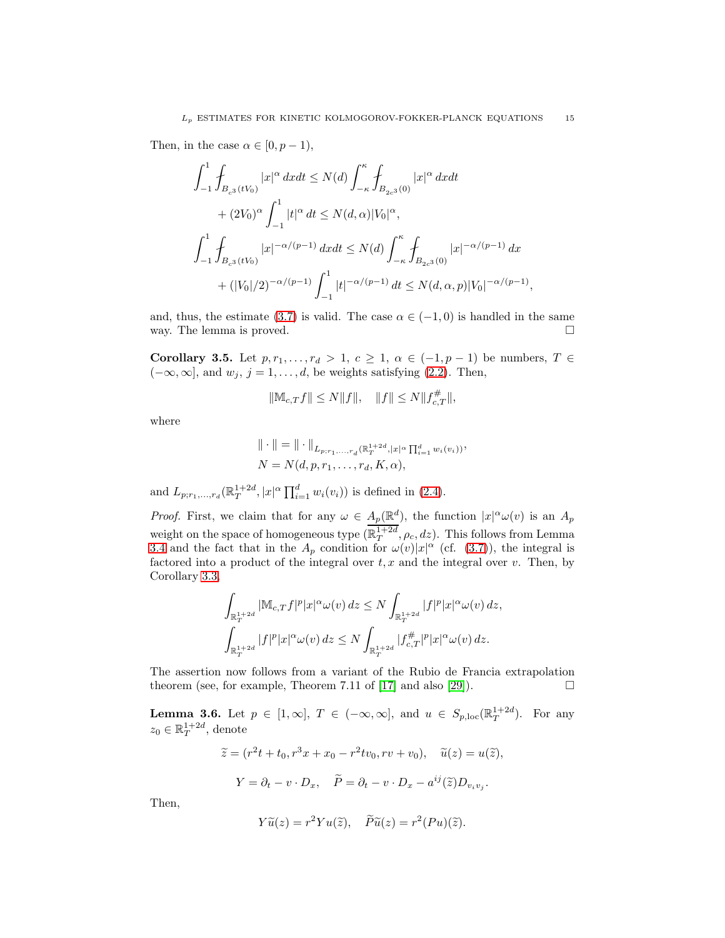Then, in the case  $\alpha \in [0, p-1)$ ,

$$
\int_{-1}^{1} \int_{B_{c^{3}}(tV_{0})} |x|^{\alpha} dxdt \leq N(d) \int_{-\kappa}^{\kappa} \int_{B_{2c^{3}}(0)} |x|^{\alpha} dxdt + (2V_{0})^{\alpha} \int_{-1}^{1} |t|^{\alpha} dt \leq N(d,\alpha)|V_{0}|^{\alpha},\int_{-1}^{1} \int_{B_{c^{3}}(tV_{0})} |x|^{-\alpha/(p-1)} dxdt \leq N(d) \int_{-\kappa}^{\kappa} \int_{B_{2c^{3}}(0)} |x|^{-\alpha/(p-1)} dx + (|V_{0}|/2)^{-\alpha/(p-1)} \int_{-1}^{1} |t|^{-\alpha/(p-1)} dt \leq N(d,\alpha,p)|V_{0}|^{-\alpha/(p-1)}
$$

and, thus, the estimate [\(3.7\)](#page-12-0) is valid. The case  $\alpha \in (-1,0)$  is handled in the same way. The lemma is proved.

,

Corollary 3.5. Let  $p, r_1, \ldots, r_d > 1, c \geq 1, \alpha \in (-1, p-1)$  be numbers,  $T \in$  $(-\infty, \infty]$ , and  $w_j$ ,  $j = 1, \ldots, d$ , be weights satisfying [\(2.2\)](#page-3-1). Then,

$$
\|\mathbb{M}_{c,T}f\|\leq N\|f\|,\quad \|f\|\leq N\|f_{c,T}^\#\|,
$$

where

$$
\|\cdot\| = \|\cdot\|_{L_{p;r_1,...,r_d}(\mathbb{R}_T^{1+2d}, |x|^{\alpha} \prod_{i=1}^d w_i(v_i))},
$$
  

$$
N = N(d, p, r_1, ..., r_d, K, \alpha),
$$

and  $L_{p;r_1,...,r_d}(\mathbb{R}^{1+2d}_T, |x|^{\alpha} \prod_{i=1}^d w_i(v_i))$  is defined in [\(2.4\)](#page-3-4).

*Proof.* First, we claim that for any  $\omega \in A_p(\mathbb{R}^d)$ , the function  $|x|^\alpha \omega(v)$  is an  $A_p$ weight on the space of homogeneous type  $(\mathbb{R}_T^{1+2d}, \rho_c, dz)$ . This follows from Lemma [3.4](#page-12-1) and the fact that in the  $A_p$  condition for  $\omega(v)|x|^\alpha$  (cf. [\(3.7\)](#page-12-0)), the integral is factored into a product of the integral over  $t, x$  and the integral over v. Then, by Corollary [3.3,](#page-12-2)

$$
\int_{\mathbb{R}_T^{1+2d}} |\mathbb{M}_{c,T} f|^p |x|^\alpha \omega(v) dz \le N \int_{\mathbb{R}_T^{1+2d}} |f|^p |x|^\alpha \omega(v) dz,
$$
  

$$
\int_{\mathbb{R}_T^{1+2d}} |f|^p |x|^\alpha \omega(v) dz \le N \int_{\mathbb{R}_T^{1+2d}} |f_{c,T}^{\#}|^p |x|^\alpha \omega(v) dz.
$$

The assertion now follows from a variant of the Rubio de Francia extrapolation theorem (see, for example, Theorem 7.11 of [\[17\]](#page-54-24) and also [\[29\]](#page-54-25)).  $\Box$ 

<span id="page-14-0"></span>**Lemma 3.6.** Let  $p \in [1,\infty]$ ,  $T \in (-\infty,\infty]$ , and  $u \in S_{p,\text{loc}}(\mathbb{R}^{1+2d}_T)$ . For any  $z_0 \in \mathbb{R}^{1+2d}_T$ , denote

$$
\widetilde{z} = (r^2t + t_0, r^3x + x_0 - r^2tv_0, rv + v_0), \quad \widetilde{u}(z) = u(\widetilde{z}),
$$

$$
Y = \partial_t - v \cdot D_x, \quad \widetilde{P} = \partial_t - v \cdot D_x - a^{ij}(\widetilde{z})D_{v_iv_j}.
$$

Then,

$$
Y\widetilde{u}(z) = r^2Yu(\widetilde{z}), \quad \widetilde{P}\widetilde{u}(z) = r^2(Pu)(\widetilde{z}).
$$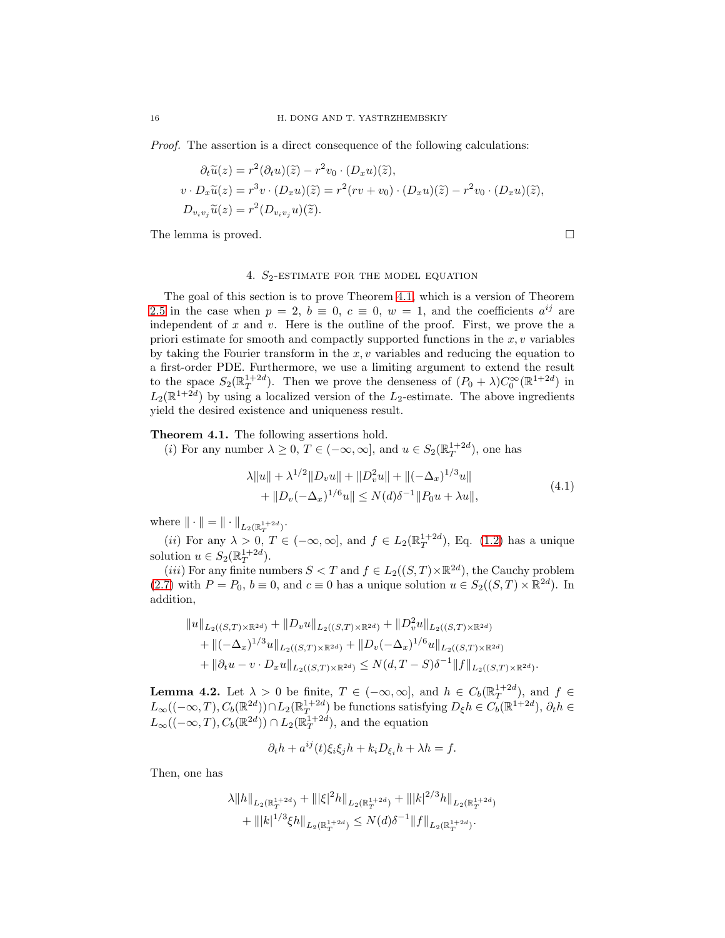*Proof.* The assertion is a direct consequence of the following calculations:

$$
\partial_t \widetilde{u}(z) = r^2 (\partial_t u)(\widetilde{z}) - r^2 v_0 \cdot (D_x u)(\widetilde{z}),
$$
  

$$
v \cdot D_x \widetilde{u}(z) = r^3 v \cdot (D_x u)(\widetilde{z}) = r^2 (rv + v_0) \cdot (D_x u)(\widetilde{z}) - r^2 v_0 \cdot (D_x u)(\widetilde{z}),
$$
  

$$
D_{v_i v_j} \widetilde{u}(z) = r^2 (D_{v_i v_j} u)(\widetilde{z}).
$$

<span id="page-15-0"></span>The lemma is proved.

## 4.  $S_2$ -ESTIMATE FOR THE MODEL EQUATION

The goal of this section is to prove Theorem [4.1,](#page-15-1) which is a version of Theorem [2.5](#page-6-1) in the case when  $p = 2$ ,  $b \equiv 0$ ,  $c \equiv 0$ ,  $w = 1$ , and the coefficients  $a^{ij}$  are independent of  $x$  and  $v$ . Here is the outline of the proof. First, we prove the a priori estimate for smooth and compactly supported functions in the  $x, v$  variables by taking the Fourier transform in the  $x, y$  variables and reducing the equation to a first-order PDE. Furthermore, we use a limiting argument to extend the result to the space  $S_2(\mathbb{R}^{1+2d}_T)$ . Then we prove the denseness of  $(P_0 + \lambda)C_0^{\infty}(\mathbb{R}^{1+2d})$  in  $L_2(\mathbb{R}^{1+2d})$  by using a localized version of the  $L_2$ -estimate. The above ingredients yield the desired existence and uniqueness result.

<span id="page-15-1"></span>Theorem 4.1. The following assertions hold.

(*i*) For any number  $\lambda \geq 0$ ,  $T \in (-\infty, \infty]$ , and  $u \in S_2(\mathbb{R}^{1+2d}_T)$ , one has

<span id="page-15-2"></span>
$$
\lambda \|u\| + \lambda^{1/2} \|D_v u\| + \|D_v^2 u\| + \|(-\Delta_x)^{1/3} u\| + \|D_v(-\Delta_x)^{1/6} u\| \le N(d)\delta^{-1} \|P_0 u + \lambda u\|,
$$
\n(4.1)

where  $\|\cdot\| = \|\cdot\|_{L_2(\mathbb{R}^{1+2d}_T)}$ .

(*ii*) For any  $\lambda > 0$ ,  $T \in (-\infty, \infty]$ , and  $f \in L_2(\mathbb{R}^{1+2d}_T)$ , Eq. [\(1.2\)](#page-1-0) has a unique solution  $u \in S_2(\mathbb{R}^{1+2d}_T)$ .

(*iii*) For any finite numbers  $S < T$  and  $f \in L_2((S,T) \times \mathbb{R}^{2d})$ , the Cauchy problem [\(2.7\)](#page-5-3) with  $P = P_0$ ,  $b \equiv 0$ , and  $c \equiv 0$  has a unique solution  $u \in S_2((S,T) \times \mathbb{R}^{2d})$ . In addition,

$$
||u||_{L_2((S,T)\times\mathbb{R}^{2d})} + ||D_v u||_{L_2((S,T)\times\mathbb{R}^{2d})} + ||D_v^2 u||_{L_2((S,T)\times\mathbb{R}^{2d})}
$$
  
+ 
$$
||(-\Delta_x)^{1/3}u||_{L_2((S,T)\times\mathbb{R}^{2d})} + ||D_v(-\Delta_x)^{1/6}u||_{L_2((S,T)\times\mathbb{R}^{2d})}
$$
  
+ 
$$
||\partial_t u - v \cdot D_x u||_{L_2((S,T)\times\mathbb{R}^{2d})} \le N(d,T-S)\delta^{-1}||f||_{L_2((S,T)\times\mathbb{R}^{2d})}.
$$

<span id="page-15-3"></span>**Lemma 4.2.** Let  $\lambda > 0$  be finite,  $T \in (-\infty, \infty]$ , and  $h \in C_b(\mathbb{R}^{1+2d}_T)$ , and  $f \in$  $L_\infty((-\infty,T), C_b(\mathbb{R}^{2d})) \cap L_2(\mathbb{R}^{1+2d}_T)$  be functions satisfying  $D_{\xi}h \in C_b(\mathbb{R}^{1+2d}), \partial_t h \in$  $L_{\infty}((-\infty, T), C_b(\mathbb{R}^{2d})) \cap L_2(\mathbb{R}^{1+2d}_T)$ , and the equation

$$
\partial_t h + a^{ij}(t)\xi_i \xi_j h + k_i D_{\xi_i} h + \lambda h = f.
$$

Then, one has

$$
\lambda \|h\|_{L_2(\mathbb{R}_T^{1+2d})} + \||\xi|^2 h\|_{L_2(\mathbb{R}_T^{1+2d})} + \| |k|^{2/3} h\|_{L_2(\mathbb{R}_T^{1+2d})} + \| |k|^{1/3} \xi h\|_{L_2(\mathbb{R}_T^{1+2d})} \le N(d) \delta^{-1} \|f\|_{L_2(\mathbb{R}_T^{1+2d})}.
$$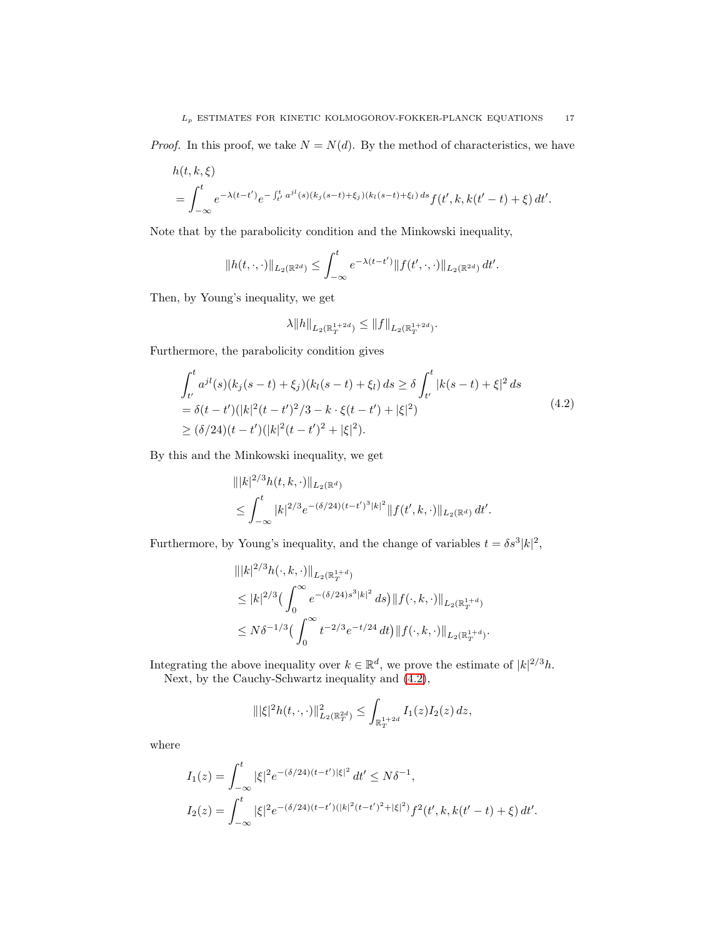*Proof.* In this proof, we take  $N = N(d)$ . By the method of characteristics, we have

$$
h(t, k, \xi)
$$
  
=  $\int_{-\infty}^{t} e^{-\lambda(t - t')} e^{-\int_{t'}^{t} a^{jl}(s)(k_j(s - t) + \xi_j)(k_l(s - t) + \xi_l) ds} f(t', k, k(t' - t) + \xi) dt'.$ 

Note that by the parabolicity condition and the Minkowski inequality,

$$
||h(t,\cdot,\cdot)||_{L_2(\mathbb{R}^{2d})} \leq \int_{-\infty}^t e^{-\lambda(t-t')} ||f(t',\cdot,\cdot)||_{L_2(\mathbb{R}^{2d})} dt'.
$$

Then, by Young's inequality, we get

$$
\lambda \|h\|_{L_2(\mathbb{R}^{1+2d}_T)} \le \|f\|_{L_2(\mathbb{R}^{1+2d}_T)}.
$$

Furthermore, the parabolicity condition gives

<span id="page-16-0"></span>
$$
\int_{t'}^{t} a^{jl}(s)(k_j(s-t) + \xi_j)(k_l(s-t) + \xi_l) ds \ge \delta \int_{t'}^{t} |k(s-t) + \xi|^2 ds
$$
  
=  $\delta(t-t')(|k|^2(t-t')^2/3 - k \cdot \xi(t-t') + |\xi|^2)$   
 $\ge (\delta/24)(t-t')(|k|^2(t-t')^2 + |\xi|^2).$  (4.2)

By this and the Minkowski inequality, we get

$$
|||k|^{2/3}h(t,k,\cdot)||_{L_2(\mathbb{R}^d)}
$$
  
\n
$$
\leq \int_{-\infty}^t |k|^{2/3} e^{-(\delta/24)(t-t')^3|k|^2} ||f(t',k,\cdot)||_{L_2(\mathbb{R}^d)} dt'.
$$

Furthermore, by Young's inequality, and the change of variables  $t = \delta s^3 |k|^2$ ,

$$
|||k|^{2/3}h(\cdot,k,\cdot)||_{L_2(\mathbb{R}_T^{1+d})}
$$
  
\n
$$
\leq |k|^{2/3} \left(\int_0^\infty e^{-(\delta/24)s^3|k|^2} ds\right) ||f(\cdot,k,\cdot)||_{L_2(\mathbb{R}_T^{1+d})}
$$
  
\n
$$
\leq N\delta^{-1/3} \left(\int_0^\infty t^{-2/3}e^{-t/24} dt\right) ||f(\cdot,k,\cdot)||_{L_2(\mathbb{R}_T^{1+d})}.
$$

Integrating the above inequality over  $k \in \mathbb{R}^d$ , we prove the estimate of  $|k|^{2/3}h$ . Next, by the Cauchy-Schwartz inequality and [\(4.2\)](#page-16-0),

$$
\| |\xi|^2 h(t,\cdot,\cdot) \|^2_{L_2(\mathbb{R}^{2d}_T)} \leq \int_{\mathbb{R}^{1+2d}_T} I_1(z) I_2(z) \, dz,
$$

where

$$
I_1(z) = \int_{-\infty}^t |\xi|^2 e^{-(\delta/24)(t-t')|\xi|^2} dt' \le N\delta^{-1},
$$
  
\n
$$
I_2(z) = \int_{-\infty}^t |\xi|^2 e^{-(\delta/24)(t-t')(|k|^2(t-t')^2 + |\xi|^2)} f^2(t',k,k(t'-t) + \xi) dt'.
$$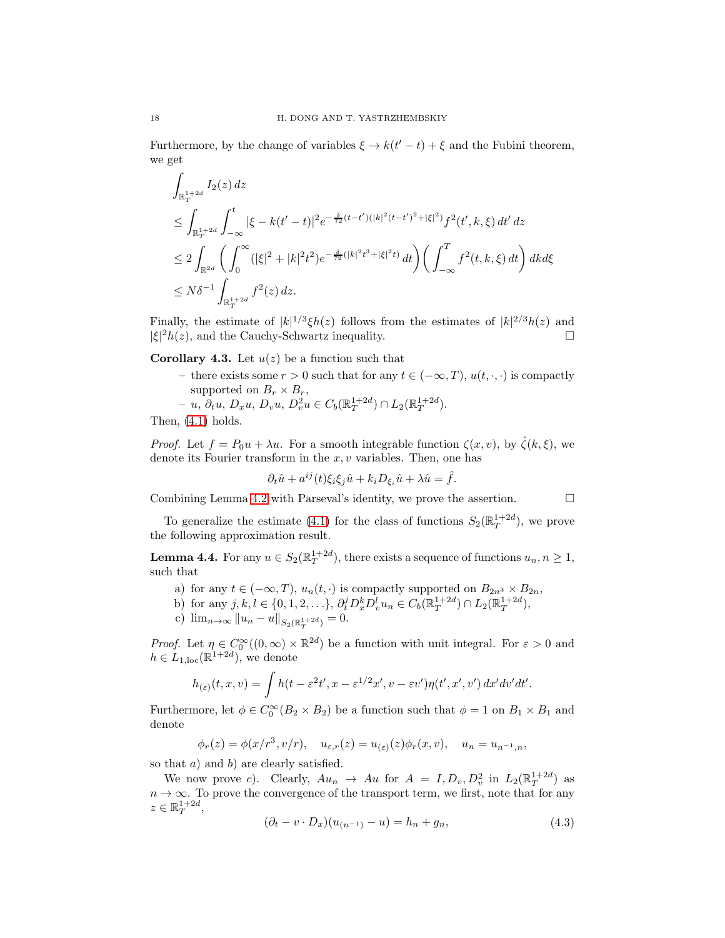Furthermore, by the change of variables  $\xi \to k(t'-t) + \xi$  and the Fubini theorem, we get

$$
\int_{\mathbb{R}_T^{1+2d}} I_2(z) dz
$$
\n
$$
\leq \int_{\mathbb{R}_T^{1+2d}} \int_{-\infty}^t |\xi - k(t'-t)|^2 e^{-\frac{\delta}{72}(t-t')(|k|^2(t-t')^2 + |\xi|^2)} f^2(t',k,\xi) dt' dz
$$
\n
$$
\leq 2 \int_{\mathbb{R}^{2d}} \left( \int_0^\infty (|\xi|^2 + |k|^2 t^2) e^{-\frac{\delta}{72}(|k|^2 t^3 + |\xi|^2 t)} dt \right) \left( \int_{-\infty}^T f^2(t,k,\xi) dt \right) dk d\xi
$$
\n
$$
\leq N \delta^{-1} \int_{\mathbb{R}_T^{1+2d}} f^2(z) dz.
$$

Finally, the estimate of  $|k|^{1/3}\xi h(z)$  follows from the estimates of  $|k|^{2/3}h(z)$  and  $|\xi|^2 h(z)$ , and the Cauchy-Schwartz inequality.

<span id="page-17-2"></span>**Corollary 4.3.** Let  $u(z)$  be a function such that

- there exists some  $r > 0$  such that for any  $t \in (-\infty, T)$ ,  $u(t, \cdot, \cdot)$  is compactly supported on  $B_r \times B_r$ ,
- $u, \partial_t u, D_x u, D_v u, D_v^2 u \in C_b(\mathbb{R}^{1+2d}_T) \cap L_2(\mathbb{R}^{1+2d}_T).$

Then, 
$$
(4.1)
$$
 holds.

*Proof.* Let  $f = P_0u + \lambda u$ . For a smooth integrable function  $\zeta(x, v)$ , by  $\hat{\zeta}(k, \xi)$ , we denote its Fourier transform in the  $x, v$  variables. Then, one has

$$
\partial_t \hat{u} + a^{ij}(t)\xi_i\xi_j\hat{u} + k_i D_{\xi_i}\hat{u} + \lambda \hat{u} = \hat{f}.
$$

Combining Lemma [4.2](#page-15-3) with Parseval's identity, we prove the assertion.  $\Box$ 

To generalize the estimate [\(4.1\)](#page-15-2) for the class of functions  $S_2(\mathbb{R}^{1+2d}_T)$ , we prove the following approximation result.

<span id="page-17-1"></span>**Lemma 4.4.** For any  $u \in S_2(\mathbb{R}^{1+2d}_T)$ , there exists a sequence of functions  $u_n, n \geq 1$ , such that

- a) for any  $t \in (-\infty, T)$ ,  $u_n(t, \cdot)$  is compactly supported on  $B_{2n^3} \times B_{2n}$ ,
- b) for any  $j, k, l \in \{0, 1, 2, \ldots\}, \partial_t^j D_x^k D_v^l u_n \in C_b(\mathbb{R}_T^{1+2d}) \cap L_2(\mathbb{R}_T^{1+2d}),$
- c)  $\lim_{n\to\infty} ||u_n u||_{S_2(\mathbb{R}^{1+2d}_T)} = 0.$

*Proof.* Let  $\eta \in C_0^{\infty}((0,\infty) \times \mathbb{R}^{2d})$  be a function with unit integral. For  $\varepsilon > 0$  and  $h \in L_{1,\text{loc}}(\mathbb{R}^{1+2d})$ , we denote

$$
h_{(\varepsilon)}(t,x,v) = \int h(t - \varepsilon^2 t', x - \varepsilon^{1/2} x', v - \varepsilon v') \eta(t', x', v') dx' dv' dt'.
$$

Furthermore, let  $\phi \in C_0^{\infty}(B_2 \times B_2)$  be a function such that  $\phi = 1$  on  $B_1 \times B_1$  and denote

$$
\phi_r(z) = \phi(x/r^3, v/r), \quad u_{\varepsilon,r}(z) = u_{(\varepsilon)}(z)\phi_r(x,v), \quad u_n = u_{n^{-1},n},
$$

so that  $a)$  and  $b)$  are clearly satisfied.

We now prove c). Clearly,  $Au_n \to Au$  for  $A = I, D_v, D_v^2$  in  $L_2(\mathbb{R}^{1+2d}_T)$  as  $n \to \infty$ . To prove the convergence of the transport term, we first, note that for any  $z \in \mathbb{R}^{1+2d}_T,$ 

<span id="page-17-0"></span>
$$
(\partial_t - v \cdot D_x)(u_{(n-1)} - u) = h_n + g_n,
$$
\n(4.3)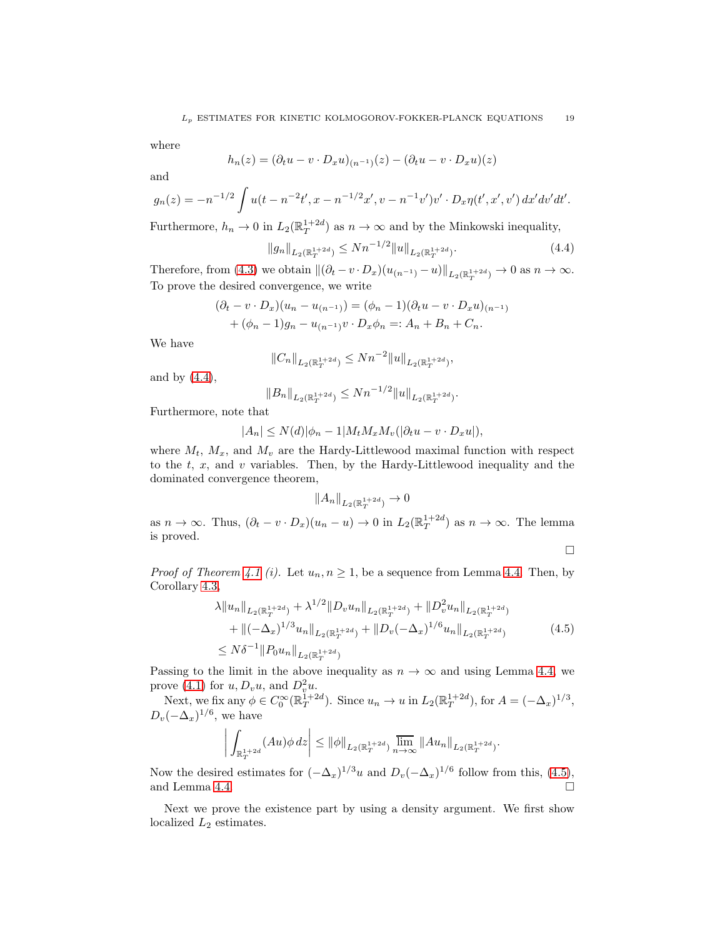where

$$
h_n(z) = (\partial_t u - v \cdot D_x u)_{(n^{-1})}(z) - (\partial_t u - v \cdot D_x u)(z)
$$

and

$$
g_n(z) = -n^{-1/2} \int u(t - n^{-2}t', x - n^{-1/2}x', v - n^{-1}v')v' \cdot D_x \eta(t', x', v') dx' dv' dt'.
$$

Furthermore,  $h_n \to 0$  in  $L_2(\mathbb{R}^{1+2d}_T)$  as  $n \to \infty$  and by the Minkowski inequality,

<span id="page-18-0"></span>
$$
||g_n||_{L_2(\mathbb{R}^{1+2d}_T)} \le Nn^{-1/2}||u||_{L_2(\mathbb{R}^{1+2d}_T)}.
$$
\n(4.4)

Therefore, from [\(4.3\)](#page-17-0) we obtain  $\|(\partial_t - v \cdot D_x)(u_{(n^{-1})} - u)\|_{L_2(\mathbb{R}^{1+2d}_T)} \to 0$  as  $n \to \infty$ . To prove the desired convergence, we write

$$
(\partial_t - v \cdot D_x)(u_n - u_{(n-1)}) = (\phi_n - 1)(\partial_t u - v \cdot D_x u)_{(n-1)} + (\phi_n - 1)g_n - u_{(n-1)}v \cdot D_x \phi_n =: A_n + B_n + C_n.
$$

We have

$$
||C_n||_{L_2(\mathbb{R}^{1+2d}_T)} \le Nn^{-2}||u||_{L_2(\mathbb{R}^{1+2d}_T)},
$$

and by  $(4.4)$ ,

$$
||B_n||_{L_2(\mathbb{R}^{1+2d}_T)} \le Nn^{-1/2}||u||_{L_2(\mathbb{R}^{1+2d}_T)}.
$$

Furthermore, note that

$$
|A_n| \le N(d)|\phi_n - 1|M_t M_x M_v(|\partial_t u - v \cdot D_x u|),
$$

where  $M_t$ ,  $M_x$ , and  $M_y$  are the Hardy-Littlewood maximal function with respect to the  $t$ ,  $x$ , and  $v$  variables. Then, by the Hardy-Littlewood inequality and the dominated convergence theorem,

$$
||A_n||_{L_2(\mathbb{R}^{1+2d}_T)} \to 0
$$

as  $n \to \infty$ . Thus,  $(\partial_t - v \cdot D_x)(u_n - u) \to 0$  in  $L_2(\mathbb{R}^{1+2d}_T)$  as  $n \to \infty$ . The lemma is proved.

 $\Box$ 

*Proof of Theorem [4.1](#page-15-1) (i).* Let  $u_n, n \geq 1$ , be a sequence from Lemma [4.4.](#page-17-1) Then, by Corollary [4.3,](#page-17-2)

<span id="page-18-1"></span>
$$
\lambda \|u_n\|_{L_2(\mathbb{R}_T^{1+2d})} + \lambda^{1/2} \|D_v u_n\|_{L_2(\mathbb{R}_T^{1+2d})} + \|D_v^2 u_n\|_{L_2(\mathbb{R}_T^{1+2d})} \n+ \|(-\Delta_x)^{1/3} u_n\|_{L_2(\mathbb{R}_T^{1+2d})} + \|D_v(-\Delta_x)^{1/6} u_n\|_{L_2(\mathbb{R}_T^{1+2d})}
$$
\n
$$
\leq N\delta^{-1} \|P_0 u_n\|_{L_2(\mathbb{R}_T^{1+2d})}
$$
\n(4.5)

Passing to the limit in the above inequality as  $n \to \infty$  and using Lemma [4.4,](#page-17-1) we prove [\(4.1\)](#page-15-2) for  $u, D_v u$ , and  $D_v^2 u$ .

Next, we fix any  $\phi \in C_0^{\infty}(\mathbb{R}^{1+2d}_T)$ . Since  $u_n \to u$  in  $L_2(\mathbb{R}^{1+2d}_T)$ , for  $A = (-\Delta_x)^{1/3}$ ,  $D_v(-\Delta_x)^{1/6}$ , we have

$$
\left| \int_{\mathbb{R}^{1+2d}_T} (Au) \phi \, dz \right| \leq \|\phi\|_{L_2(\mathbb{R}^{1+2d}_T)} \lim_{n \to \infty} \|Au_n\|_{L_2(\mathbb{R}^{1+2d}_T)}.
$$

Now the desired estimates for  $(-\Delta_x)^{1/3}u$  and  $D_v(-\Delta_x)^{1/6}$  follow from this, [\(4.5\)](#page-18-1), and Lemma [4.4.](#page-17-1)

Next we prove the existence part by using a density argument. We first show localized  $L_2$  estimates.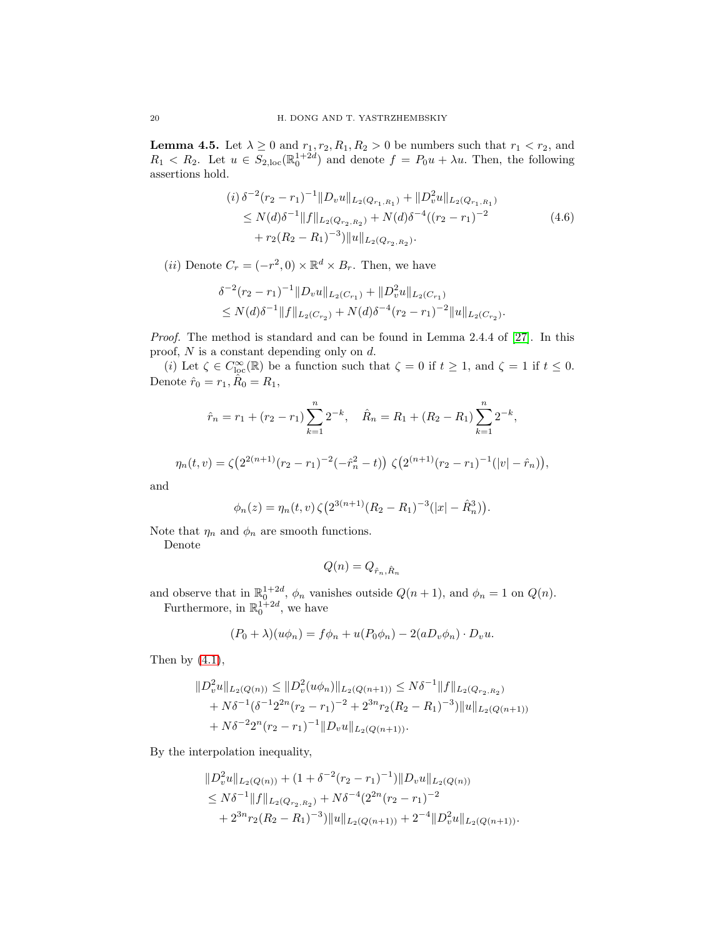<span id="page-19-1"></span>**Lemma 4.5.** Let  $\lambda \geq 0$  and  $r_1, r_2, R_1, R_2 > 0$  be numbers such that  $r_1 < r_2$ , and  $R_1 < R_2$ . Let  $u \in S_{2,\text{loc}}(\mathbb{R}^{1+2d}_{0})$  and denote  $f = P_0u + \lambda u$ . Then, the following assertions hold.

<span id="page-19-0"></span>
$$
(i) \delta^{-2} (r_2 - r_1)^{-1} \|D_v u\|_{L_2(Q_{r_1, R_1})} + \|D_v^2 u\|_{L_2(Q_{r_1, R_1})}
$$
  
\n
$$
\leq N(d) \delta^{-1} \|f\|_{L_2(Q_{r_2, R_2})} + N(d) \delta^{-4} ((r_2 - r_1)^{-2})
$$
  
\n
$$
+ r_2 (R_2 - R_1)^{-3}) \|u\|_{L_2(Q_{r_2, R_2})}.
$$
\n(4.6)

(*ii*) Denote  $C_r = (-r^2, 0) \times \mathbb{R}^d \times B_r$ . Then, we have

$$
\delta^{-2}(r_2 - r_1)^{-1} ||D_v u||_{L_2(C_{r_1})} + ||D_v^2 u||_{L_2(C_{r_1})}
$$
  
\n
$$
\leq N(d)\delta^{-1} ||f||_{L_2(C_{r_2})} + N(d)\delta^{-4}(r_2 - r_1)^{-2} ||u||_{L_2(C_{r_2})}.
$$

*Proof.* The method is standard and can be found in Lemma 2.4.4 of [\[27\]](#page-54-2). In this proof,  $N$  is a constant depending only on  $d$ .

(i) Let  $\zeta \in C^{\infty}_{loc}(\mathbb{R})$  be a function such that  $\zeta = 0$  if  $t \geq 1$ , and  $\zeta = 1$  if  $t \leq 0$ . Denote  $\hat{r}_0 = r_1, \hat{R}_0 = R_1,$ 

$$
\hat{r}_n = r_1 + (r_2 - r_1) \sum_{k=1}^n 2^{-k}, \quad \hat{R}_n = R_1 + (R_2 - R_1) \sum_{k=1}^n 2^{-k},
$$
  

$$
\eta_n(t, v) = \zeta(2^{2(n+1)}(r_2 - r_1)^{-2}(-\hat{r}_n^2 - t)) \zeta(2^{(n+1)}(r_2 - r_1)^{-1}(|v| - \hat{r}_n)),
$$

$$
\phi_n(z) = \eta_n(t, v) \zeta(2^{3(n+1)}(R_2 - R_1)^{-3}(|x| - \hat{R}_n^3)).
$$

Note that  $\eta_n$  and  $\phi_n$  are smooth functions.

Denote

and

$$
Q(n) = Q_{\hat{r}_n, \hat{R}_n}
$$

and observe that in  $\mathbb{R}^{1+2d}_{0}$ ,  $\phi_n$  vanishes outside  $Q(n+1)$ , and  $\phi_n = 1$  on  $Q(n)$ . Furthermore, in  $\mathbb{R}^{1+2d}_0$ , we have

$$
(P_0 + \lambda)(u\phi_n) = f\phi_n + u(P_0\phi_n) - 2(aD_v\phi_n) \cdot D_v u.
$$

Then by  $(4.1)$ ,

$$
||D_v^2 u||_{L_2(Q(n))} \le ||D_v^2(u\phi_n)||_{L_2(Q(n+1))} \le N\delta^{-1}||f||_{L_2(Q_{r_2,R_2})}
$$
  
+  $N\delta^{-1}(\delta^{-1}2^{2n}(r_2 - r_1)^{-2} + 2^{3n}r_2(R_2 - R_1)^{-3})||u||_{L_2(Q(n+1))}$   
+  $N\delta^{-2}2^n(r_2 - r_1)^{-1}||D_vu||_{L_2(Q(n+1))}$ .

By the interpolation inequality,

$$
||D_v^2 u||_{L_2(Q(n))} + (1 + \delta^{-2}(r_2 - r_1)^{-1}) ||D_v u||_{L_2(Q(n))}
$$
  
\n
$$
\leq N\delta^{-1} ||f||_{L_2(Q_{r_2, R_2})} + N\delta^{-4} (2^{2n} (r_2 - r_1)^{-2}
$$
  
\n
$$
+ 2^{3n} r_2 (R_2 - R_1)^{-3}) ||u||_{L_2(Q(n+1))} + 2^{-4} ||D_v^2 u||_{L_2(Q(n+1))}.
$$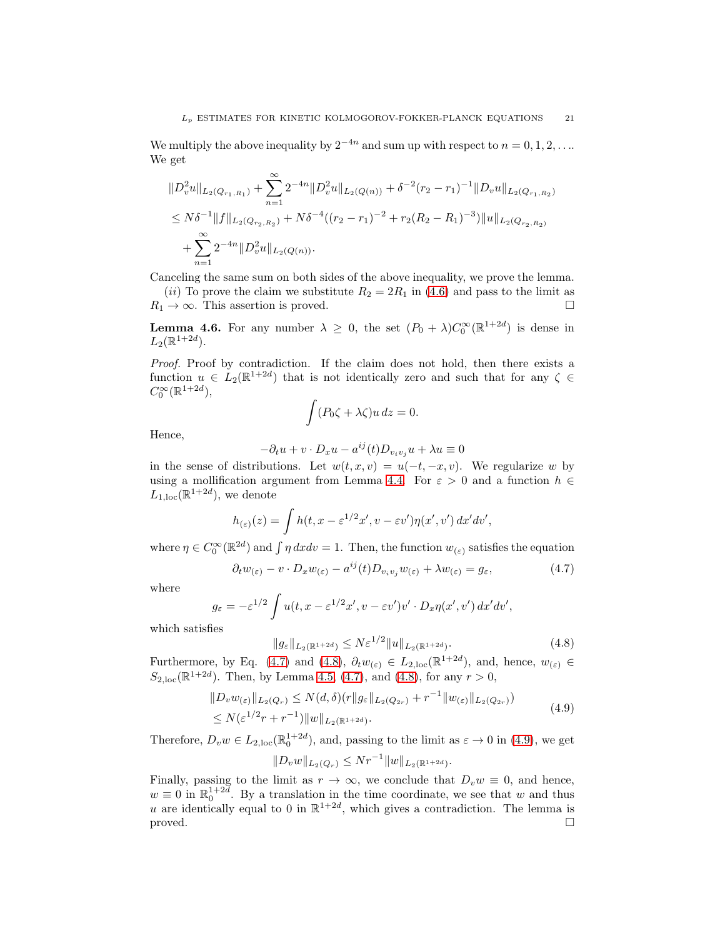We multiply the above inequality by  $2^{-4n}$  and sum up with respect to  $n = 0, 1, 2, \ldots$ We get

$$
\begin{aligned} &\|D_v^2u\|_{L_2(Q_{r_1,R_1})}+\sum_{n=1}^\infty 2^{-4n}\|D_v^2u\|_{L_2(Q(n))}+\delta^{-2}(r_2-r_1)^{-1}\|D_vu\|_{L_2(Q_{r_1,R_2})}\\ &\leq N\delta^{-1}\|f\|_{L_2(Q_{r_2,R_2})}+N\delta^{-4}((r_2-r_1)^{-2}+r_2(R_2-R_1)^{-3})\|u\|_{L_2(Q_{r_2,R_2)}}\\ &+\sum_{n=1}^\infty 2^{-4n}\|D_v^2u\|_{L_2(Q(n))}. \end{aligned}
$$

Canceling the same sum on both sides of the above inequality, we prove the lemma. (ii) To prove the claim we substitute  $R_2 = 2R_1$  in [\(4.6\)](#page-19-0) and pass to the limit as  $R_1 \rightarrow \infty$ . This assertion is proved.

<span id="page-20-3"></span>**Lemma 4.6.** For any number  $\lambda \geq 0$ , the set  $(P_0 + \lambda)C_0^{\infty}(\mathbb{R}^{1+2d})$  is dense in  $L_2(\mathbb{R}^{1+2d}).$ 

*Proof.* Proof by contradiction. If the claim does not hold, then there exists a function  $u \in L_2(\mathbb{R}^{1+2d})$  that is not identically zero and such that for any  $\zeta \in$  $C_0^{\infty}(\mathbb{R}^{1+2d}),$ 

$$
\int (P_0\zeta + \lambda\zeta)u\,dz = 0.
$$

Hence,

$$
-\partial_t u + v \cdot D_x u - a^{ij}(t)D_{v_i v_j} u + \lambda u \equiv 0
$$

in the sense of distributions. Let  $w(t, x, v) = u(-t, -x, v)$ . We regularize w by using a mollification argument from Lemma [4.4.](#page-17-1) For  $\varepsilon > 0$  and a function  $h \in$  $L_{1,\text{loc}}(\mathbb{R}^{1+2d})$ , we denote

$$
h_{(\varepsilon)}(z) = \int h(t, x - \varepsilon^{1/2} x', v - \varepsilon v') \eta(x', v') dx' dv',
$$

where  $\eta \in C_0^{\infty}(\mathbb{R}^{2d})$  and  $\int \eta \, dx dv = 1$ . Then, the function  $w_{(\varepsilon)}$  satisfies the equation

<span id="page-20-0"></span>
$$
\partial_t w_{(\varepsilon)} - v \cdot D_x w_{(\varepsilon)} - a^{ij}(t) D_{v_i v_j} w_{(\varepsilon)} + \lambda w_{(\varepsilon)} = g_{\varepsilon}, \tag{4.7}
$$

where

$$
g_{\varepsilon} = -\varepsilon^{1/2} \int u(t, x - \varepsilon^{1/2} x', v - \varepsilon v')v' \cdot D_x \eta(x', v') dx' dv',
$$

which satisfies

<span id="page-20-1"></span>
$$
||g_{\varepsilon}||_{L_2(\mathbb{R}^{1+2d})} \le N\varepsilon^{1/2}||u||_{L_2(\mathbb{R}^{1+2d})}.
$$
\n(4.8)

Furthermore, by Eq. [\(4.7\)](#page-20-0) and [\(4.8\)](#page-20-1),  $\partial_t w_{(\varepsilon)} \in L_{2,loc}(\mathbb{R}^{1+2d})$ , and, hence,  $w_{(\varepsilon)} \in$  $S_{2,\text{loc}}(\mathbb{R}^{1+2d})$ . Then, by Lemma [4.5,](#page-19-1) [\(4.7\)](#page-20-0), and [\(4.8\)](#page-20-1), for any  $r > 0$ ,

<span id="page-20-2"></span>
$$
||D_v w_{(\varepsilon)}||_{L_2(Q_r)} \le N(d,\delta)(r||g_{\varepsilon}||_{L_2(Q_{2r})} + r^{-1}||w_{(\varepsilon)}||_{L_2(Q_{2r})})
$$
  
 
$$
\le N(\varepsilon^{1/2}r + r^{-1})||w||_{L_2(\mathbb{R}^{1+2d})}.
$$
 (4.9)

Therefore,  $D_v w \in L_{2,loc}(\mathbb{R}^{1+2d}_0)$ , and, passing to the limit as  $\varepsilon \to 0$  in [\(4.9\)](#page-20-2), we get  $||D_v w||_{L_2(Q_r)} \leq N r^{-1} ||w||_{L_2(\mathbb{R}^{1+2d})}.$ 

Finally, passing to the limit as 
$$
r \to \infty
$$
, we conclude that  $D_v w \equiv 0$ , and hence,  
  $w \equiv 0$  in  $\mathbb{R}_0^{1+2d}$ . By a translation in the time coordinate, we see that w and thus  
u are identically equal to 0 in  $\mathbb{R}^{1+2d}$ , which gives a contradiction. The lemma is  
proved.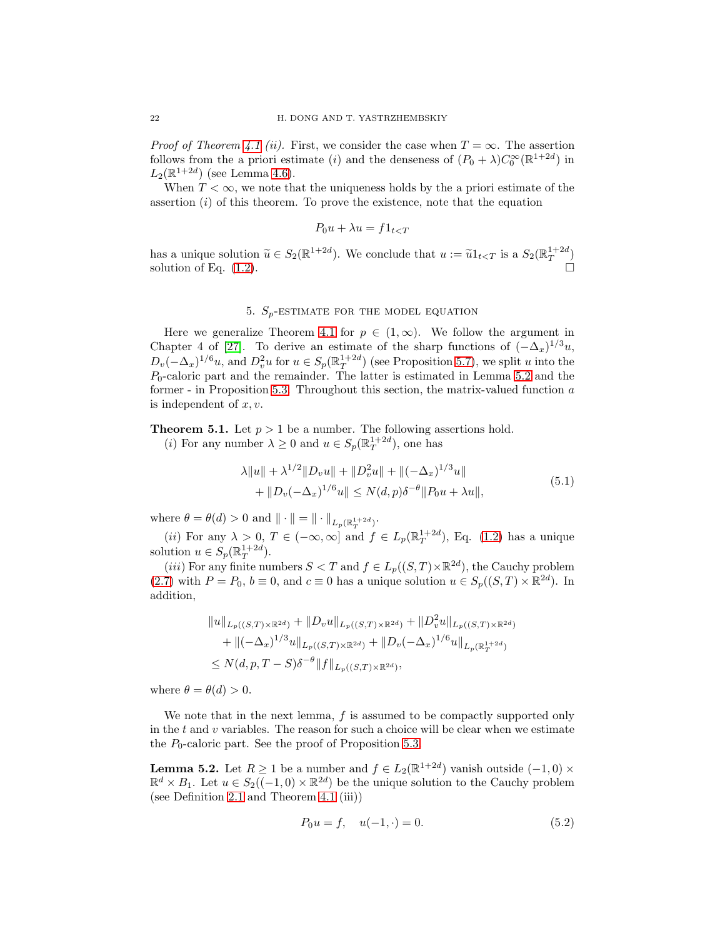*Proof of Theorem [4.1](#page-15-1) (ii).* First, we consider the case when  $T = \infty$ . The assertion follows from the a priori estimate (*i*) and the denseness of  $(P_0 + \lambda)C_0^{\infty}(\mathbb{R}^{1+2d})$  in  $L_2(\mathbb{R}^{1+2d})$  (see Lemma [4.6\)](#page-20-3).

When  $T < \infty$ , we note that the uniqueness holds by the a priori estimate of the assertion  $(i)$  of this theorem. To prove the existence, note that the equation

$$
P_0 u + \lambda u = f \mathbb{1}_{t < T}
$$

has a unique solution  $\widetilde{u} \in S_2(\mathbb{R}^{1+2d})$ . We conclude that  $u := \widetilde{u}1_{t < T}$  is a  $S_2(\mathbb{R}^{1+2d})$ solution of Eq.  $(1.2)$ .

## 5.  $S_p$ -ESTIMATE FOR THE MODEL EQUATION

<span id="page-21-0"></span>Here we generalize Theorem [4.1](#page-15-1) for  $p \in (1,\infty)$ . We follow the argument in Chapter 4 of [\[27\]](#page-54-2). To derive an estimate of the sharp functions of  $(-\Delta_x)^{1/3}u$ ,  $D_v(-\Delta_x)^{1/6}u$ , and  $D_v^2u$  for  $u \in S_p(\mathbb{R}_T^{1+2d})$  (see Proposition [5.7\)](#page-30-0), we split u into the  $P_0$ -caloric part and the remainder. The latter is estimated in Lemma [5.2](#page-21-2) and the former - in Proposition [5.3.](#page-24-0) Throughout this section, the matrix-valued function a is independent of  $x, v$ .

<span id="page-21-1"></span>**Theorem 5.1.** Let  $p > 1$  be a number. The following assertions hold.

(*i*) For any number  $\lambda \geq 0$  and  $u \in S_p(\mathbb{R}^{1+2d}_T)$ , one has

<span id="page-21-4"></span>
$$
\lambda \|u\| + \lambda^{1/2} \|D_v u\| + \|D_v^2 u\| + \|(-\Delta_x)^{1/3} u\| + \|D_v(-\Delta_x)^{1/6} u\| \le N(d, p)\delta^{-\theta} \|P_0 u + \lambda u\|,
$$
\n(5.1)

where  $\theta = \theta(d) > 0$  and  $\|\cdot\| = \|\cdot\|_{L_p(\mathbb{R}^{1+2d}_T)}.$ 

(*ii*) For any  $\lambda > 0$ ,  $T \in (-\infty, \infty]$  and  $f \in L_p(\mathbb{R}^{1+2d}_T)$ , Eq. [\(1.2\)](#page-1-0) has a unique solution  $u \in S_p(\mathbb{R}^{1+2d}_T)$ .

(*iii*) For any finite numbers  $S < T$  and  $f \in L_p((S,T) \times \mathbb{R}^{2d})$ , the Cauchy problem [\(2.7\)](#page-5-3) with  $P = P_0$ ,  $b \equiv 0$ , and  $c \equiv 0$  has a unique solution  $u \in S_p((S,T) \times \mathbb{R}^{2d})$ . In addition,

$$
||u||_{L_p((S,T)\times\mathbb{R}^{2d})} + ||D_v u||_{L_p((S,T)\times\mathbb{R}^{2d})} + ||D_v^2 u||_{L_p((S,T)\times\mathbb{R}^{2d})}
$$
  
+ 
$$
||(-\Delta_x)^{1/3}u||_{L_p((S,T)\times\mathbb{R}^{2d})} + ||D_v(-\Delta_x)^{1/6}u||_{L_p(\mathbb{R}^{1+2d}_T)}
$$
  

$$
\leq N(d,p,T-S)\delta^{-\theta}||f||_{L_p((S,T)\times\mathbb{R}^{2d})},
$$

where  $\theta = \theta(d) > 0$ .

We note that in the next lemma,  $f$  is assumed to be compactly supported only in the  $t$  and  $v$  variables. The reason for such a choice will be clear when we estimate the  $P_0$ -caloric part. See the proof of Proposition [5.3.](#page-24-0)

<span id="page-21-2"></span>**Lemma 5.2.** Let  $R \ge 1$  be a number and  $f \in L_2(\mathbb{R}^{1+2d})$  vanish outside  $(-1,0) \times$  $\mathbb{R}^d \times B_1$ . Let  $u \in S_2((-1,0) \times \mathbb{R}^{2d})$  be the unique solution to the Cauchy problem (see Definition [2.1](#page-5-6) and Theorem [4.1](#page-15-1) (iii))

<span id="page-21-3"></span>
$$
P_0 u = f, \quad u(-1, \cdot) = 0. \tag{5.2}
$$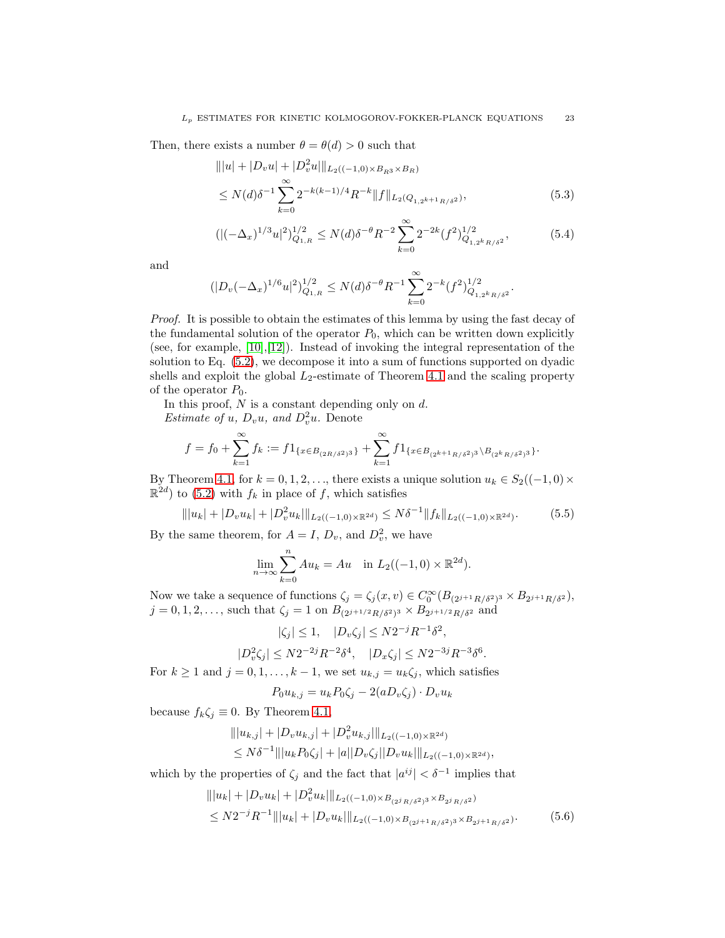Then, there exists a number  $\theta = \theta(d) > 0$  such that

<span id="page-22-2"></span>
$$
\| |u| + |D_v u| + |D_v^2 u| \|_{L_2((-1,0) \times B_{R^3} \times B_R)}
$$
  
\n
$$
\leq N(d) \delta^{-1} \sum_{k=0}^{\infty} 2^{-k(k-1)/4} R^{-k} \|f\|_{L_2(Q_{1,2^{k+1}R/\delta^2})},
$$
\n(5.3)

<span id="page-22-3"></span>
$$
((|(-\Delta_x)^{1/3}u|^2)_{Q_{1,R}}^{1/2} \le N(d)\delta^{-\theta}R^{-2}\sum_{k=0}^{\infty}2^{-2k}(f^2)_{Q_{1,2^kR/\delta^2}}^{1/2},\tag{5.4}
$$

and

$$
(|D_v(-\Delta_x)^{1/6}u|^2)_{Q_{1,R}}^{1/2} \le N(d)\delta^{-\theta}R^{-1}\sum_{k=0}^{\infty} 2^{-k}(f^2)_{Q_{1,2^kR/\delta^2}}^{1/2}.
$$

*Proof.* It is possible to obtain the estimates of this lemma by using the fast decay of the fundamental solution of the operator  $P_0$ , which can be written down explicitly (see, for example,  $[10], [12]$  $[10], [12]$ ). Instead of invoking the integral representation of the solution to Eq. [\(5.2\)](#page-21-3), we decompose it into a sum of functions supported on dyadic shells and exploit the global  $L_2$ -estimate of Theorem [4.1](#page-15-1) and the scaling property of the operator  $P_0$ .

In this proof,  $N$  is a constant depending only on  $d$ .

*Estimate of u,*  $D_v u$ *, and*  $D_v^2 u$ *.* Denote

$$
f=f_0+\sum_{k=1}^{\infty}f_k:=f1_{\{x\in B_{(2R/\delta^2)^3}\}}+\sum_{k=1}^{\infty}f1_{\{x\in B_{(2^{k+1}R/\delta^2)^3}\backslash B_{(2^kR/\delta^2)^3}\}}.
$$

By Theorem [4.1,](#page-15-1) for  $k = 0, 1, 2, \ldots$ , there exists a unique solution  $u_k \in S_2((-1, 0) \times \mathbb{R})$  $\mathbb{R}^{2d}$  to [\(5.2\)](#page-21-3) with  $f_k$  in place of f, which satisfies

<span id="page-22-0"></span>
$$
\| |u_k| + |D_v u_k| + |D_v^2 u_k| \|_{L_2((-1,0)\times \mathbb{R}^{2d})} \le N\delta^{-1} \| f_k \|_{L_2((-1,0)\times \mathbb{R}^{2d})}.
$$
 (5.5)

By the same theorem, for  $A = I$ ,  $D_v$ , and  $D_v^2$ , we have

$$
\lim_{n \to \infty} \sum_{k=0}^{n} Au_k = Au \text{ in } L_2((-1,0) \times \mathbb{R}^{2d}).
$$

Now we take a sequence of functions  $\zeta_j = \zeta_j(x, v) \in C_0^{\infty}(B_{(2^{j+1}R/\delta^2)^3} \times B_{2^{j+1}R/\delta^2}),$  $j = 0, 1, 2, \ldots$ , such that  $\zeta_j = 1$  on  $B_{(2^{j+1/2}R/\delta^2)^3} \times B_{2^{j+1/2}R/\delta^2}$  and

$$
|\zeta_j| \le 1, \quad |D_v \zeta_j| \le N2^{-j} R^{-1} \delta^2,
$$
  

$$
|D_v^2 \zeta_j| \le N2^{-2j} R^{-2} \delta^4, \quad |D_x \zeta_j| \le N2^{-3j} R^{-3} \delta^6.
$$

For  $k \ge 1$  and  $j = 0, 1, \ldots, k - 1$ , we set  $u_{k,j} = u_k \zeta_j$ , which satisfies

<span id="page-22-1"></span>
$$
P_0 u_{k,j} = u_k P_0 \zeta_j - 2(a D_v \zeta_j) \cdot D_v u_k
$$

because  $f_k \zeta_j \equiv 0$ . By Theorem [4.1,](#page-15-1)

$$
|||u_{k,j}| + |D_v u_{k,j}| + |D_v^2 u_{k,j}|||_{L_2((-1,0)\times \mathbb{R}^{2d})}
$$
  
\n
$$
\leq N\delta^{-1}|||u_k P_0 \zeta_j| + |a||D_v \zeta_j||D_v u_k|||_{L_2((-1,0)\times \mathbb{R}^{2d})},
$$

which by the properties of  $\zeta_j$  and the fact that  $|a^{ij}| < \delta^{-1}$  implies that

$$
|||u_k| + |D_v u_k| + |D_v^2 u_k|||_{L_2((-1,0) \times B_{(2^j R/\delta^2)^3} \times B_{2^j R/\delta^2})}
$$
  
\n
$$
\le N2^{-j} R^{-1} |||u_k| + |D_v u_k|||_{L_2((-1,0) \times B_{(2^{j+1} R/\delta^2)^3} \times B_{2^{j+1} R/\delta^2})}.
$$
\n(5.6)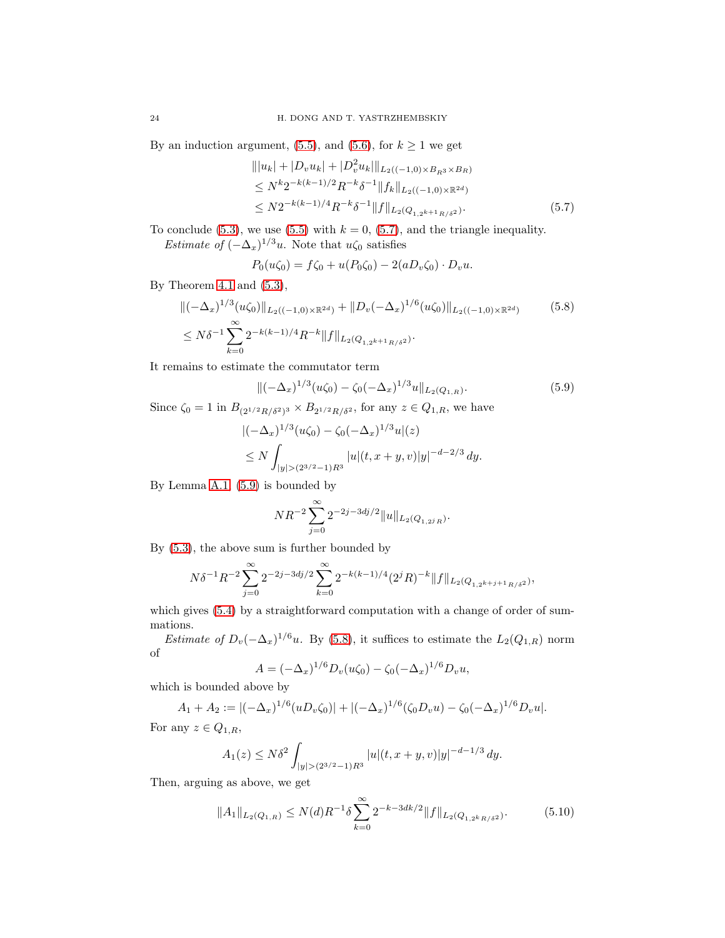By an induction argument, [\(5.5\)](#page-22-0), and [\(5.6\)](#page-22-1), for  $k \geq 1$  we get

<span id="page-23-0"></span>
$$
|||u_k| + |D_v u_k| + |D_v^2 u_k|||_{L_2((-1,0) \times B_{R^3} \times B_R)}
$$
  
\n
$$
\leq N^k 2^{-k(k-1)/2} R^{-k} \delta^{-1} ||f_k||_{L_2((-1,0) \times \mathbb{R}^{2d})}
$$
  
\n
$$
\leq N 2^{-k(k-1)/4} R^{-k} \delta^{-1} ||f||_{L_2(Q_{1,2^{k+1}R/\delta^2})}.
$$
\n(5.7)

To conclude [\(5.3\)](#page-22-2), we use [\(5.5\)](#page-22-0) with  $k = 0$ , [\(5.7\)](#page-23-0), and the triangle inequality. *Estimate of*  $(-\Delta_x)^{1/3}u$ . Note that  $u\zeta_0$  satisfies

<span id="page-23-2"></span>
$$
P_0(u\zeta_0) = f\zeta_0 + u(P_0\zeta_0) - 2(aD_v\zeta_0) \cdot D_v u.
$$

By Theorem [4.1](#page-15-1) and  $(5.3)$ ,

$$
\begin{split} &\|(-\Delta_x)^{1/3}(u\zeta_0)\|_{L_2((-1,0)\times\mathbb{R}^{2d})} + \|D_v(-\Delta_x)^{1/6}(u\zeta_0)\|_{L_2((-1,0)\times\mathbb{R}^{2d})} \\ &\leq N\delta^{-1}\sum_{k=0}^{\infty}2^{-k(k-1)/4}R^{-k}\|f\|_{L_2(Q_{1,2^{k+1}R/\delta^2})}. \end{split} \tag{5.8}
$$

It remains to estimate the commutator term

<span id="page-23-1"></span>
$$
\|(-\Delta_x)^{1/3}(u\zeta_0) - \zeta_0(-\Delta_x)^{1/3}u\|_{L_2(Q_{1,R})}.\tag{5.9}
$$

Since  $\zeta_0 = 1$  in  $B_{(2^{1/2}R/\delta^2)^3} \times B_{2^{1/2}R/\delta^2}$ , for any  $z \in Q_{1,R}$ , we have

$$
\begin{aligned} & |(-\Delta_x)^{1/3}(u\zeta_0) - \zeta_0(-\Delta_x)^{1/3}u|(z) \\ &\le N \int_{|y| > (2^{3/2}-1)R^3} |u|(t, x+y, v)|y|^{-d-2/3} \, dy. \end{aligned}
$$

By Lemma [A.1,](#page-52-0) [\(5.9\)](#page-23-1) is bounded by

$$
NR^{-2} \sum_{j=0}^{\infty} 2^{-2j-3dj/2} ||u||_{L_2(Q_{1,2^jR})}.
$$

By [\(5.3\)](#page-22-2), the above sum is further bounded by

$$
N\delta^{-1}R^{-2}\sum_{j=0}^{\infty}2^{-2j-3dj/2}\sum_{k=0}^{\infty}2^{-k(k-1)/4}(2^jR)^{-k}\|f\|_{L_2(Q_{1,2^{k+j+1}R/\delta^2})},
$$

which gives  $(5.4)$  by a straightforward computation with a change of order of summations.

*Estimate of*  $D_v(-\Delta_x)^{1/6}u$ . By [\(5.8\)](#page-23-2), it suffices to estimate the  $L_2(Q_{1,R})$  norm of

$$
A = (-\Delta_x)^{1/6} D_v(u\zeta_0) - \zeta_0 (-\Delta_x)^{1/6} D_v u,
$$

which is bounded above by

$$
A_1 + A_2 := \left| (-\Delta_x)^{1/6} (u D_v \zeta_0) \right| + \left| (-\Delta_x)^{1/6} (\zeta_0 D_v u) - \zeta_0 (-\Delta_x)^{1/6} D_v u \right|.
$$

For any  $z \in Q_{1,R}$ ,

$$
A_1(z) \le N\delta^2 \int_{|y| > (2^{3/2} - 1)R^3} |u|(t, x + y, v)|y|^{-d-1/3} dy.
$$

Then, arguing as above, we get

<span id="page-23-3"></span>
$$
||A_1||_{L_2(Q_{1,R})} \le N(d)R^{-1}\delta \sum_{k=0}^{\infty} 2^{-k-3dk/2} ||f||_{L_2(Q_{1,2^kR/\delta^2})}.
$$
 (5.10)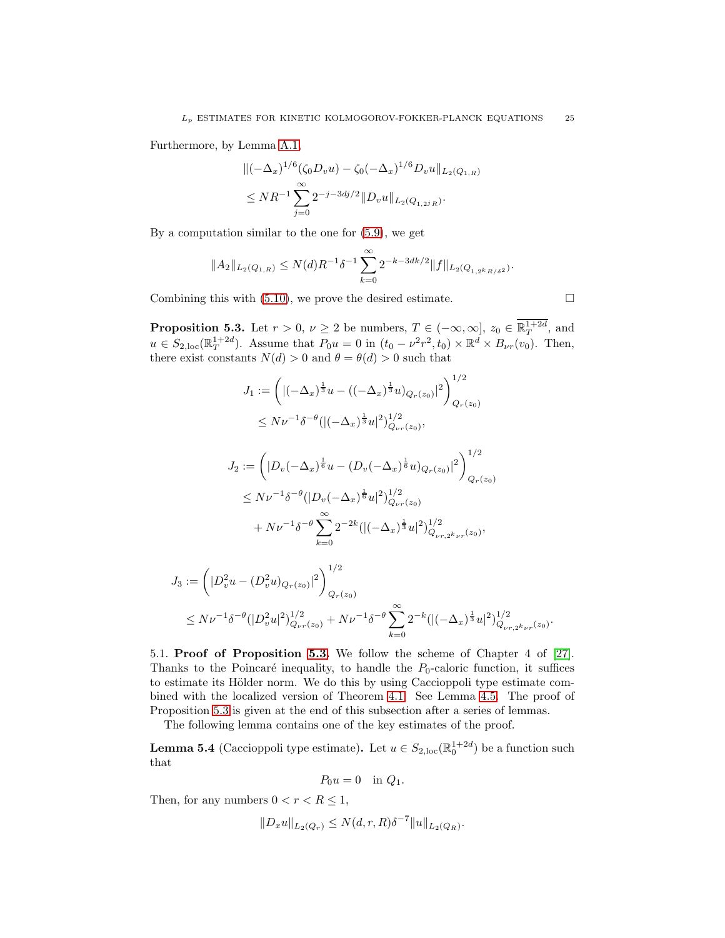Furthermore, by Lemma [A.1,](#page-52-0)

$$
\begin{aligned} &\|(-\Delta_x)^{1/6}(\zeta_0 D_v u) - \zeta_0 (-\Delta_x)^{1/6} D_v u\|_{L_2(Q_{1,R})} \\ &\le N R^{-1} \sum_{j=0}^{\infty} 2^{-j-3dj/2} \|D_v u\|_{L_2(Q_{1,2^j R})} .\end{aligned}
$$

By a computation similar to the one for [\(5.9\)](#page-23-1), we get

$$
||A_2||_{L_2(Q_{1,R})} \le N(d)R^{-1}\delta^{-1} \sum_{k=0}^{\infty} 2^{-k-3dk/2} ||f||_{L_2(Q_{1,2^kR/\delta^2})}.
$$

Combining this with  $(5.10)$ , we prove the desired estimate.  $\Box$ 

<span id="page-24-0"></span>**Proposition 5.3.** Let  $r > 0$ ,  $\nu \geq 2$  be numbers,  $T \in (-\infty, \infty]$ ,  $z_0 \in \overline{\mathbb{R}^{1+2d}_T}$ , and  $u \in S_{2,loc}(\mathbb{R}^{1+2d}_{T})$ . Assume that  $P_0u = 0$  in  $(t_0 - \nu^2 r^2, t_0) \times \mathbb{R}^d \times B_{\nu r}(v_0)$ . Then, there exist constants  $N(d) > 0$  and  $\theta = \theta(d) > 0$  such that

$$
J_1 := \left( |(-\Delta_x)^{\frac{1}{3}} u - ((-\Delta_x)^{\frac{1}{3}} u)_{Q_r(z_0)}|^2 \right)_{Q_r(z_0)}^{1/2}
$$
  
\n
$$
\leq N\nu^{-1} \delta^{-\theta} ( |(-\Delta_x)^{\frac{1}{3}} u|^2)_{Q_{\nu_r}(z_0)}^{1/2},
$$
  
\n
$$
J_2 := \left( |D_v(-\Delta_x)^{\frac{1}{6}} u - (D_v(-\Delta_x)^{\frac{1}{6}} u)_{Q_r(z_0)}|^2 \right)_{Q_r(z_0)}^{1/2}
$$
  
\n
$$
\leq N\nu^{-1} \delta^{-\theta} ( |D_v(-\Delta_x)^{\frac{1}{6}} u|^2)_{Q_{\nu_r}(z_0)}^{1/2}
$$
  
\n
$$
+ N\nu^{-1} \delta^{-\theta} \sum_{k=0}^{\infty} 2^{-2k} ( |(-\Delta_x)^{\frac{1}{3}} u|^2)_{Q_{\nu_r,2^k\nu_r}(z_0)}^{1/2},
$$

$$
J_3 := \left( |D_v^2 u - (D_v^2 u)_{Q_r(z_0)}|^2 \right)_{Q_r(z_0)}^{1/2}
$$
  
 
$$
\leq N \nu^{-1} \delta^{-\theta} (|D_v^2 u|^2)_{Q_{\nu r}(z_0)}^{1/2} + N \nu^{-1} \delta^{-\theta} \sum_{k=0}^{\infty} 2^{-k} (|(-\Delta_x)^{\frac{1}{3}} u|^2)_{Q_{\nu r, 2^k \nu r}(z_0)}^{1/2}.
$$

<span id="page-24-2"></span>5.1. Proof of Proposition [5.3.](#page-24-0) We follow the scheme of Chapter 4 of [\[27\]](#page-54-2). Thanks to the Poincaré inequality, to handle the  $P_0$ -caloric function, it suffices to estimate its Hölder norm. We do this by using Caccioppoli type estimate combined with the localized version of Theorem [4.1.](#page-15-1) See Lemma [4.5.](#page-19-1) The proof of Proposition [5.3](#page-24-0) is given at the end of this subsection after a series of lemmas.

The following lemma contains one of the key estimates of the proof.

<span id="page-24-1"></span>**Lemma 5.4** (Caccioppoli type estimate). Let  $u \in S_{2,\text{loc}}(\mathbb{R}^{1+2d}_{0})$  be a function such that

$$
P_0 u = 0 \quad \text{in } Q_1.
$$

Then, for any numbers  $0 < r < R \leq 1$ ,

$$
||D_x u||_{L_2(Q_r)} \le N(d, r, R)\delta^{-7} ||u||_{L_2(Q_R)}.
$$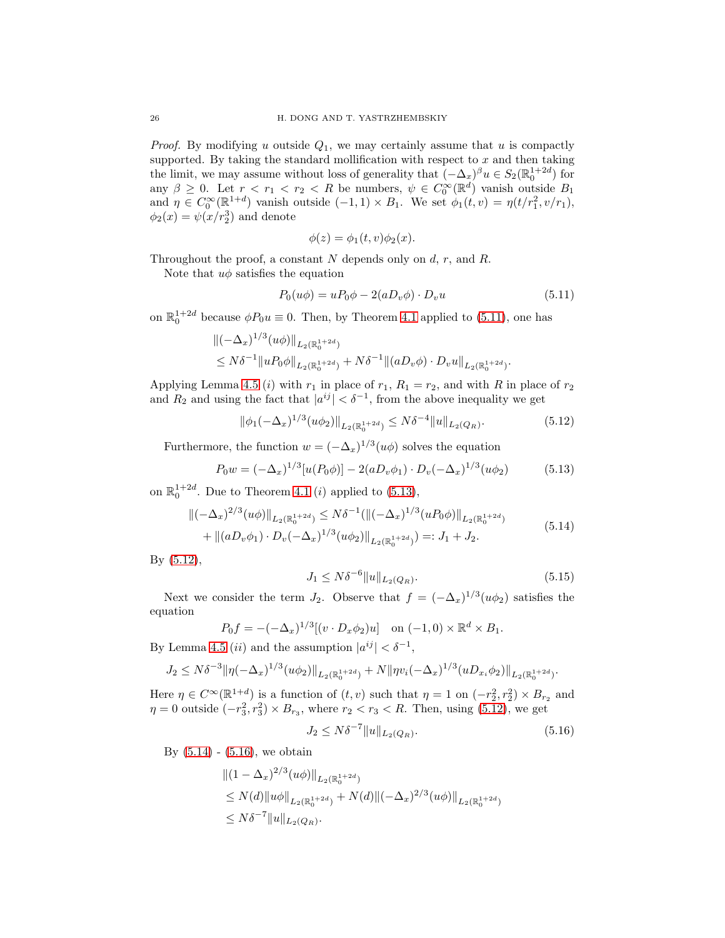*Proof.* By modifying u outside  $Q_1$ , we may certainly assume that u is compactly supported. By taking the standard mollification with respect to  $x$  and then taking the limit, we may assume without loss of generality that  $(-\Delta_x)^\beta u \in S_2(\mathbb{R}^{1+2d}_0)$  for any  $\beta \geq 0$ . Let  $r < r_1 < r_2 < R$  be numbers,  $\psi \in C_0^{\infty}(\mathbb{R}^d)$  vanish outside  $B_1$ and  $\eta \in C_0^{\infty}(\mathbb{R}^{1+d})$  vanish outside  $(-1,1) \times B_1$ . We set  $\phi_1(t,v) = \eta(t/r_1^2, v/r_1)$ ,  $\phi_2(x) = \psi(x/r_2^3)$  and denote

$$
\phi(z) = \phi_1(t, v)\phi_2(x).
$$

Throughout the proof, a constant N depends only on d, r, and R.

Note that  $u\phi$  satisfies the equation

<span id="page-25-0"></span>
$$
P_0(u\phi) = uP_0\phi - 2(aD_v\phi) \cdot D_v u \qquad (5.11)
$$

on  $\mathbb{R}^{1+2d}_0$  because  $\phi P_0u \equiv 0$ . Then, by Theorem [4.1](#page-15-1) applied to [\(5.11\)](#page-25-0), one has

$$
\begin{aligned} &\|(-\Delta_x)^{1/3}(u\phi)\|_{L_2(\mathbb{R}_0^{1+2d})} \\ &\leq N\delta^{-1}\|uP_0\phi\|_{L_2(\mathbb{R}_0^{1+2d})} + N\delta^{-1}\|(aD_v\phi)\cdot D_vu\|_{L_2(\mathbb{R}_0^{1+2d})}.\end{aligned}
$$

Applying Lemma [4.5](#page-19-1) (i) with  $r_1$  in place of  $r_1$ ,  $R_1 = r_2$ , and with R in place of  $r_2$ and  $R_2$  and using the fact that  $|a^{ij}| < \delta^{-1}$ , from the above inequality we get

<span id="page-25-2"></span>
$$
\|\phi_1(-\Delta_x)^{1/3}(u\phi_2)\|_{L_2(\mathbb{R}_0^{1+2d})} \le N\delta^{-4} \|u\|_{L_2(Q_R)}.
$$
\n(5.12)

Furthermore, the function  $w = (-\Delta_x)^{1/3}(u\phi)$  solves the equation

<span id="page-25-1"></span>
$$
P_0 w = (-\Delta_x)^{1/3} [u(P_0 \phi)] - 2(aD_v \phi_1) \cdot D_v(-\Delta_x)^{1/3} (u \phi_2)
$$
(5.13)

on  $\mathbb{R}^{1+2d}_0$ . Due to Theorem [4.1](#page-15-1) (*i*) applied to [\(5.13\)](#page-25-1),

<span id="page-25-3"></span>
$$
\|(-\Delta_x)^{2/3}(u\phi)\|_{L_2(\mathbb{R}_0^{1+2d})} \le N\delta^{-1}(\|(-\Delta_x)^{1/3}(uP_0\phi)\|_{L_2(\mathbb{R}_0^{1+2d})}
$$
  
+ 
$$
\|(aD_v\phi_1)\cdot D_v(-\Delta_x)^{1/3}(u\phi_2)\|_{L_2(\mathbb{R}_0^{1+2d})}) =: J_1 + J_2.
$$
 (5.14)

By [\(5.12\)](#page-25-2),

$$
J_1 \le N\delta^{-6} \|u\|_{L_2(Q_R)}.\tag{5.15}
$$

Next we consider the term  $J_2$ . Observe that  $f = (-\Delta_x)^{1/3}(u\phi_2)$  satisfies the equation

$$
P_0 f = -(-\Delta_x)^{1/3} [(v \cdot D_x \phi_2) u] \quad \text{on } (-1, 0) \times \mathbb{R}^d \times B_1.
$$

By Lemma [4.5](#page-19-1) (*ii*) and the assumption  $|a^{ij}| < \delta^{-1}$ ,

$$
J_2 \leq N\delta^{-3} \|\eta(-\Delta_x)^{1/3}(u\phi_2)\|_{L_2(\mathbb{R}_0^{1+2d})} + N \|\eta v_i(-\Delta_x)^{1/3}(uD_{x_i}\phi_2)\|_{L_2(\mathbb{R}_0^{1+2d})}.
$$

Here  $\eta \in C^{\infty}(\mathbb{R}^{1+d})$  is a function of  $(t, v)$  such that  $\eta = 1$  on  $(-r_2^2, r_2^2) \times B_{r_2}$  and  $\eta = 0$  outside  $(-r_3^2, r_3^2) \times B_{r_3}$ , where  $r_2 < r_3 < R$ . Then, using [\(5.12\)](#page-25-2), we get

<span id="page-25-4"></span>
$$
J_2 \le N\delta^{-7} \|u\|_{L_2(Q_R)}.\tag{5.16}
$$

By  $(5.14) - (5.16)$  $(5.14) - (5.16)$ , we obtain

$$
\begin{aligned} &\|(1-\Delta_x)^{2/3}(u\phi)\|_{L_2(\mathbb{R}_0^{1+2d})} \\ &\leq N(d)\|u\phi\|_{L_2(\mathbb{R}_0^{1+2d})} + N(d)\|(-\Delta_x)^{2/3}(u\phi)\|_{L_2(\mathbb{R}_0^{1+2d})} \\ &\leq N\delta^{-7}\|u\|_{L_2(Q_R)}. \end{aligned}
$$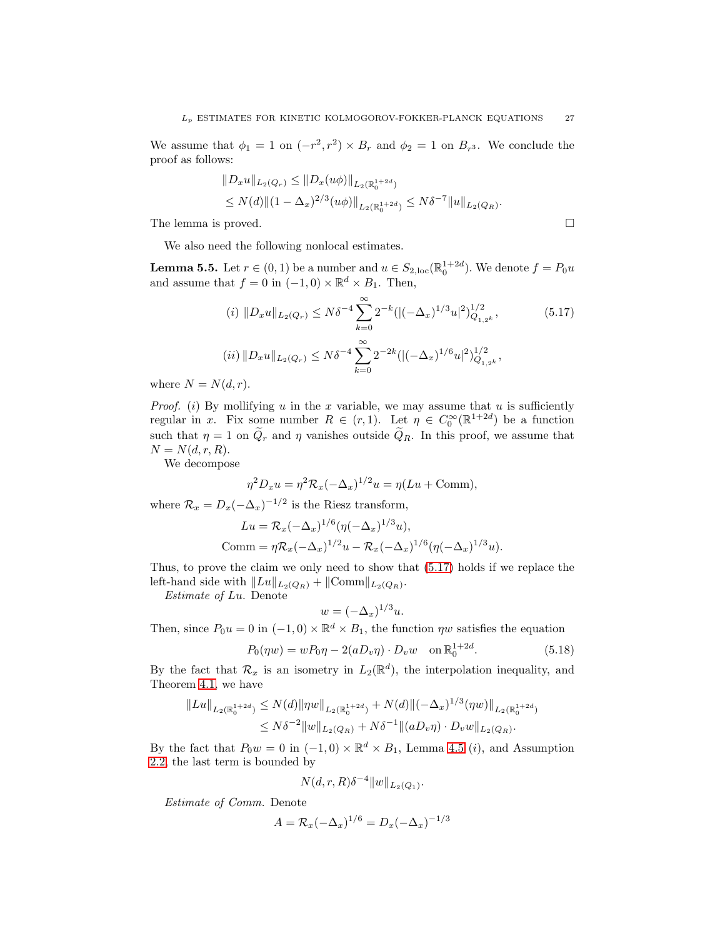We assume that  $\phi_1 = 1$  on  $(-r^2, r^2) \times B_r$  and  $\phi_2 = 1$  on  $B_{r^3}$ . We conclude the proof as follows:

$$
||D_x u||_{L_2(Q_r)} \le ||D_x(u\phi)||_{L_2(\mathbb{R}_0^{1+2d})}
$$
  
\$\le N(d)||(1 - \Delta\_x)^{2/3}(u\phi)||\_{L\_2(\mathbb{R}\_0^{1+2d})} \le N\delta^{-7}||u||\_{L\_2(Q\_R)}.

The lemma is proved.

We also need the following nonlocal estimates.

<span id="page-26-2"></span>**Lemma 5.5.** Let  $r \in (0, 1)$  be a number and  $u \in S_{2, loc}(\mathbb{R}^{1+2d}_{0})$ . We denote  $f = P_0u$ and assume that  $f = 0$  in  $(-1,0) \times \mathbb{R}^d \times B_1$ . Then,

<span id="page-26-0"></span>
$$
(i) \|D_x u\|_{L_2(Q_r)} \le N\delta^{-4} \sum_{k=0}^{\infty} 2^{-k} (|(-\Delta_x)^{1/3} u|^2)_{Q_{1,2^k}}^{1/2},
$$
\n
$$
(ii) \|D_x u\|_{L_2(Q_r)} \le N\delta^{-4} \sum_{k=0}^{\infty} 2^{-2k} (|(-\Delta_x)^{1/6} u|^2)_{Q_{1,2^k}}^{1/2},
$$
\n
$$
(5.17)
$$

where  $N = N(d, r)$ .

*Proof.* (i) By mollifying u in the x variable, we may assume that u is sufficiently regular in x. Fix some number  $R \in (r,1)$ . Let  $\eta \in C_0^{\infty}(\mathbb{R}^{1+2d})$  be a function such that  $\eta = 1$  on  $\tilde{Q}_r$  and  $\eta$  vanishes outside  $\tilde{Q}_R$ . In this proof, we assume that  $N = N(d, r, R).$ 

We decompose

$$
\eta^2 D_x u = \eta^2 \mathcal{R}_x (-\Delta_x)^{1/2} u = \eta (Lu + \text{Comm}),
$$

where  $\mathcal{R}_x = D_x(-\Delta_x)^{-1/2}$  is the Riesz transform,

$$
Lu = \mathcal{R}_x(-\Delta_x)^{1/6}(\eta(-\Delta_x)^{1/3}u),
$$
  
Comm =  $\eta \mathcal{R}_x(-\Delta_x)^{1/2}u - \mathcal{R}_x(-\Delta_x)^{1/6}(\eta(-\Delta_x)^{1/3}u).$ 

Thus, to prove the claim we only need to show that [\(5.17\)](#page-26-0) holds if we replace the left-hand side with  $||Lu||_{L_2(Q_R)} + ||\text{Comm}||_{L_2(Q_R)}$ .

*Estimate of* Lu. Denote

$$
w = (-\Delta_x)^{1/3} u.
$$

Then, since  $P_0u = 0$  in  $(-1,0) \times \mathbb{R}^d \times B_1$ , the function  $\eta w$  satisfies the equation

<span id="page-26-1"></span>
$$
P_0(\eta w) = w P_0 \eta - 2(a D_v \eta) \cdot D_v w \quad \text{on } \mathbb{R}^{1+2d}_0.
$$
 (5.18)

By the fact that  $\mathcal{R}_x$  is an isometry in  $L_2(\mathbb{R}^d)$ , the interpolation inequality, and Theorem [4.1,](#page-15-1) we have

$$
||Lu||_{L_2(\mathbb{R}_0^{1+2d})} \le N(d)||\eta w||_{L_2(\mathbb{R}_0^{1+2d})} + N(d)||(-\Delta_x)^{1/3}(\eta w)||_{L_2(\mathbb{R}_0^{1+2d})}
$$
  

$$
\le N\delta^{-2}||w||_{L_2(Q_R)} + N\delta^{-1}||(aD_v\eta) \cdot D_vw||_{L_2(Q_R)}.
$$

By the fact that  $P_0w = 0$  in  $(-1,0) \times \mathbb{R}^d \times B_1$ , Lemma [4.5](#page-19-1) (*i*), and Assumption [2.2,](#page-5-4) the last term is bounded by

$$
N(d,r,R)\delta^{-4}||w||_{L_2(Q_1)}.
$$

*Estimate of Comm.* Denote

$$
A = \mathcal{R}_x(-\Delta_x)^{1/6} = D_x(-\Delta_x)^{-1/3}
$$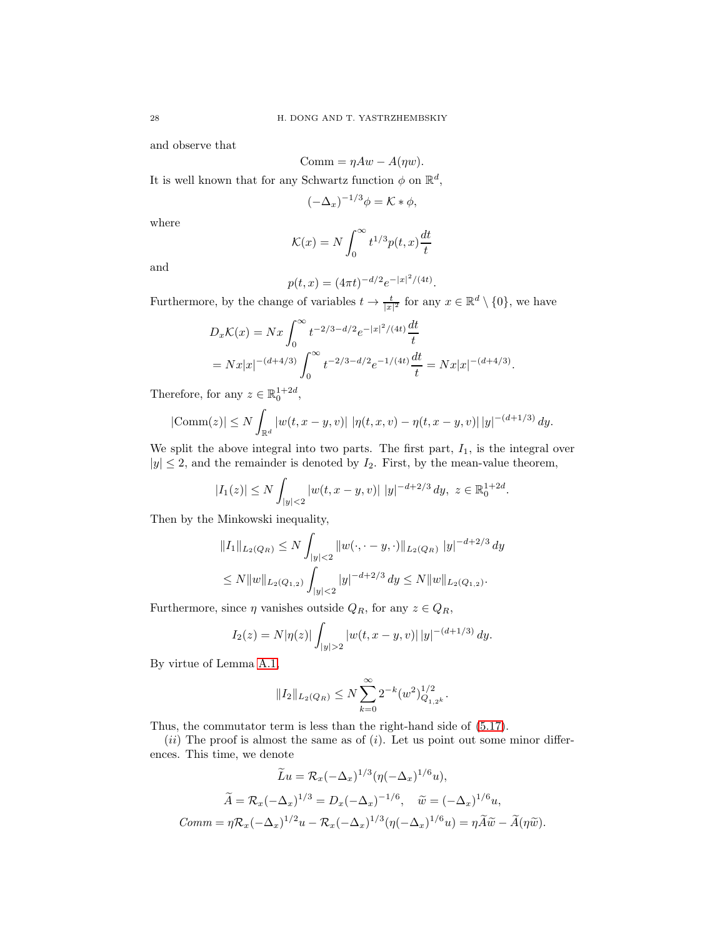and observe that

$$
Comm = \eta Aw - A(\eta w).
$$

It is well known that for any Schwartz function  $\phi$  on  $\mathbb{R}^d$ ,

$$
(-\Delta_x)^{-1/3}\phi = \mathcal{K} * \phi,
$$

where

$$
\mathcal{K}(x) = N \int_0^\infty t^{1/3} p(t, x) \frac{dt}{t}
$$

and

$$
p(t, x) = (4\pi t)^{-d/2} e^{-|x|^2/(4t)}.
$$

Furthermore, by the change of variables  $t \to \frac{t}{|x|^2}$  for any  $x \in \mathbb{R}^d \setminus \{0\}$ , we have

$$
D_x \mathcal{K}(x) = Nx \int_0^\infty t^{-2/3 - d/2} e^{-|x|^2/(4t)} \frac{dt}{t}
$$
  
=  $Nx|x|^{-(d+4/3)} \int_0^\infty t^{-2/3 - d/2} e^{-1/(4t)} \frac{dt}{t} = Nx|x|^{-(d+4/3)}.$ 

Therefore, for any  $z \in \mathbb{R}_0^{1+2d}$ ,

$$
|\text{Comm}(z)| \le N \int_{\mathbb{R}^d} |w(t, x - y, v)| |\eta(t, x, v) - \eta(t, x - y, v)| |y|^{-(d+1/3)} dy.
$$

We split the above integral into two parts. The first part,  $I_1$ , is the integral over  $|y| \leq 2$ , and the remainder is denoted by  $I_2$ . First, by the mean-value theorem,

$$
|I_1(z)| \le N \int_{|y| < 2} |w(t, x - y, v)| \, |y|^{-d+2/3} \, dy, \ z \in \mathbb{R}_0^{1+2d}.
$$

Then by the Minkowski inequality,

$$
||I_1||_{L_2(Q_R)} \le N \int_{|y|<2} ||w(\cdot, \cdot - y, \cdot)||_{L_2(Q_R)} ||y|^{-d+2/3} dy
$$
  

$$
\le N ||w||_{L_2(Q_{1,2})} \int_{|y|<2} |y|^{-d+2/3} dy \le N ||w||_{L_2(Q_{1,2})}.
$$

Furthermore, since  $\eta$  vanishes outside  $Q_R$ , for any  $z \in Q_R$ ,

$$
I_2(z) = N|\eta(z)| \int_{|y|>2} |w(t, x - y, v)| |y|^{-(d+1/3)} dy.
$$

By virtue of Lemma [A.1,](#page-52-0)

$$
||I_2||_{L_2(Q_R)} \leq N \sum_{k=0}^{\infty} 2^{-k} (w^2)_{Q_{1,2^k}}^{1/2}.
$$

Thus, the commutator term is less than the right-hand side of [\(5.17\)](#page-26-0).

 $(ii)$  The proof is almost the same as of  $(i)$ . Let us point out some minor differences. This time, we denote

$$
\widetilde{L}u = \mathcal{R}_x(-\Delta_x)^{1/3}(\eta(-\Delta_x)^{1/6}u),
$$

$$
\widetilde{A} = \mathcal{R}_x(-\Delta_x)^{1/3} = D_x(-\Delta_x)^{-1/6}, \quad \widetilde{w} = (-\Delta_x)^{1/6}u,
$$

$$
Comm = \eta \mathcal{R}_x(-\Delta_x)^{1/2}u - \mathcal{R}_x(-\Delta_x)^{1/3}(\eta(-\Delta_x)^{1/6}u) = \eta \widetilde{A}\widetilde{w} - \widetilde{A}(\eta \widetilde{w}).
$$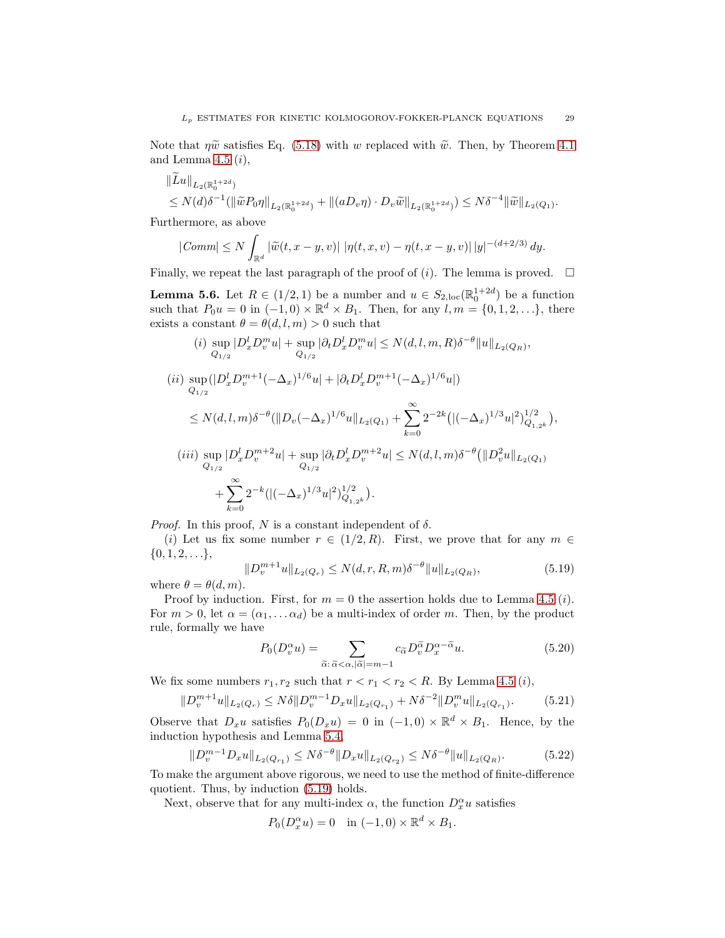Note that  $\eta \tilde{w}$  satisfies Eq. [\(5.18\)](#page-26-1) with w replaced with  $\tilde{w}$ . Then, by Theorem [4.1](#page-15-1) and Lemma [4.5](#page-19-1)  $(i)$ ,

$$
||Lu||_{L_2(\mathbb{R}_0^{1+2d})}
$$
  
\n
$$
\leq N(d)\delta^{-1} (||\widetilde{w}P_0\eta||_{L_2(\mathbb{R}_0^{1+2d})} + ||(aD_v\eta) \cdot D_v\widetilde{w}||_{L_2(\mathbb{R}_0^{1+2d})}) \leq N\delta^{-4} ||\widetilde{w}||_{L_2(Q_1)}.
$$

Furthermore, as above

$$
|\text{Comm}| \leq N \int_{\mathbb{R}^d} |\widetilde{w}(t, x - y, v)| \ |\eta(t, x, v) - \eta(t, x - y, v)| \ |y|^{-(d+2/3)} \ dy.
$$

Finally, we repeat the last paragraph of the proof of  $(i)$ . The lemma is proved.  $\Box$ 

<span id="page-28-4"></span>**Lemma 5.6.** Let  $R \in (1/2, 1)$  be a number and  $u \in S_{2,loc}(\mathbb{R}^{1+2d}_{0})$  be a function such that  $P_0u = 0$  in  $(-1,0) \times \mathbb{R}^d \times B_1$ . Then, for any  $l, m = \{0,1,2,...\}$ , there exists a constant  $\theta = \theta(d, l, m) > 0$  such that

$$
(i) \sup_{Q_{1/2}} |D_x^l D_v^m u| + \sup_{Q_{1/2}} |\partial_t D_x^l D_v^m u| \le N(d, l, m, R) \delta^{-\theta} ||u||_{L_2(Q_R)},
$$
  
\n
$$
(ii) \sup_{Q_{1/2}} (|D_x^l D_v^{m+1}(-\Delta_x)^{1/6} u| + |\partial_t D_x^l D_v^{m+1}(-\Delta_x)^{1/6} u|)
$$
  
\n
$$
\le N(d, l, m) \delta^{-\theta} (||D_v(-\Delta_x)^{1/6} u||_{L_2(Q_1)} + \sum_{k=0}^{\infty} 2^{-2k} (|(-\Delta_x)^{1/3} u|^2)_{Q_{1,2^k}}^{1/2}),
$$
  
\n
$$
(iii) \sup_{Q_{1/2}} |D_x^l D_v^{m+2} u| + \sup_{Q_{1/2}} |\partial_t D_x^l D_v^{m+2} u| \le N(d, l, m) \delta^{-\theta} (||D_v^2 u||_{L_2(Q_1)} + \sum_{k=0}^{\infty} 2^{-k} (|(-\Delta_x)^{1/3} u|^2)_{Q_{1,2^k}}^{1/2}).
$$

*Proof.* In this proof, N is a constant independent of  $\delta$ .

(i) Let us fix some number  $r \in (1/2, R)$ . First, we prove that for any  $m \in$  $\{0, 1, 2, \ldots\},\$ 

<span id="page-28-0"></span>
$$
||D_v^{m+1}u||_{L_2(Q_r)} \le N(d,r,R,m)\delta^{-\theta} ||u||_{L_2(Q_R)},
$$
\n(5.19)

where  $\theta = \theta(d, m)$ .

Proof by induction. First, for  $m = 0$  the assertion holds due to Lemma [4.5](#page-19-1) (*i*). For  $m > 0$ , let  $\alpha = (\alpha_1, \dots \alpha_d)$  be a multi-index of order m. Then, by the product rule, formally we have

<span id="page-28-3"></span><span id="page-28-1"></span>
$$
P_0(D_v^{\alpha}u) = \sum_{\tilde{\alpha}:\tilde{\alpha} < \alpha, |\tilde{\alpha}| = m-1} c_{\tilde{\alpha}} D_v^{\tilde{\alpha}} D_x^{\alpha - \tilde{\alpha}} u. \tag{5.20}
$$

We fix some numbers  $r_1, r_2$  such that  $r < r_1 < r_2 < R$ . By Lemma [4.5](#page-19-1) (*i*),

$$
||D_v^{m+1}u||_{L_2(Q_r)} \le N\delta ||D_v^{m-1}D_xu||_{L_2(Q_{r_1})} + N\delta^{-2} ||D_v^m u||_{L_2(Q_{r_1})}. \tag{5.21}
$$

Observe that  $D_x u$  satisfies  $P_0(D_x u) = 0$  in  $(-1,0) \times \mathbb{R}^d \times B_1$ . Hence, by the induction hypothesis and Lemma [5.4,](#page-24-1)

<span id="page-28-2"></span>
$$
||D_v^{m-1}D_xu||_{L_2(Q_{r_1})} \le N\delta^{-\theta}||D_xu||_{L_2(Q_{r_2})} \le N\delta^{-\theta}||u||_{L_2(Q_R)}.
$$
\n(5.22)

To make the argument above rigorous, we need to use the method of finite-difference quotient. Thus, by induction [\(5.19\)](#page-28-0) holds.

Next, observe that for any multi-index  $\alpha$ , the function  $D_x^{\alpha}u$  satisfies

$$
P_0(D_x^{\alpha}u) = 0 \quad \text{in } (-1,0) \times \mathbb{R}^d \times B_1.
$$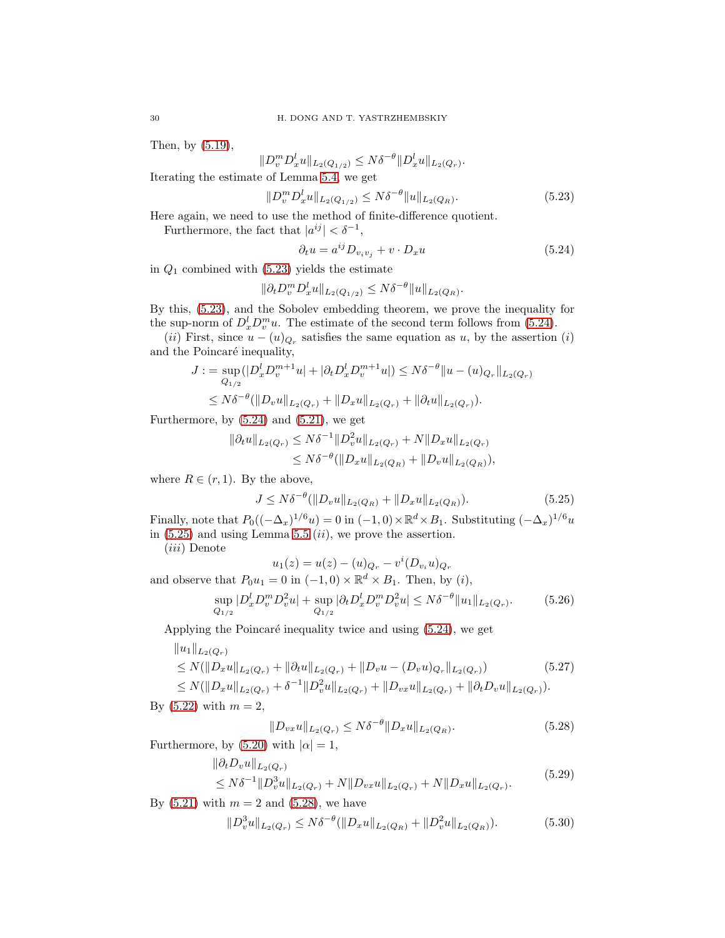Then, by [\(5.19\)](#page-28-0),

$$
||D_{v}^{m}D_{x}^{l}u||_{L_{2}(Q_{1/2})} \leq N\delta^{-\theta}||D_{x}^{l}u||_{L_{2}(Q_{r})}.
$$

Iterating the estimate of Lemma [5.4,](#page-24-1) we get

<span id="page-29-0"></span>
$$
||D_v^m D_x^l u||_{L_2(Q_{1/2})} \le N\delta^{-\theta} ||u||_{L_2(Q_R)}.
$$
\n(5.23)

Here again, we need to use the method of finite-difference quotient.

Furthermore, the fact that  $|a^{ij}| < \delta^{-1}$ ,

<span id="page-29-1"></span>
$$
\partial_t u = a^{ij} D_{v_i v_j} + v \cdot D_x u \tag{5.24}
$$

in  $Q_1$  combined with [\(5.23\)](#page-29-0) yields the estimate

$$
\|\partial_t D_v^m D_x^l u\|_{L_2(Q_{1/2})} \le N\delta^{-\theta} \|u\|_{L_2(Q_R)}.
$$

By this, [\(5.23\)](#page-29-0), and the Sobolev embedding theorem, we prove the inequality for the sup-norm of  $D_x^l D_v^m u$ . The estimate of the second term follows from [\(5.24\)](#page-29-1).

(*ii*) First, since  $u - (u)_{Q_r}$  satisfies the same equation as u, by the assertion (*i*) and the Poincaré inequality,

$$
J := \sup_{Q_{1/2}} (|D_x^l D_v^{m+1} u| + |\partial_t D_x^l D_v^{m+1} u|) \le N\delta^{-\theta} \|u - (u)_{Q_r}\|_{L_2(Q_r)}
$$
  

$$
\le N\delta^{-\theta} (\|D_v u\|_{L_2(Q_r)} + \|D_x u\|_{L_2(Q_r)} + \|\partial_t u\|_{L_2(Q_r)}).
$$

Furthermore, by  $(5.24)$  and  $(5.21)$ , we get

$$
\|\partial_t u\|_{L_2(Q_r)} \leq N\delta^{-1} \|D_v^2 u\|_{L_2(Q_r)} + N \|D_x u\|_{L_2(Q_r)}
$$
  

$$
\leq N\delta^{-\theta} (\|D_x u\|_{L_2(Q_R)} + \|D_v u\|_{L_2(Q_R)}),
$$

where  $R \in (r, 1)$ . By the above,

<span id="page-29-2"></span>
$$
J \le N\delta^{-\theta}(\|D_v u\|_{L_2(Q_R)} + \|D_x u\|_{L_2(Q_R)}).
$$
\n(5.25)

Finally, note that  $P_0((-\Delta_x)^{1/6}u) = 0$  in  $(-1,0) \times \mathbb{R}^d \times B_1$ . Substituting  $(-\Delta_x)^{1/6}u$ in  $(5.25)$  and using Lemma [5.5](#page-26-2)  $(ii)$ , we prove the assertion.

(iii) Denote

$$
u_1(z) = u(z) - (u)_{Q_r} - v^i(D_{v_i}u)_{Q_r}
$$

and observe that  $P_0u_1 = 0$  in  $(-1,0) \times \mathbb{R}^d \times B_1$ . Then, by  $(i)$ ,

<span id="page-29-6"></span>
$$
\sup_{Q_{1/2}} |D_x^l D_v^m D_v^2 u| + \sup_{Q_{1/2}} |\partial_t D_x^l D_v^m D_v^2 u| \le N\delta^{-\theta} \|u_1\|_{L_2(Q_r)}.
$$
 (5.26)

Applying the Poincaré inequality twice and using  $(5.24)$ , we get

$$
||u_1||_{L_2(Q_r)}
$$
  
\n
$$
\leq N(||D_x u||_{L_2(Q_r)} + ||\partial_t u||_{L_2(Q_r)} + ||D_v u - (D_v u)_{Q_r}||_{L_2(Q_r)})
$$
\n(5.27)

 $\leq N(||D_xu||_{L_2(Q_r)} + \delta^{-1}||D_v^2u||_{L_2(Q_r)} + ||D_{vx}u||_{L_2(Q_r)} + ||\partial_t D_v u||_{L_2(Q_r)}).$ By  $(5.22)$  with  $m = 2$ ,

<span id="page-29-4"></span><span id="page-29-3"></span>
$$
||D_{vx}u||_{L_2(Q_r)} \le N\delta^{-\theta} ||D_xu||_{L_2(Q_R)}.
$$
\n(5.28)

Furthermore, by [\(5.20\)](#page-28-3) with  $|\alpha|=1$ ,

$$
\|\partial_t D_v u\|_{L_2(Q_r)}
$$
  
\n
$$
\leq N\delta^{-1} \|D_v^3 u\|_{L_2(Q_r)} + N \|D_{vx} u\|_{L_2(Q_r)} + N \|D_x u\|_{L_2(Q_r)}.
$$
\n(5.29)

By  $(5.21)$  with  $m = 2$  and  $(5.28)$ , we have

<span id="page-29-5"></span>
$$
||D_v^3 u||_{L_2(Q_r)} \le N\delta^{-\theta} (||D_x u||_{L_2(Q_R)} + ||D_v^2 u||_{L_2(Q_R)}).
$$
\n(5.30)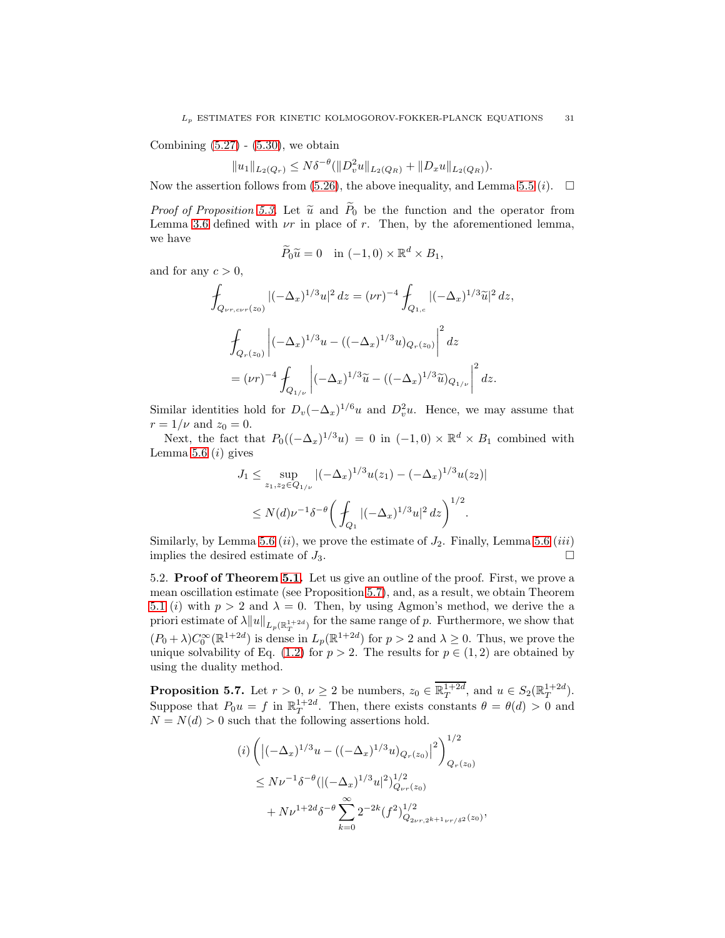Combining  $(5.27)$  -  $(5.30)$ , we obtain

$$
||u_1||_{L_2(Q_r)} \leq N\delta^{-\theta} (||D_v^2 u||_{L_2(Q_R)} + ||D_x u||_{L_2(Q_R)}).
$$

Now the assertion follows from [\(5.26\)](#page-29-6), the above inequality, and Lemma [5.5](#page-26-2) (*i*).  $\Box$ 

*Proof of Proposition* [5.3.](#page-24-0) Let  $\tilde{u}$  and  $\tilde{P}_0$  be the function and the operator from Lemma [3.6](#page-14-0) defined with  $\nu r$  in place of r. Then, by the aforementioned lemma, we have

$$
\widetilde{P}_0\widetilde{u} = 0 \quad \text{in } (-1,0) \times \mathbb{R}^d \times B_1,
$$

and for any  $c > 0$ ,

$$
\int_{Q_{\nu r,c\nu r}(z_0)} |(-\Delta_x)^{1/3} u|^2 dz = (\nu r)^{-4} \int_{Q_{1,c}} |(-\Delta_x)^{1/3} \tilde{u}|^2 dz,
$$
\n
$$
\int_{Q_r(z_0)} |(-\Delta_x)^{1/3} u - ((-\Delta_x)^{1/3} u)_{Q_r(z_0)}|^2 dz
$$
\n
$$
= (\nu r)^{-4} \int_{Q_{1/\nu}} |(-\Delta_x)^{1/3} \tilde{u} - ((-\Delta_x)^{1/3} \tilde{u})_{Q_{1/\nu}}|^2 dz.
$$

Similar identities hold for  $D_v(-\Delta_x)^{1/6}u$  and  $D_v^2u$ . Hence, we may assume that  $r = 1/\nu$  and  $z_0 = 0$ .

Next, the fact that  $P_0((-\Delta_x)^{1/3}u) = 0$  in  $(-1,0) \times \mathbb{R}^d \times B_1$  combined with Lemma [5.6](#page-28-4)  $(i)$  gives

$$
J_1 \le \sup_{z_1, z_2 \in Q_{1/\nu}} |(-\Delta_x)^{1/3} u(z_1) - (-\Delta_x)^{1/3} u(z_2)|
$$
  

$$
\le N(d)\nu^{-1} \delta^{-\theta} \left( \int_{Q_1} |(-\Delta_x)^{1/3} u|^2 dz \right)^{1/2}.
$$

Similarly, by Lemma [5.6](#page-28-4) (ii), we prove the estimate of  $J_2$ . Finally, Lemma 5.6 (iii) implies the desired estimate of  $J_3$ .

5.2. Proof of Theorem [5.1.](#page-21-1) Let us give an outline of the proof. First, we prove a mean oscillation estimate (see Proposition [5.7\)](#page-30-0), and, as a result, we obtain Theorem [5.1](#page-21-1) (i) with  $p > 2$  and  $\lambda = 0$ . Then, by using Agmon's method, we derive the a priori estimate of  $\lambda \|u\|_{L_p(\mathbb{R}^{1+2d}_T)}$  for the same range of p. Furthermore, we show that  $(P_0 + \lambda) C_0^{\infty}(\mathbb{R}^{1+2d})$  is dense in  $L_p(\mathbb{R}^{1+2d})$  for  $p > 2$  and  $\lambda \geq 0$ . Thus, we prove the unique solvability of Eq. [\(1.2\)](#page-1-0) for  $p > 2$ . The results for  $p \in (1, 2)$  are obtained by using the duality method.

<span id="page-30-0"></span>**Proposition 5.7.** Let  $r > 0$ ,  $\nu \geq 2$  be numbers,  $z_0 \in \mathbb{R}^{1+2d}_T$ , and  $u \in S_2(\mathbb{R}^{1+2d}_T)$ . Suppose that  $P_0u = f$  in  $\mathbb{R}^{1+2d}_T$ . Then, there exists constants  $\theta = \theta(d) > 0$  and  $N = N(d) > 0$  such that the following assertions hold.

$$
(i) \left( \left| (-\Delta_x)^{1/3} u - ((-\Delta_x)^{1/3} u)_{Q_r(z_0)} \right|^2 \right)_{Q_r(z_0)}^{1/2}
$$
  
\n
$$
\leq N\nu^{-1} \delta^{-\theta} ((-\Delta_x)^{1/3} u|^2)_{Q_{\nu r}(z_0)}^{1/2}
$$
  
\n
$$
+ N\nu^{1+2d} \delta^{-\theta} \sum_{k=0}^{\infty} 2^{-2k} (f^2)_{Q_{2\nu r,2^{k+1}\nu r/\delta^2}(z_0)}^{1/2},
$$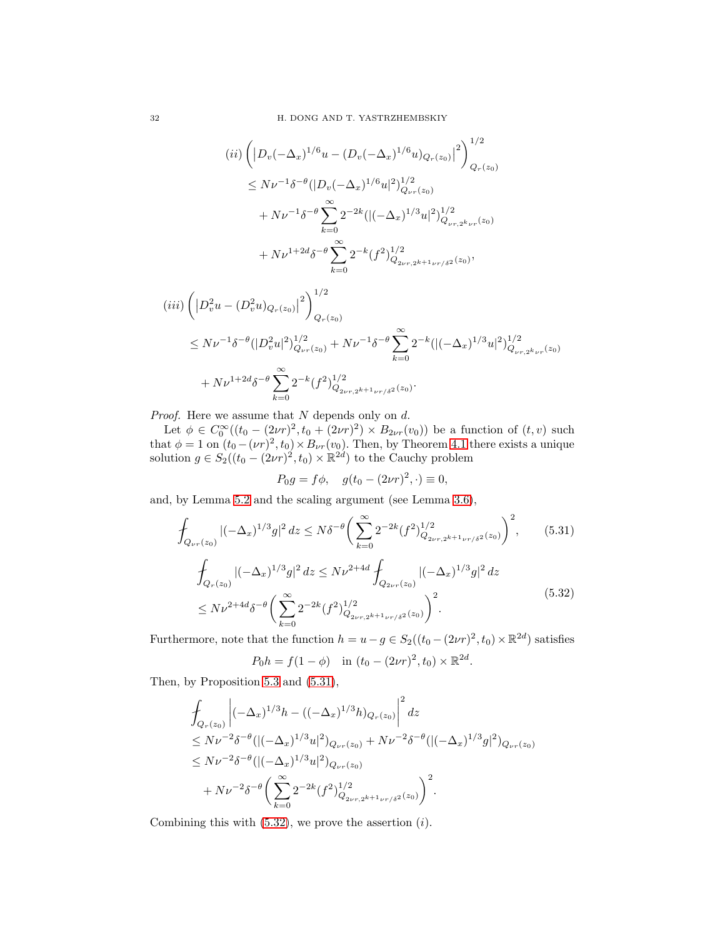$$
(ii) \left( \left| D_v(-\Delta_x)^{1/6} u - (D_v(-\Delta_x)^{1/6} u)_{Q_r(z_0)} \right|^2 \right)^{1/2}
$$
  
\n
$$
\leq N\nu^{-1} \delta^{-\theta} (|D_v(-\Delta_x)^{1/6} u|^2)_{Q_{\nu r}(z_0)}^{1/2}
$$
  
\n
$$
+ N\nu^{-1} \delta^{-\theta} \sum_{k=0}^{\infty} 2^{-2k} (|(-\Delta_x)^{1/3} u|^2)_{Q_{\nu r,2^k\nu r}(z_0)}^{1/2}
$$
  
\n
$$
+ N\nu^{1+2d} \delta^{-\theta} \sum_{k=0}^{\infty} 2^{-k} (f^2)_{Q_{2\nu r,2^{k+1}\nu r/\delta^2}(z_0)}^{1/2},
$$

$$
(iii) \left( \left| D_v^2 u - (D_v^2 u)_{Q_r(z_0)} \right|^2 \right)_{Q_r(z_0)}^{1/2}
$$
  
\n
$$
\leq N \nu^{-1} \delta^{-\theta} (|D_v^2 u|^2)_{Q_{\nu r}(z_0)}^{1/2} + N \nu^{-1} \delta^{-\theta} \sum_{k=0}^{\infty} 2^{-k} (|(-\Delta_x)^{1/3} u|^2)_{Q_{\nu r,2^k \nu r}(z_0)}^{1/2}
$$
  
\n
$$
+ N \nu^{1+2d} \delta^{-\theta} \sum_{k=0}^{\infty} 2^{-k} (f^2)_{Q_{2\nu r,2^{k+1} \nu r/\delta^2}(z_0)}^{1/2}.
$$

*Proof.* Here we assume that  $N$  depends only on  $d$ .

Let  $\phi \in C_0^{\infty}((t_0 - (2\nu r)^2, t_0 + (2\nu r)^2) \times B_{2\nu r}(v_0))$  be a function of  $(t, v)$  such that  $\phi = 1$  on  $(t_0 - (\nu r)^2, t_0) \times B_{\nu r}(v_0)$ . Then, by Theorem [4.1](#page-15-1) there exists a unique solution  $g \in S_2((t_0 - (2\nu r)^2, t_0) \times \mathbb{R}^{2d})$  to the Cauchy problem

$$
P_0 g = f \phi
$$
,  $g(t_0 - (2\nu r)^2, \cdot) \equiv 0$ ,

and, by Lemma [5.2](#page-21-2) and the scaling argument (see Lemma [3.6\)](#page-14-0),

<span id="page-31-0"></span>
$$
\int_{Q_{\nu r}(z_0)} |(-\Delta_x)^{1/3} g|^2 dz \le N\delta^{-\theta} \left(\sum_{k=0}^{\infty} 2^{-2k} (f^2)_{Q_{2\nu r,2^{k+1}\nu r/\delta^2}(z_0)}^{1/2}\right)^2, \qquad (5.31)
$$
\n
$$
\int_{Q_r(z_0)} |(-\Delta_x)^{1/3} g|^2 dz \le N\nu^{2+4d} \int_{Q_{2\nu r}(z_0)} |(-\Delta_x)^{1/3} g|^2 dz
$$
\n
$$
\le N\nu^{2+4d} \delta^{-\theta} \left(\sum_{k=0}^{\infty} 2^{-2k} (f^2)_{Q_{2\nu r,2^{k+1}\nu r/\delta^2}(z_0)}^{1/2}\right)^2.
$$
\n(5.32)

<span id="page-31-1"></span>Furthermore, note that the function  $h = u - g \in S_2((t_0 - (2\nu r)^2, t_0) \times \mathbb{R}^{2d})$  satisfies

$$
P_0 h = f(1 - \phi)
$$
 in  $(t_0 - (2\nu r)^2, t_0) \times \mathbb{R}^{2d}$ .

Then, by Proposition [5.3](#page-24-0) and [\(5.31\)](#page-31-0),

$$
\int_{Q_r(z_0)} \left| (-\Delta_x)^{1/3} h - ((-\Delta_x)^{1/3} h)_{Q_r(z_0)} \right|^2 dz
$$
\n
$$
\leq N\nu^{-2} \delta^{-\theta} (|(-\Delta_x)^{1/3} u|^2)_{Q_{\nu r}(z_0)} + N\nu^{-2} \delta^{-\theta} (|(-\Delta_x)^{1/3} g|^2)_{Q_{\nu r}(z_0)}
$$
\n
$$
\leq N\nu^{-2} \delta^{-\theta} (|(-\Delta_x)^{1/3} u|^2)_{Q_{\nu r}(z_0)}
$$
\n
$$
+ N\nu^{-2} \delta^{-\theta} \left( \sum_{k=0}^{\infty} 2^{-2k} (f^2)_{Q_{2\nu r, 2^{k+1}\nu r/\delta^2}(z_0)} \right)^2.
$$

Combining this with  $(5.32)$ , we prove the assertion  $(i)$ .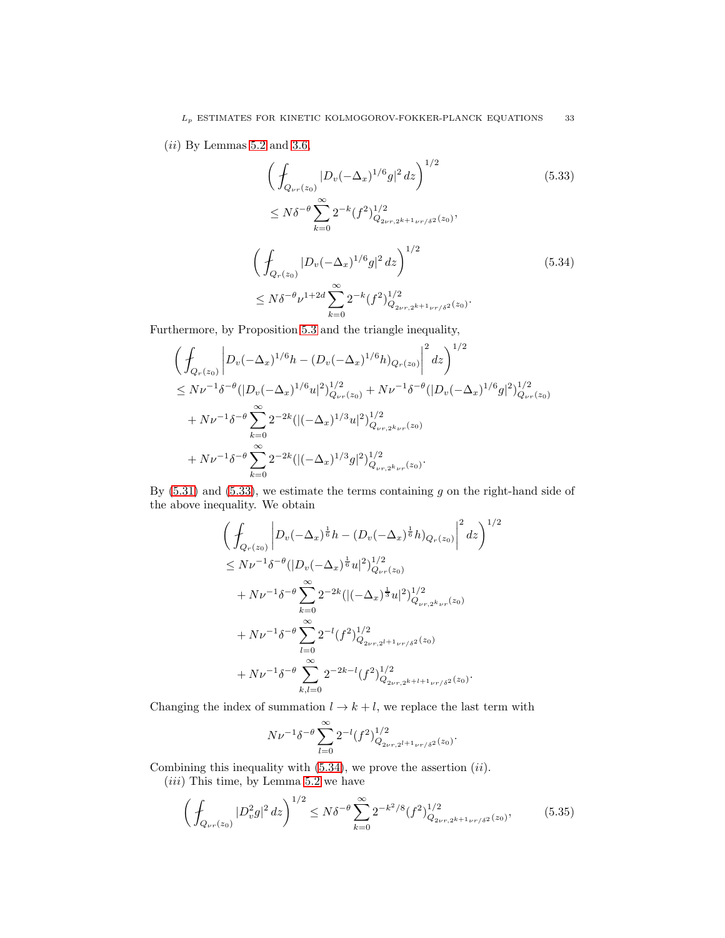$(ii)$  By Lemmas [5.2](#page-21-2) and [3.6,](#page-14-0)

<span id="page-32-1"></span><span id="page-32-0"></span>
$$
\left(\int_{Q_{\nu r}(z_0)} |D_v(-\Delta_x)^{1/6} g|^2 dz\right)^{1/2}
$$
\n
$$
\leq N\delta^{-\theta} \sum_{k=0}^{\infty} 2^{-k} (f^2)_{Q_{2\nu r,2^{k+1}\nu r/\delta^2}(z_0)}^{1/2},
$$
\n
$$
\left(\int_{Q_r(z_0)} |D_v(-\Delta_x)^{1/6} g|^2 dz\right)^{1/2}
$$
\n
$$
\leq N\delta^{-\theta} \nu^{1+2d} \sum_{k=0}^{\infty} 2^{-k} (f^2)_{Q_{2\nu r,2^{k+1}\nu r/\delta^2}(z_0)}^{1/2}.
$$
\n(5.34)

Furthermore, by Proposition [5.3](#page-24-0) and the triangle inequality,

$$
\left(\int_{Q_r(z_0)}\left|D_v(-\Delta_x)^{1/6}h-(D_v(-\Delta_x)^{1/6}h)_{Q_r(z_0)}\right|^2dz\right)^{1/2} \n\leq N\nu^{-1}\delta^{-\theta}(|D_v(-\Delta_x)^{1/6}u|^2)_{Q_{\nu r}(z_0)}^{1/2}+N\nu^{-1}\delta^{-\theta}(|D_v(-\Delta_x)^{1/6}g|^2)_{Q_{\nu r}(z_0)}^{1/2} \n+N\nu^{-1}\delta^{-\theta}\sum_{k=0}^{\infty}2^{-2k}(|(-\Delta_x)^{1/3}u|^2)_{Q_{\nu r,2^k\nu r}(z_0)}^{1/2} \n+N\nu^{-1}\delta^{-\theta}\sum_{k=0}^{\infty}2^{-2k}(|(-\Delta_x)^{1/3}g|^2)_{Q_{\nu r,2^k\nu r}(z_0)}^{1/2}.
$$

By  $(5.31)$  and  $(5.33)$ , we estimate the terms containing g on the right-hand side of the above inequality. We obtain

$$
\left(\int_{Q_r(z_0)}\left|D_v(-\Delta_x)^{\frac{1}{6}}h-(D_v(-\Delta_x)^{\frac{1}{6}}h)_{Q_r(z_0)}\right|^2dz\right)^{1/2} \n\leq N\nu^{-1}\delta^{-\theta}(|D_v(-\Delta_x)^{\frac{1}{6}}u|^2)_{Q_{\nu r}(z_0)}^{1/2} \n+ N\nu^{-1}\delta^{-\theta}\sum_{k=0}^{\infty}2^{-2k}(|(-\Delta_x)^{\frac{1}{3}}u|^2)_{Q_{\nu r,2^k\nu r}(z_0)}^{1/2} \n+ N\nu^{-1}\delta^{-\theta}\sum_{l=0}^{\infty}2^{-l}(f^2)_{Q_{2\nu r,2^{l+1}\nu r/\delta^2}(z_0)}^{1/2} \n+ N\nu^{-1}\delta^{-\theta}\sum_{k,l=0}^{\infty}2^{-2k-l}(f^2)_{Q_{2\nu r,2^{k+l+1}\nu r/\delta^2}(z_0)}^{1/2}.
$$

Changing the index of summation  $l \rightarrow k + l$ , we replace the last term with

$$
N\nu^{-1}\delta^{-\theta}\sum_{l=0}^{\infty}2^{-l}(f^{2})^{1/2}_{Q_{2\nu r,2^{l+1}\nu r/\delta^{2}}(z_{0})}.
$$

Combining this inequality with  $(5.34)$ , we prove the assertion  $(ii)$ .

 $(iii)$  This time, by Lemma [5.2](#page-21-2) we have

<span id="page-32-2"></span>
$$
\left(\int_{Q_{\nu r}(z_0)} |D_v^2 g|^2 \, dz\right)^{1/2} \le N\delta^{-\theta} \sum_{k=0}^{\infty} 2^{-k^2/8} (f^2)_{Q_{2\nu r,2^{k+1}\nu r/\delta^2}(z_0)}^{1/2},\tag{5.35}
$$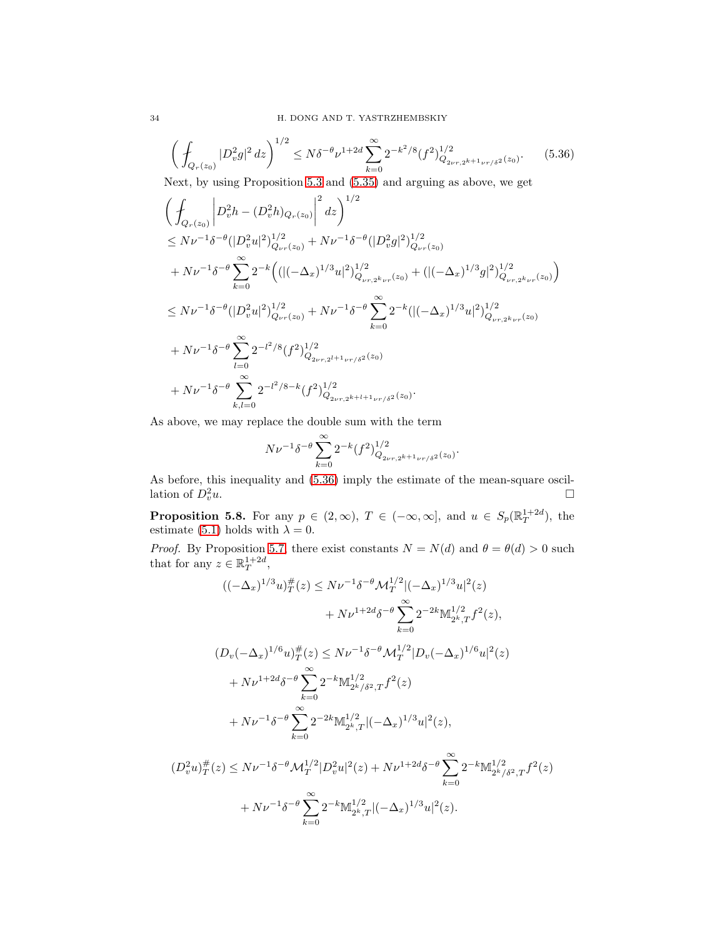<span id="page-33-0"></span>
$$
\left(\int_{Q_r(z_0)} |D_v^2 g|^2 \, dz\right)^{1/2} \le N\delta^{-\theta} \nu^{1+2d} \sum_{k=0}^{\infty} 2^{-k^2/8} (f^2)_{Q_{2\nu r,2^{k+1}\nu r/\delta^2}(z_0)}^{1/2}.\tag{5.36}
$$

Next, by using Proposition [5.3](#page-24-0) and [\(5.35\)](#page-32-2) and arguing as above, we get

$$
\left(\int_{Q_r(z_0)}\left|D_v^2h-(D_v^2h)_{Q_r(z_0)}\right|^2dz\right)^{1/2} \n\leq N\nu^{-1}\delta^{-\theta}(|D_v^2u|^2)_{Q_{\nu r}(z_0)}^{1/2}+N\nu^{-1}\delta^{-\theta}(|D_v^2g|^2)_{Q_{\nu r}(z_0)}^{1/2} \n+N\nu^{-1}\delta^{-\theta}\sum_{k=0}^{\infty}2^{-k}\Big((((-\Delta_x)^{1/3}u|^2)_{Q_{\nu r,2^k\nu r}(z_0)}^{1/2}+(|(-\Delta_x)^{1/3}g|^2)_{Q_{\nu r,2^k\nu r}(z_0)}^{1/2}\Big) \n\leq N\nu^{-1}\delta^{-\theta}(|D_v^2u|^2)_{Q_{\nu r}(z_0)}^{1/2}+N\nu^{-1}\delta^{-\theta}\sum_{k=0}^{\infty}2^{-k}(|(-\Delta_x)^{1/3}u|^2)_{Q_{\nu r,2^k\nu r}(z_0)}^{1/2} \n+N\nu^{-1}\delta^{-\theta}\sum_{l=0}^{\infty}2^{-l^2/8}(f^2)_{Q_{2\nu r,2^{l+1}\nu r/\delta^2}(z_0)}^{1/2} \n+N\nu^{-1}\delta^{-\theta}\sum_{k,l=0}^{\infty}2^{-l^2/8-k}(f^2)_{Q_{2\nu r,2^{k+l+1}\nu r/\delta^2}(z_0)}^{1/2}.
$$

As above, we may replace the double sum with the term

$$
N\nu^{-1}\delta^{-\theta}\sum_{k=0}^{\infty}2^{-k}(f^{2})^{1/2}_{Q_{2\nu r,2^{k+1}\nu r/\delta^{2}}(z_{0})}.
$$

As before, this inequality and [\(5.36\)](#page-33-0) imply the estimate of the mean-square oscillation of  $D_v^2u$ .  $v^2$ u.

<span id="page-33-1"></span>**Proposition 5.8.** For any  $p \in (2,\infty)$ ,  $T \in (-\infty,\infty]$ , and  $u \in S_p(\mathbb{R}^{1+2d}_T)$ , the estimate [\(5.1\)](#page-21-4) holds with  $\lambda = 0$ .

*Proof.* By Proposition [5.7,](#page-30-0) there exist constants  $N = N(d)$  and  $\theta = \theta(d) > 0$  such that for any  $z \in \mathbb{R}^{1+2d}_T$ ,

$$
((-\Delta_x)^{1/3}u)_T^{\#}(z) \le N\nu^{-1}\delta^{-\theta} \mathcal{M}_T^{1/2}|(-\Delta_x)^{1/3}u|^2(z) + N\nu^{1+2d}\delta^{-\theta} \sum_{k=0}^{\infty} 2^{-2k} \mathbb{M}_{2^k,T}^{1/2} f^2(z),
$$
  

$$
(D_v(-\Delta_x)^{1/6}u)_T^{\#}(z) \le N\nu^{-1}\delta^{-\theta} \mathcal{M}_T^{1/2}|D_v(-\Delta_x)^{1/6}u|^2(z) + N\nu^{1+2d}\delta^{-\theta} \sum_{k=0}^{\infty} 2^{-k} \mathbb{M}_{2^k/\delta^2,T}^{1/2} f^2(z) + N\nu^{-1}\delta^{-\theta} \sum_{k=0}^{\infty} 2^{-2k} \mathbb{M}_{2^k,T}^{1/2}|(-\Delta_x)^{1/3}u|^2(z),
$$
  

$$
(D_v^2u)_T^{\#}(z) \le N\nu^{-1}\delta^{-\theta} \mathcal{M}_T^{1/2}|D_v^2u|^2(z) + N\nu^{1+2d}\delta^{-\theta} \sum_{k=0}^{\infty} 2^{-k} \mathbb{M}_{2^k/\delta^2,T}^{1/2} f^2(z) + N\nu^{-1}\delta^{-\theta} \sum_{k=0}^{\infty} 2^{-k} \mathbb{M}_{2^k,T}^{1/2}|(-\Delta_x)^{1/3}u|^2(z).
$$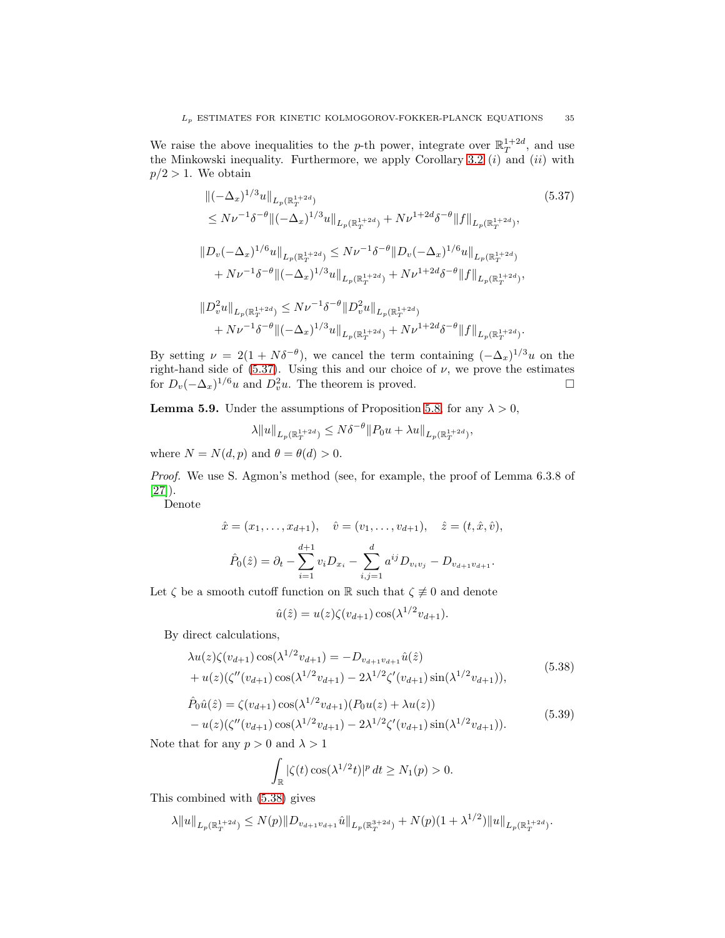We raise the above inequalities to the p-th power, integrate over  $\mathbb{R}^{1+2d}_{T}$ , and use the Minkowski inequality. Furthermore, we apply Corollary [3.2](#page-9-0)  $(i)$  and  $(ii)$  with  $p/2 > 1$ . We obtain

<span id="page-34-0"></span>
$$
\|(-\Delta_x)^{1/3}u\|_{L_p(\mathbb{R}_T^{1+2d})}
$$
\n
$$
\leq N\nu^{-1}\delta^{-\theta}\|(-\Delta_x)^{1/3}u\|_{L_p(\mathbb{R}_T^{1+2d})} + N\nu^{1+2d}\delta^{-\theta}\|f\|_{L_p(\mathbb{R}_T^{1+2d})},
$$
\n
$$
\|D_v(-\Delta_x)^{1/6}u\|_{L_p(\mathbb{R}_T^{1+2d})} \leq N\nu^{-1}\delta^{-\theta}\|D_v(-\Delta_x)^{1/6}u\|_{L_p(\mathbb{R}_T^{1+2d})}
$$
\n
$$
+ N\nu^{-1}\delta^{-\theta}\|(-\Delta_x)^{1/3}u\|_{L_p(\mathbb{R}_T^{1+2d})} + N\nu^{1+2d}\delta^{-\theta}\|f\|_{L_p(\mathbb{R}_T^{1+2d})},
$$
\n
$$
\|D_v^2u\|_{L_p(\mathbb{R}_T^{1+2d})} \leq N\nu^{-1}\delta^{-\theta}\|D_v^2u\|_{L_p(\mathbb{R}_T^{1+2d})}
$$
\n
$$
+ N\nu^{-1}\delta^{-\theta}\|(-\Delta_x)^{1/3}u\|_{L_p(\mathbb{R}_T^{1+2d})} + N\nu^{1+2d}\delta^{-\theta}\|f\|_{L_p(\mathbb{R}_T^{1+2d})}.
$$
\n(5.37)

By setting  $\nu = 2(1 + N\delta^{-\theta})$ , we cancel the term containing  $(-\Delta_x)^{1/3}u$  on the right-hand side of  $(5.37)$ . Using this and our choice of  $\nu$ , we prove the estimates for  $D_v(-\Delta_x)^{1/6}u$  and  $D_v^2u$ . The theorem is proved.

<span id="page-34-3"></span>**Lemma 5.9.** Under the assumptions of Proposition [5.8,](#page-33-1) for any  $\lambda > 0$ ,

 $\lambda \|u\|_{L_p(\mathbb{R}^{1+2d}_T)} \leq N\delta^{-\theta} \|P_0u + \lambda u\|_{L_p(\mathbb{R}^{1+2d}_T)},$ 

where  $N = N(d, p)$  and  $\theta = \theta(d) > 0$ .

*Proof.* We use S. Agmon's method (see, for example, the proof of Lemma 6.3.8 of  $[27]$ .

Denote

$$
\hat{x} = (x_1, \dots, x_{d+1}), \quad \hat{v} = (v_1, \dots, v_{d+1}), \quad \hat{z} = (t, \hat{x}, \hat{v}),
$$

$$
\hat{P}_0(\hat{z}) = \partial_t - \sum_{i=1}^{d+1} v_i D_{x_i} - \sum_{i,j=1}^d a^{ij} D_{v_i v_j} - D_{v_{d+1} v_{d+1}}.
$$

Let  $\zeta$  be a smooth cutoff function on  $\mathbb R$  such that  $\zeta \not\equiv 0$  and denote

$$
\hat{u}(\hat{z}) = u(z)\zeta(v_{d+1})\cos(\lambda^{1/2}v_{d+1}).
$$

By direct calculations,

<span id="page-34-1"></span>
$$
\lambda u(z)\zeta(v_{d+1})\cos(\lambda^{1/2}v_{d+1}) = -D_{v_{d+1}v_{d+1}}\hat{u}(\hat{z}) + u(z)(\zeta''(v_{d+1})\cos(\lambda^{1/2}v_{d+1}) - 2\lambda^{1/2}\zeta'(v_{d+1})\sin(\lambda^{1/2}v_{d+1})),
$$
\n(5.38)

<span id="page-34-2"></span>
$$
\hat{P}_0\hat{u}(\hat{z}) = \zeta(v_{d+1})\cos(\lambda^{1/2}v_{d+1})(P_0u(z) + \lambda u(z)) \n- u(z)(\zeta''(v_{d+1})\cos(\lambda^{1/2}v_{d+1}) - 2\lambda^{1/2}\zeta'(v_{d+1})\sin(\lambda^{1/2}v_{d+1})).
$$
\n(5.39)

Note that for any  $p > 0$  and  $\lambda > 1$ 

$$
\int_{\mathbb{R}} |\zeta(t) \cos(\lambda^{1/2} t)|^p dt \ge N_1(p) > 0.
$$

This combined with [\(5.38\)](#page-34-1) gives

$$
\lambda \|u\|_{L_p(\mathbb{R}_T^{1+2d})} \le N(p) \|D_{v_{d+1}v_{d+1}}\hat{u}\|_{L_p(\mathbb{R}_T^{3+2d})} + N(p)(1+\lambda^{1/2}) \|u\|_{L_p(\mathbb{R}_T^{1+2d})}.
$$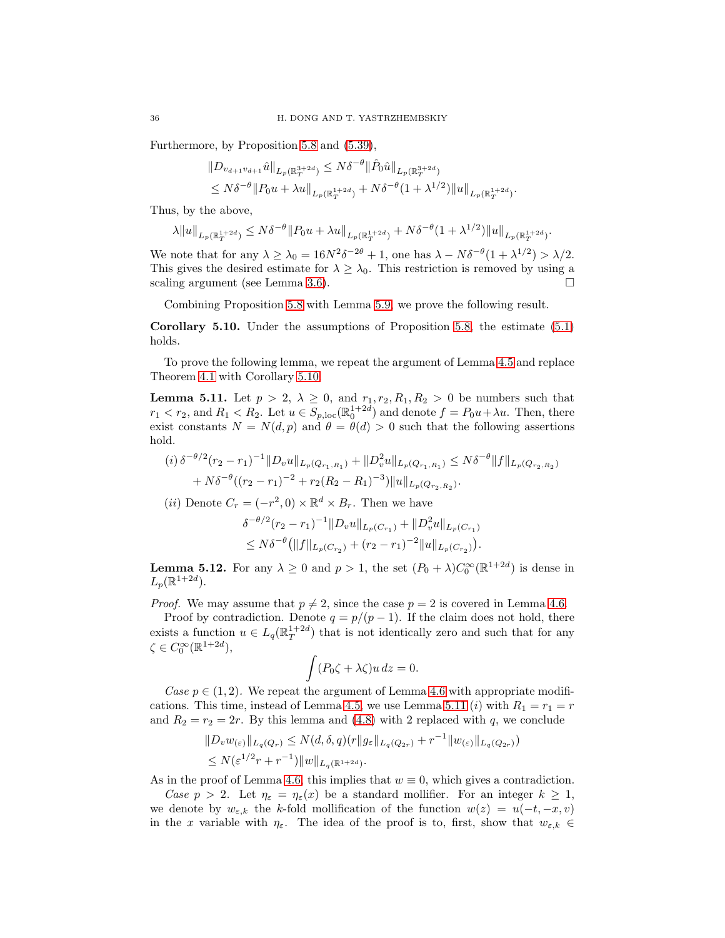Furthermore, by Proposition [5.8](#page-33-1) and [\(5.39\)](#page-34-2),

$$
\|D_{v_{d+1}v_{d+1}}\hat{u}\|_{L_p(\mathbb{R}_T^{3+2d})} \leq N\delta^{-\theta} \|\hat{P}_0\hat{u}\|_{L_p(\mathbb{R}_T^{3+2d})}
$$
  

$$
\leq N\delta^{-\theta} \|P_0u + \lambda u\|_{L_p(\mathbb{R}_T^{1+2d})} + N\delta^{-\theta} (1 + \lambda^{1/2}) \|u\|_{L_p(\mathbb{R}_T^{1+2d})}.
$$

Thus, by the above,

$$
\lambda \|u\|_{L_p(\mathbb{R}_T^{1+2d})} \le N\delta^{-\theta} \|P_0u + \lambda u\|_{L_p(\mathbb{R}_T^{1+2d})} + N\delta^{-\theta} (1 + \lambda^{1/2}) \|u\|_{L_p(\mathbb{R}_T^{1+2d})}.
$$

We note that for any  $\lambda \ge \lambda_0 = 16N^2\delta^{-2\theta} + 1$ , one has  $\lambda - N\delta^{-\theta}(1 + \lambda^{1/2}) > \lambda/2$ . This gives the desired estimate for  $\lambda \geq \lambda_0$ . This restriction is removed by using a scaling argument (see Lemma [3.6\)](#page-14-0).  $\square$ 

Combining Proposition [5.8](#page-33-1) with Lemma [5.9,](#page-34-3) we prove the following result.

<span id="page-35-0"></span>Corollary 5.10. Under the assumptions of Proposition [5.8,](#page-33-1) the estimate [\(5.1\)](#page-21-4) holds.

To prove the following lemma, we repeat the argument of Lemma [4.5](#page-19-1) and replace Theorem [4.1](#page-15-1) with Corollary [5.10.](#page-35-0)

<span id="page-35-1"></span>**Lemma 5.11.** Let  $p > 2$ ,  $\lambda \geq 0$ , and  $r_1, r_2, R_1, R_2 > 0$  be numbers such that  $r_1 < r_2$ , and  $R_1 < R_2$ . Let  $u \in S_{p,\text{loc}}(\mathbb{R}^{1+2d}_{0})$  and denote  $f = P_0u + \lambda u$ . Then, there exist constants  $N = N(d, p)$  and  $\theta = \theta(d) > 0$  such that the following assertions hold.

$$
(i) \delta^{-\theta/2} (r_2 - r_1)^{-1} \|D_v u\|_{L_p(Q_{r_1, R_1})} + \|D_v^2 u\|_{L_p(Q_{r_1, R_1})} \le N\delta^{-\theta} \|f\|_{L_p(Q_{r_2, R_2})}
$$
  
+  $N\delta^{-\theta} ((r_2 - r_1)^{-2} + r_2(R_2 - R_1)^{-3}) \|u\|_{L_p(Q_{r_2, R_2})}.$ 

(*ii*) Denote  $C_r = (-r^2, 0) \times \mathbb{R}^d \times B_r$ . Then we have

$$
\delta^{-\theta/2}(r_2 - r_1)^{-1} \|D_v u\|_{L_p(C_{r_1})} + \|D_v^2 u\|_{L_p(C_{r_1})}
$$
  
\n
$$
\leq N\delta^{-\theta} \big( \|f\|_{L_p(C_{r_2})} + (r_2 - r_1)^{-2} \|u\|_{L_p(C_{r_2})} \big).
$$

<span id="page-35-2"></span>**Lemma 5.12.** For any  $\lambda \geq 0$  and  $p > 1$ , the set  $(P_0 + \lambda)C_0^{\infty}(\mathbb{R}^{1+2d})$  is dense in  $L_p(\mathbb{R}^{1+2d}).$ 

*Proof.* We may assume that  $p \neq 2$ , since the case  $p = 2$  is covered in Lemma [4.6.](#page-20-3)

Proof by contradiction. Denote  $q = p/(p-1)$ . If the claim does not hold, there exists a function  $u \in L_q(\mathbb{R}^{1+2d}_T)$  that is not identically zero and such that for any  $\zeta \in C_0^{\infty}(\mathbb{R}^{1+2d}),$ 

$$
\int (P_0\zeta + \lambda\zeta)u\,dz = 0.
$$

*Case*  $p \in (1, 2)$ . We repeat the argument of Lemma [4.6](#page-20-3) with appropriate modifi-cations. This time, instead of Lemma [4.5,](#page-19-1) we use Lemma [5.11](#page-35-1) (*i*) with  $R_1 = r_1 = r$ and  $R_2 = r_2 = 2r$ . By this lemma and [\(4.8\)](#page-20-1) with 2 replaced with q, we conclude

$$
||D_v w_{(\varepsilon)}||_{L_q(Q_r)} \le N(d, \delta, q)(r || g_{\varepsilon}||_{L_q(Q_{2r})} + r^{-1} || w_{(\varepsilon)}||_{L_q(Q_{2r})})
$$
  
 
$$
\le N(\varepsilon^{1/2}r + r^{-1}) ||w||_{L_q(\mathbb{R}^{1+2d})}.
$$

As in the proof of Lemma [4.6,](#page-20-3) this implies that  $w \equiv 0$ , which gives a contradiction. *Case*  $p > 2$ . Let  $\eta_{\varepsilon} = \eta_{\varepsilon}(x)$  be a standard mollifier. For an integer  $k \geq 1$ , we denote by  $w_{\varepsilon,k}$  the k-fold mollification of the function  $w(z) = u(-t, -x, v)$ 

in the x variable with  $\eta_{\varepsilon}$ . The idea of the proof is to, first, show that  $w_{\varepsilon,k} \in$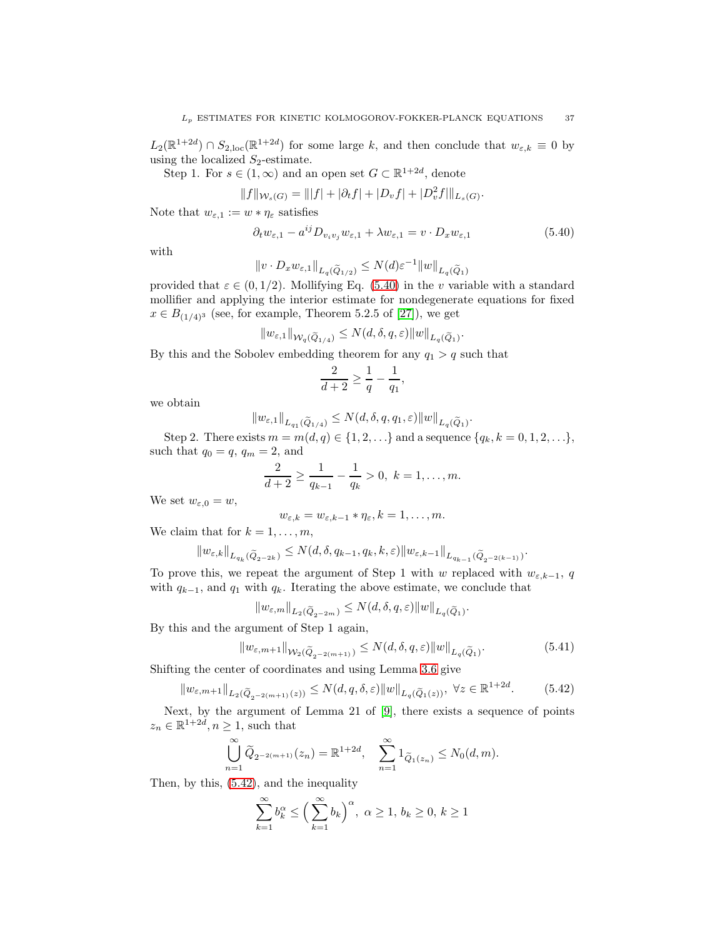$L_2(\mathbb{R}^{1+2d}) \cap S_{2,\text{loc}}(\mathbb{R}^{1+2d})$  for some large k, and then conclude that  $w_{\varepsilon,k} \equiv 0$  by using the localized  $S_2$ -estimate.

Step 1. For  $s \in (1,\infty)$  and an open set  $G \subset \mathbb{R}^{1+2d}$ , denote

$$
||f||_{\mathcal{W}_s(G)} = |||f| + |\partial_t f| + |D_v f| + |D_v^2 f||_{L_s(G)}.
$$

Note that  $w_{\varepsilon,1} := w * \eta_{\varepsilon}$  satisfies

<span id="page-36-0"></span>
$$
\partial_t w_{\varepsilon,1} - a^{ij} D_{v_i v_j} w_{\varepsilon,1} + \lambda w_{\varepsilon,1} = v \cdot D_x w_{\varepsilon,1}
$$
\n(5.40)

,

.

.

with

$$
||v \cdot D_x w_{\varepsilon,1}||_{L_q(\widetilde{Q}_{1/2})} \le N(d)\varepsilon^{-1} ||w||_{L_q(\widetilde{Q}_1)}
$$

provided that  $\varepsilon \in (0, 1/2)$ . Mollifying Eq. [\(5.40\)](#page-36-0) in the v variable with a standard mollifier and applying the interior estimate for nondegenerate equations for fixed  $x \in B_{(1/4)^3}$  (see, for example, Theorem 5.2.5 of [\[27\]](#page-54-2)), we get

$$
\|w_{\varepsilon,1}\|_{\mathcal{W}_q(\widetilde{Q}_{1/4})}\le N(d,\delta,q,\varepsilon)\|w\|_{L_q(\widetilde{Q}_1)}.
$$

By this and the Sobolev embedding theorem for any  $q_1 > q$  such that

$$
\frac{2}{d+2}\geq \frac{1}{q}-\frac{1}{q_1}
$$

we obtain

$$
||w_{\varepsilon,1}||_{L_{q_1}(\widetilde{Q}_{1/4})} \le N(d,\delta,q,q_1,\varepsilon) ||w||_{L_q(\widetilde{Q}_1)}
$$

Step 2. There exists  $m = m(d, q) \in \{1, 2, ...\}$  and a sequence  $\{q_k, k = 0, 1, 2, ...\}$ , such that  $q_0 = q$ ,  $q_m = 2$ , and

$$
\frac{2}{d+2} \ge \frac{1}{q_{k-1}} - \frac{1}{q_k} > 0, \ k = 1, \dots, m.
$$

We set  $w_{\varepsilon,0} = w$ ,

$$
w_{\varepsilon,k}=w_{\varepsilon,k-1}*\eta_{\varepsilon},k=1,\ldots,m.
$$

We claim that for  $k = 1, \ldots, m$ ,

$$
\|w_{\varepsilon,k}\|_{L_{q_k}(\widetilde{Q}_{2^{-2k}})}\leq N(d,\delta,q_{k-1},q_k,k,\varepsilon)\|w_{\varepsilon,k-1}\|_{L_{q_{k-1}}(\widetilde{Q}_{2^{-2(k-1)}})}
$$

To prove this, we repeat the argument of Step 1 with w replaced with  $w_{\varepsilon,k-1}$ , q with  $q_{k-1}$ , and  $q_1$  with  $q_k$ . Iterating the above estimate, we conclude that

$$
||w_{\varepsilon,m}||_{L_2(\widetilde{Q}_{2^{-2m}})} \le N(d,\delta,q,\varepsilon) ||w||_{L_q(\widetilde{Q}_1)}.
$$

By this and the argument of Step 1 again,

<span id="page-36-2"></span>
$$
||w_{\varepsilon,m+1}||_{\mathcal{W}_2(\widetilde{Q}_{2^{-2(m+1)}})} \le N(d,\delta,q,\varepsilon)||w||_{L_q(\widetilde{Q}_1)}.\tag{5.41}
$$

Shifting the center of coordinates and using Lemma [3.6](#page-14-0) give

<span id="page-36-1"></span>
$$
||w_{\varepsilon,m+1}||_{L_2(\widetilde{Q}_{2^{-2(m+1)}}(z))} \le N(d,q,\delta,\varepsilon) ||w||_{L_q(\widetilde{Q}_1(z))}, \ \forall z \in \mathbb{R}^{1+2d}.
$$
 (5.42)

Next, by the argument of Lemma 21 of [\[9\]](#page-53-3), there exists a sequence of points  $z_n \in \mathbb{R}^{1+2d}, n \geq 1$ , such that

$$
\bigcup_{n=1}^{\infty} \widetilde{Q}_{2^{-2(m+1)}}(z_n) = \mathbb{R}^{1+2d}, \quad \sum_{n=1}^{\infty} 1_{\widetilde{Q}_1(z_n)} \le N_0(d,m).
$$

Then, by this, [\(5.42\)](#page-36-1), and the inequality

$$
\sum_{k=1}^{\infty} b_k^{\alpha} \le \left(\sum_{k=1}^{\infty} b_k\right)^{\alpha}, \ \alpha \ge 1, \ b_k \ge 0, \ k \ge 1
$$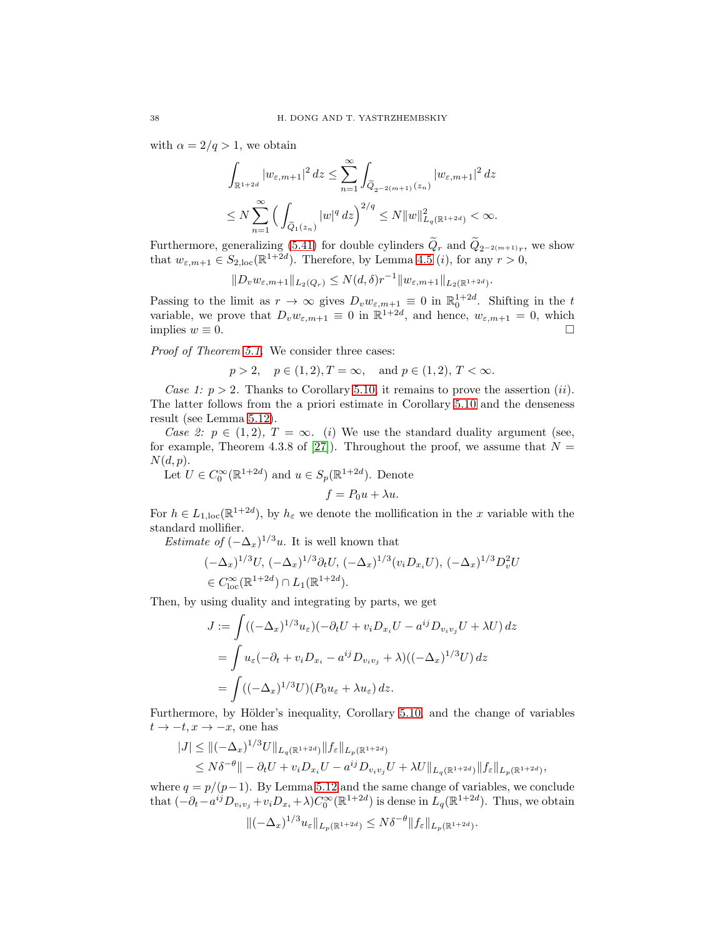with  $\alpha = 2/q > 1$ , we obtain

$$
\begin{aligned} & \int_{\mathbb{R}^{1+2d}} |w_{\varepsilon,m+1}|^2 \, dz \leq \sum_{n=1}^{\infty} \int_{\widetilde{Q}_{2^{-2(m+1)}}(z_n)} |w_{\varepsilon,m+1}|^2 \, dz \\ & \leq N \sum_{n=1}^{\infty} \Big( \int_{\widetilde{Q}_{1}(z_n)} |w|^q \, dz \Big)^{2/q} \leq N \|w\|_{L_q(\mathbb{R}^{1+2d})}^2 < \infty. \end{aligned}
$$

Furthermore, generalizing [\(5.41\)](#page-36-2) for double cylinders  $Q_r$  and  $Q_{2^{-2(m+1)}r}$ , we show that  $w_{\varepsilon,m+1} \in S_{2,\text{loc}}(\mathbb{R}^{1+2d})$ . Therefore, by Lemma [4.5](#page-19-1) (*i*), for any  $r > 0$ ,

$$
||D_v w_{\varepsilon,m+1}||_{L_2(Q_r)} \leq N(d,\delta)r^{-1}||w_{\varepsilon,m+1}||_{L_2(\mathbb{R}^{1+2d})}.
$$

Passing to the limit as  $r \to \infty$  gives  $D_v w_{\varepsilon,m+1} \equiv 0$  in  $\mathbb{R}^{1+2d}_0$ . Shifting in the t variable, we prove that  $D_v w_{\varepsilon,m+1} \equiv 0$  in  $\mathbb{R}^{1+2d}$ , and hence,  $w_{\varepsilon,m+1} = 0$ , which implies  $w \equiv 0$ .

*Proof of Theorem [5.1.](#page-21-1)* We consider three cases:

$$
p > 2
$$
,  $p \in (1, 2), T = \infty$ , and  $p \in (1, 2), T < \infty$ .

*Case 1:*  $p > 2$ . Thanks to Corollary [5.10,](#page-35-0) it remains to prove the assertion (*ii*). The latter follows from the a priori estimate in Corollary [5.10](#page-35-0) and the denseness result (see Lemma [5.12\)](#page-35-2).

*Case 2:*  $p \in (1,2)$ ,  $T = \infty$ *. (i)* We use the standard duality argument (see, for example, Theorem 4.3.8 of [\[27\]](#page-54-2)). Throughout the proof, we assume that  $N =$  $N(d, p).$ 

Let  $U \in C_0^{\infty}(\mathbb{R}^{1+2d})$  and  $u \in S_p(\mathbb{R}^{1+2d})$ . Denote

$$
f = P_0 u + \lambda u.
$$

For  $h \in L_{1,loc}(\mathbb{R}^{1+2d})$ , by  $h_{\varepsilon}$  we denote the mollification in the x variable with the standard mollifier.

*Estimate of*  $(-\Delta_x)^{1/3}u$ . It is well known that

$$
(-\Delta_x)^{1/3}U, \, (-\Delta_x)^{1/3}\partial_t U, \, (-\Delta_x)^{1/3}(v_i D_{x_i}U), \, (-\Delta_x)^{1/3}D_v^2U
$$
  

$$
\in C_{\text{loc}}^{\infty}(\mathbb{R}^{1+2d})\cap L_1(\mathbb{R}^{1+2d}).
$$

Then, by using duality and integrating by parts, we get

$$
J := \int ((-\Delta_x)^{1/3} u_{\varepsilon}) (-\partial_t U + v_i D_{x_i} U - a^{ij} D_{v_i v_j} U + \lambda U) dz
$$
  
= 
$$
\int u_{\varepsilon} (-\partial_t + v_i D_{x_i} - a^{ij} D_{v_i v_j} + \lambda) ((-\Delta_x)^{1/3} U) dz
$$
  
= 
$$
\int ((-\Delta_x)^{1/3} U)(P_0 u_{\varepsilon} + \lambda u_{\varepsilon}) dz.
$$

Furthermore, by Hölder's inequality, Corollary [5.10,](#page-35-0) and the change of variables  $t \to -t, x \to -x$ , one has

$$
|J| \le ||(-\Delta_x)^{1/3}U||_{L_q(\mathbb{R}^{1+2d})}||f_{\varepsilon}||_{L_p(\mathbb{R}^{1+2d})}
$$
  
\$\le N\delta^{-\theta}||-\partial\_t U + v\_i D\_{x\_i} U - a^{ij} D\_{v\_i v\_j} U + \lambda U||\_{L\_q(\mathbb{R}^{1+2d})}||f\_{\varepsilon}||\_{L\_p(\mathbb{R}^{1+2d})},

where  $q = p/(p-1)$ . By Lemma [5.12](#page-35-2) and the same change of variables, we conclude that  $(-\partial_t - a^{ij}D_{v_i v_j} + v_i D_{x_i} + \lambda)C_0^{\infty}(\mathbb{R}^{1+2d})$  is dense in  $L_q(\mathbb{R}^{1+2d})$ . Thus, we obtain

$$
\|(-\Delta_x)^{1/3}u_{\varepsilon}\|_{L_p(\mathbb{R}^{1+2d})}\leq N\delta^{-\theta}\|f_{\varepsilon}\|_{L_p(\mathbb{R}^{1+2d})}.
$$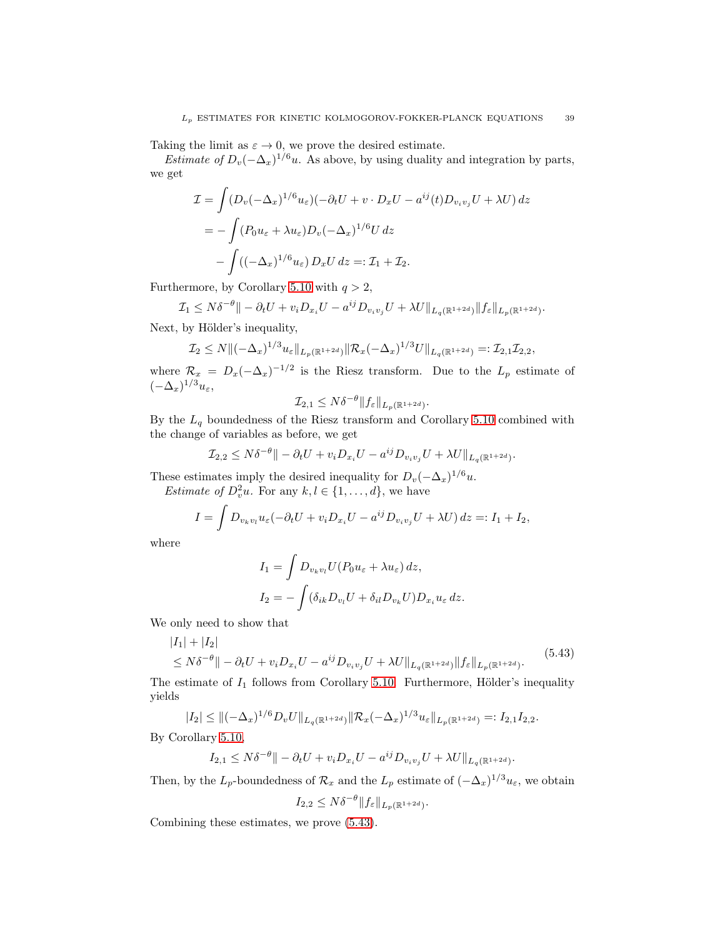Taking the limit as  $\varepsilon \to 0$ , we prove the desired estimate.

*Estimate of*  $D_v(-\Delta_x)^{1/6}u$ . As above, by using duality and integration by parts, we get

$$
\mathcal{I} = \int (D_v(-\Delta_x)^{1/6} u_{\varepsilon}) (-\partial_t U + v \cdot D_x U - a^{ij}(t) D_{v_i v_j} U + \lambda U) dz
$$
  
= 
$$
- \int (P_0 u_{\varepsilon} + \lambda u_{\varepsilon}) D_v (-\Delta_x)^{1/6} U dz
$$
  

$$
- \int ((-\Delta_x)^{1/6} u_{\varepsilon}) D_x U dz =: \mathcal{I}_1 + \mathcal{I}_2.
$$

Furthermore, by Corollary [5.10](#page-35-0) with  $q > 2$ ,

$$
\mathcal{I}_1 \leq N\delta^{-\theta} \|- \partial_t U + v_i D_{x_i} U - a^{ij} D_{v_i v_j} U + \lambda U \|_{L_q(\mathbb{R}^{1+2d})} \|f_{\varepsilon}\|_{L_p(\mathbb{R}^{1+2d})}.
$$

Next, by Hölder's inequality,

$$
\mathcal{I}_2 \le N \| (-\Delta_x)^{1/3} u_{\varepsilon} \|_{L_p(\mathbb{R}^{1+2d})} \| \mathcal{R}_x(-\Delta_x)^{1/3} U \|_{L_q(\mathbb{R}^{1+2d})} =: \mathcal{I}_{2,1} \mathcal{I}_{2,2},
$$

where  $\mathcal{R}_x = D_x(-\Delta_x)^{-1/2}$  is the Riesz transform. Due to the  $L_p$  estimate of  $(-\Delta_x)^{1/3}u_{\varepsilon}$ 

$$
\mathcal{I}_{2,1} \leq N\delta^{-\theta} \|f_{\varepsilon}\|_{L_p(\mathbb{R}^{1+2d})}.
$$

By the  ${\mathcal L}_q$  boundedness of the Riesz transform and Corollary [5.10](#page-35-0) combined with the change of variables as before, we get

$$
\mathcal{I}_{2,2} \leq N\delta^{-\theta} \|- \partial_t U + v_i D_{x_i} U - a^{ij} D_{v_i v_j} U + \lambda U \|_{L_q(\mathbb{R}^{1+2d})}.
$$

These estimates imply the desired inequality for  $D_v(-\Delta_x)^{1/6}u$ .

*Estimate of*  $D_v^2 u$ . For any  $k, l \in \{1, ..., d\}$ , we have

$$
I = \int D_{v_k v_l} u_\varepsilon (-\partial_t U + v_i D_{x_i} U - a^{ij} D_{v_i v_j} U + \lambda U) dz =: I_1 + I_2,
$$

where

$$
I_1 = \int D_{v_k v_l} U(P_0 u_\varepsilon + \lambda u_\varepsilon) dz,
$$
  
\n
$$
I_2 = -\int (\delta_{ik} D_{v_l} U + \delta_{il} D_{v_k} U) D_{x_i} u_\varepsilon dz.
$$

We only need to show that

<span id="page-38-0"></span>
$$
|I_1| + |I_2|
$$
  
\n
$$
\leq N\delta^{-\theta} \| - \partial_t U + v_i D_{x_i} U - a^{ij} D_{v_i v_j} U + \lambda U \|_{L_q(\mathbb{R}^{1+2d})} \| f_{\varepsilon} \|_{L_p(\mathbb{R}^{1+2d})}.
$$
\n(5.43)

The estimate of  $I_1$  follows from Corollary [5.10.](#page-35-0) Furthermore, Hölder's inequality yields

$$
|I_2| \leq \|(-\Delta_x)^{1/6} D_v U\|_{L_q(\mathbb{R}^{1+2d})} \|\mathcal{R}_x(-\Delta_x)^{1/3} u_{\varepsilon}\|_{L_p(\mathbb{R}^{1+2d})} =: I_{2,1} I_{2,2}.
$$

By Corollary [5.10,](#page-35-0)

$$
I_{2,1} \leq N\delta^{-\theta} \|- \partial_t U + v_i D_{x_i} U - a^{ij} D_{v_i v_j} U + \lambda U \|_{L_q(\mathbb{R}^{1+2d})}.
$$

Then, by the  $L_p$ -boundedness of  $\mathcal{R}_x$  and the  $L_p$  estimate of  $(-\Delta_x)^{1/3}u_{\varepsilon}$ , we obtain

$$
I_{2,2} \leq N\delta^{-\theta} \|f_{\varepsilon}\|_{L_p(\mathbb{R}^{1+2d})}.
$$

Combining these estimates, we prove [\(5.43\)](#page-38-0).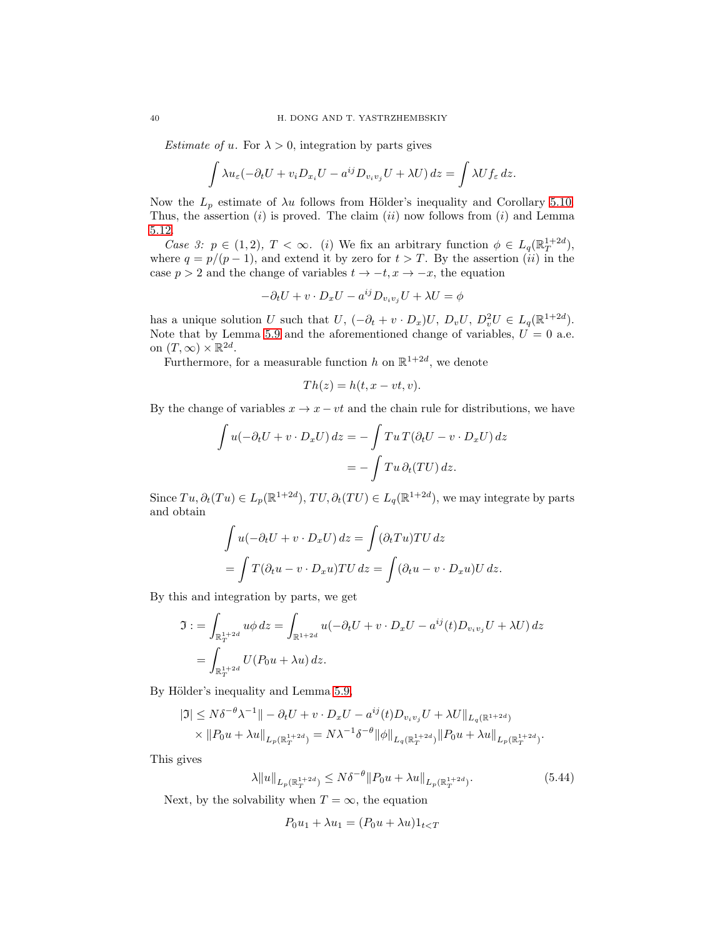*Estimate of u.* For  $\lambda > 0$ , integration by parts gives

$$
\int \lambda u_{\varepsilon}(-\partial_t U + v_i D_{x_i} U - a^{ij} D_{v_i v_j} U + \lambda U) dz = \int \lambda U f_{\varepsilon} dz.
$$

Now the  $L_p$  estimate of  $\lambda u$  follows from Hölder's inequality and Corollary [5.10.](#page-35-0) Thus, the assertion  $(i)$  is proved. The claim  $(ii)$  now follows from  $(i)$  and Lemma [5.12.](#page-35-2)

*Case 3:*  $p \in (1,2)$ ,  $T < \infty$ . (i) We fix an arbitrary function  $\phi \in L_q(\mathbb{R}^{1+2d}_T)$ , where  $q = p/(p-1)$ , and extend it by zero for  $t > T$ . By the assertion (ii) in the case  $p > 2$  and the change of variables  $t \to -t, x \to -x$ , the equation

$$
-\partial_t U + v \cdot D_x U - a^{ij} D_{v_i v_j} U + \lambda U = \phi
$$

has a unique solution U such that  $U$ ,  $(-\partial_t + v \cdot D_x)U$ ,  $D_vU$ ,  $D_v^2U \in L_q(\mathbb{R}^{1+2d})$ . Note that by Lemma [5.9](#page-34-3) and the aforementioned change of variables,  $U = 0$  a.e. on  $(T, \infty) \times \mathbb{R}^{2d}$ .

Furthermore, for a measurable function h on  $\mathbb{R}^{1+2d}$ , we denote

$$
Th(z) = h(t, x - vt, v).
$$

By the change of variables  $x \to x - vt$  and the chain rule for distributions, we have

$$
\int u(-\partial_t U + v \cdot D_x U) dz = -\int T u T (\partial_t U - v \cdot D_x U) dz
$$

$$
= -\int T u \partial_t (TU) dz.
$$

Since  $Tu, \partial_t(Tu) \in L_p(\mathbb{R}^{1+2d}), TU, \partial_t(TU) \in L_q(\mathbb{R}^{1+2d}),$  we may integrate by parts and obtain

$$
\int u(-\partial_t U + v \cdot D_x U) dz = \int (\partial_t T u) T U dz
$$
  
= 
$$
\int T(\partial_t u - v \cdot D_x u) T U dz = \int (\partial_t u - v \cdot D_x u) U dz.
$$

By this and integration by parts, we get

$$
\mathfrak{I} := \int_{\mathbb{R}_T^{1+2d}} u\phi \, dz = \int_{\mathbb{R}^{1+2d}} u(-\partial_t U + v \cdot D_x U - a^{ij}(t)D_{v_iv_j}U + \lambda U) \, dz
$$
  
= 
$$
\int_{\mathbb{R}_T^{1+2d}} U(P_0 u + \lambda u) \, dz.
$$

By Hölder's inequality and Lemma [5.9,](#page-34-3)

$$
|\Im| \leq N\delta^{-\theta}\lambda^{-1} || - \partial_t U + v \cdot D_x U - a^{ij}(t)D_{v_iv_j}U + \lambda U ||_{L_q(\mathbb{R}^{1+2d})}
$$
  
 
$$
\times ||P_0 u + \lambda u||_{L_p(\mathbb{R}^{1+2d}_T)} = N\lambda^{-1}\delta^{-\theta} ||\phi||_{L_q(\mathbb{R}^{1+2d}_T)} ||P_0 u + \lambda u||_{L_p(\mathbb{R}^{1+2d}_T)}.
$$

This gives

<span id="page-39-0"></span>
$$
\lambda \|u\|_{L_p(\mathbb{R}^{1+2d}_T)} \le N\delta^{-\theta} \|P_0 u + \lambda u\|_{L_p(\mathbb{R}^{1+2d}_T)}.
$$
\n(5.44)

Next, by the solvability when  $T = \infty$ , the equation

$$
P_0u_1 + \lambda u_1 = (P_0u + \lambda u)1_{t
$$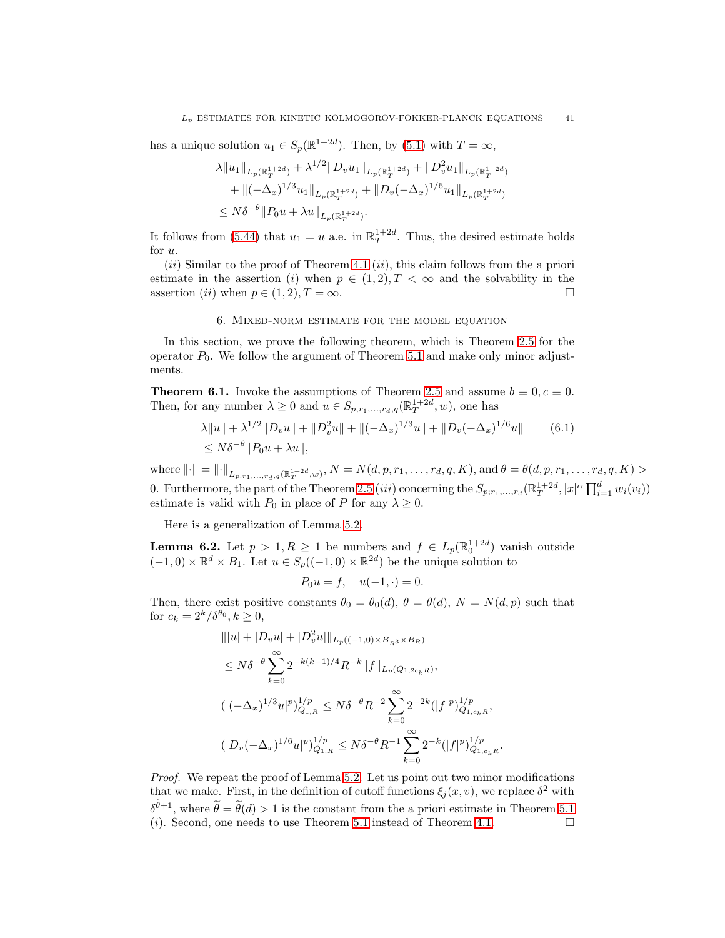has a unique solution  $u_1 \in S_p(\mathbb{R}^{1+2d})$ . Then, by [\(5.1\)](#page-21-4) with  $T = \infty$ ,

$$
\lambda \|u_1\|_{L_p(\mathbb{R}_T^{1+2d})} + \lambda^{1/2} \|D_v u_1\|_{L_p(\mathbb{R}_T^{1+2d})} + \|D_v^2 u_1\|_{L_p(\mathbb{R}_T^{1+2d})} \n+ \|(-\Delta_x)^{1/3} u_1\|_{L_p(\mathbb{R}_T^{1+2d})} + \|D_v(-\Delta_x)^{1/6} u_1\|_{L_p(\mathbb{R}_T^{1+2d})} \n\leq N\delta^{-\theta} \|P_0 u + \lambda u\|_{L_p(\mathbb{R}_T^{1+2d})}.
$$

It follows from [\(5.44\)](#page-39-0) that  $u_1 = u$  a.e. in  $\mathbb{R}^{1+2d}_T$ . Thus, the desired estimate holds for u.

 $(ii)$  Similar to the proof of Theorem [4.1](#page-15-1)  $(ii)$ , this claim follows from the a priori estimate in the assertion (i) when  $p \in (1,2), T < \infty$  and the solvability in the assertion (*ii*) when  $p \in (1, 2), T = \infty$ .

### 6. Mixed-norm estimate for the model equation

<span id="page-40-0"></span>In this section, we prove the following theorem, which is Theorem [2.5](#page-6-1) for the operator  $P_0$ . We follow the argument of Theorem [5.1](#page-21-1) and make only minor adjustments.

<span id="page-40-1"></span>**Theorem 6.1.** Invoke the assumptions of Theorem [2.5](#page-6-1) and assume  $b \equiv 0, c \equiv 0$ . Then, for any number  $\lambda \geq 0$  and  $u \in S_{p,r_1,\dots,r_d,q}(\mathbb{R}^{1+2d}_T, w)$ , one has

$$
\lambda \|u\| + \lambda^{1/2} \|D_v u\| + \|D_v^2 u\| + \|(-\Delta_x)^{1/3} u\| + \|D_v(-\Delta_x)^{1/6} u\|
$$
\n
$$
\leq N\delta^{-\theta} \|P_0 u + \lambda u\|,
$$
\n(6.1)

 $\text{where } ||\cdot|| = ||\cdot||_{L_{p,r_1,...,r_d,q}(\mathbb{R}^{1+2d}_T,w)}, N = N(d,p,r_1,...,r_d,q,K), \text{and } \theta = \theta(d,p,r_1,...,r_d,q,K) > 0$ 0. Furthermore, the part of the Theorem [2.5](#page-6-1) *(iii)* concerning the  $S_{p;r_1,...,r_d}(\mathbb{R}^{1+2d}_T, |x|^{\alpha} \prod_{i=1}^d w_i(v_i))$ estimate is valid with  $P_0$  in place of P for any  $\lambda \geq 0$ .

Here is a generalization of Lemma [5.2.](#page-21-2)

<span id="page-40-2"></span>**Lemma 6.2.** Let  $p > 1, R \ge 1$  be numbers and  $f \in L_p(\mathbb{R}^{1+2d}_0)$  vanish outside  $(-1,0) \times \mathbb{R}^d \times B_1$ . Let  $u \in S_p((-1,0) \times \mathbb{R}^{2d})$  be the unique solution to

<span id="page-40-3"></span>
$$
P_0 u = f, \quad u(-1, \cdot) = 0.
$$

Then, there exist positive constants  $\theta_0 = \theta_0(d)$ ,  $\theta = \theta(d)$ ,  $N = N(d, p)$  such that for  $c_k = 2^k/\delta^{\theta_0}, k \ge 0$ ,

$$
\| |u| + |D_v u| + |D_v^2 u| \|_{L_p((-1,0) \times B_{R^3} \times B_R)}
$$
  
\n
$$
\leq N \delta^{-\theta} \sum_{k=0}^{\infty} 2^{-k(k-1)/4} R^{-k} \| f \|_{L_p(Q_{1,2c_kR})},
$$
  
\n
$$
(|(-\Delta_x)^{1/3} u|^p)_{Q_{1,R}}^{1/p} \leq N \delta^{-\theta} R^{-2} \sum_{k=0}^{\infty} 2^{-2k} (|f|^p)_{Q_{1,c_kR}}^{1/p},
$$
  
\n
$$
(|D_v(-\Delta_x)^{1/6} u|^p)_{Q_{1,R}}^{1/p} \leq N \delta^{-\theta} R^{-1} \sum_{k=0}^{\infty} 2^{-k} (|f|^p)_{Q_{1,c_kR}}^{1/p}.
$$

*Proof.* We repeat the proof of Lemma [5.2.](#page-21-2) Let us point out two minor modifications that we make. First, in the definition of cutoff functions  $\xi_j(x, v)$ , we replace  $\delta^2$  with  $\delta^{\theta+1}$ , where  $\theta = \theta(d) > 1$  is the constant from the a priori estimate in Theorem [5.1](#page-21-1) (*i*). Second, one needs to use Theorem [5.1](#page-21-1) instead of Theorem [4.1.](#page-15-1)  $\Box$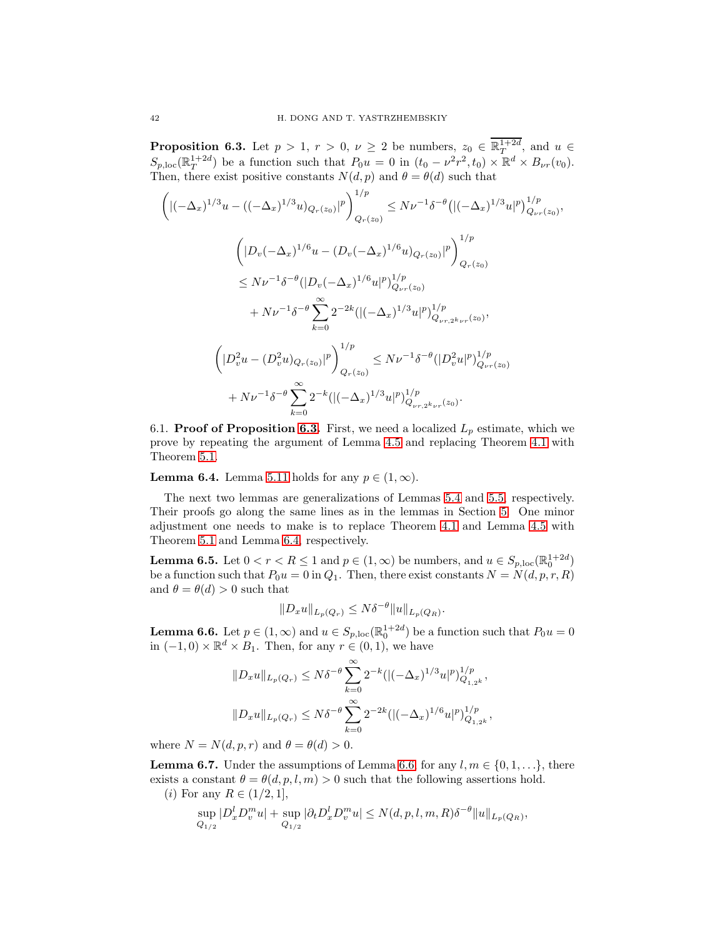<span id="page-41-0"></span>**Proposition 6.3.** Let  $p > 1$ ,  $r > 0$ ,  $\nu \geq 2$  be numbers,  $z_0 \in \mathbb{R}^{1+2d}_T$ , and  $u \in$  $S_{p,loc}(\mathbb{R}^{1+2d}_T)$  be a function such that  $P_0u = 0$  in  $(t_0 - \nu^2 r^2, t_0) \times \mathbb{R}^d \times B_{\nu r}(v_0)$ . Then, there exist positive constants  $N(d, p)$  and  $\theta = \theta(d)$  such that

$$
\left( |(-\Delta_x)^{1/3}u - ((-\Delta_x)^{1/3}u)_{Q_r(z_0)}|^p \right)_{Q_r(z_0)}^{1/p} \le N\nu^{-1} \delta^{-\theta} \left( |(-\Delta_x)^{1/3}u|^p \right)_{Q_{\nu r}(z_0)}^{1/p},
$$
\n
$$
\left( |D_v(-\Delta_x)^{1/6}u - (D_v(-\Delta_x)^{1/6}u)_{Q_r(z_0)}|^p \right)_{Q_r(z_0)}^{1/p}
$$
\n
$$
\le N\nu^{-1} \delta^{-\theta} (|D_v(-\Delta_x)^{1/6}u|^p)_{Q_{\nu r}(z_0)}^{1/p}
$$
\n
$$
+ N\nu^{-1} \delta^{-\theta} \sum_{k=0}^{\infty} 2^{-2k} (|(-\Delta_x)^{1/3}u|^p)_{Q_{\nu r, 2^k\nu r}(z_0)}^{1/p},
$$
\n
$$
\left( |D_v^2u - (D_v^2u)_{Q_r(z_0)}|^p \right)_{Q_r(z_0)}^{1/p} \le N\nu^{-1} \delta^{-\theta} (|D_v^2u|^p)_{Q_{\nu r}(z_0)}^{1/p}
$$
\n
$$
+ N\nu^{-1} \delta^{-\theta} \sum_{k=0}^{\infty} 2^{-k} (|(-\Delta_x)^{1/3}u|^p)_{Q_{\nu r, 2^k\nu r}(z_0)}^{1/p}.
$$

6.1. **Proof of Proposition [6.3.](#page-41-0)** First, we need a localized  $L_p$  estimate, which we prove by repeating the argument of Lemma [4.5](#page-19-1) and replacing Theorem [4.1](#page-15-1) with Theorem [5.1.](#page-21-1)

<span id="page-41-1"></span>**Lemma 6.4.** Lemma [5.11](#page-35-1) holds for any  $p \in (1, \infty)$ .

The next two lemmas are generalizations of Lemmas [5.4](#page-24-1) and [5.5,](#page-26-2) respectively. Their proofs go along the same lines as in the lemmas in Section [5.](#page-21-0) One minor adjustment one needs to make is to replace Theorem [4.1](#page-15-1) and Lemma [4.5](#page-19-1) with Theorem [5.1](#page-21-1) and Lemma [6.4,](#page-41-1) respectively.

**Lemma 6.5.** Let  $0 < r < R \leq 1$  and  $p \in (1, \infty)$  be numbers, and  $u \in S_{p, loc}(\mathbb{R}^{1+2d}_{0})$ be a function such that  $P_0u = 0$  in  $Q_1$ . Then, there exist constants  $N = N(d, p, r, R)$ and  $\theta = \theta(d) > 0$  such that

$$
||D_x u||_{L_p(Q_r)} \leq N\delta^{-\theta} ||u||_{L_p(Q_R)}.
$$

<span id="page-41-2"></span>**Lemma 6.6.** Let  $p \in (1, \infty)$  and  $u \in S_{p,\text{loc}}(\mathbb{R}^{1+2d}_{0})$  be a function such that  $P_0u = 0$ in  $(-1,0) \times \mathbb{R}^d \times B_1$ . Then, for any  $r \in (0,1)$ , we have

$$
||D_x u||_{L_p(Q_r)} \leq N\delta^{-\theta} \sum_{k=0}^{\infty} 2^{-k} (|(-\Delta_x)^{1/3} u|^p)_{Q_{1,2^k}}^{1/p},
$$
  

$$
||D_x u||_{L_p(Q_r)} \leq N\delta^{-\theta} \sum_{k=0}^{\infty} 2^{-2k} (|(-\Delta_x)^{1/6} u|^p)_{Q_{1,2^k}}^{1/p},
$$

where  $N = N(d, p, r)$  and  $\theta = \theta(d) > 0$ .

<span id="page-41-3"></span>**Lemma 6.7.** Under the assumptions of Lemma [6.6,](#page-41-2) for any  $l, m \in \{0, 1, \ldots\}$ , there exists a constant  $\theta = \theta(d, p, l, m) > 0$  such that the following assertions hold.

(*i*) For any  $R \in (1/2, 1],$ 

$$
\sup_{Q_{1/2}} |D_x^l D_v^m u| + \sup_{Q_{1/2}} |\partial_t D_x^l D_v^m u| \le N(d, p, l, m, R) \delta^{-\theta} ||u||_{L_p(Q_R)},
$$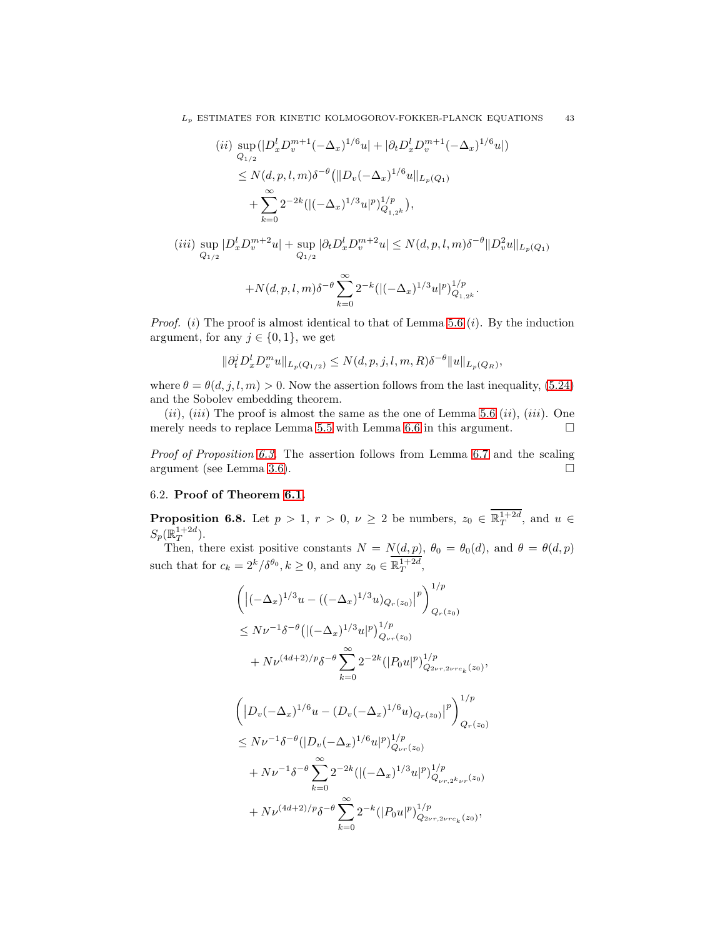$$
(ii) \sup_{Q_{1/2}} (|D_x^l D_v^{m+1}(-\Delta_x)^{1/6} u| + |\partial_t D_x^l D_v^{m+1}(-\Delta_x)^{1/6} u|)
$$
  
\n
$$
\leq N(d, p, l, m) \delta^{-\theta} (||D_v(-\Delta_x)^{1/6} u||_{L_p(Q_1)}
$$
  
\n
$$
+ \sum_{k=0}^{\infty} 2^{-2k} (|(-\Delta_x)^{1/3} u|^p)_{Q_{1,2^k}}^{1/p}),
$$

$$
(iii) \sup_{Q_{1/2}} |D_x^l D_v^{m+2} u| + \sup_{Q_{1/2}} |\partial_t D_x^l D_v^{m+2} u| \le N(d, p, l, m) \delta^{-\theta} ||D_v^2 u||_{L_p(Q_1)}
$$

$$
+ N(d, p, l, m) \delta^{-\theta} \sum_{k=0}^{\infty} 2^{-k} (|(-\Delta_x)^{1/3} u|^p)_{Q_{1,2^k}}^{1/p}.
$$

*Proof.* (i) The proof is almost identical to that of Lemma [5.6](#page-28-4) (i). By the induction argument, for any  $j \in \{0, 1\}$ , we get

$$
\|\partial_t^j D_x^l D_v^m u\|_{L_p(Q_{1/2})} \le N(d, p, j, l, m, R)\delta^{-\theta} \|u\|_{L_p(Q_R)},
$$

where  $\theta = \theta(d, j, l, m) > 0$ . Now the assertion follows from the last inequality, [\(5.24\)](#page-29-1) and the Sobolev embedding theorem.

 $(ii), (iii)$  The proof is almost the same as the one of Lemma [5.6](#page-28-4)  $(ii), (iii)$ . One merely needs to replace Lemma [5.5](#page-26-2) with Lemma [6.6](#page-41-2) in this argument.  $\Box$ 

*Proof of Proposition [6.3.](#page-41-0)* The assertion follows from Lemma [6.7](#page-41-3) and the scaling argument (see Lemma [3.6\)](#page-14-0).

### 6.2. Proof of Theorem [6.1.](#page-40-1)

<span id="page-42-0"></span>**Proposition 6.8.** Let  $p > 1$ ,  $r > 0$ ,  $\nu \geq 2$  be numbers,  $z_0 \in \mathbb{R}^{1+2d}_T$ , and  $u \in$  $S_p(\mathbb{R}^{1+2d}_T)$ .

Then, there exist positive constants  $N = N(d, p)$ ,  $\theta_0 = \theta_0(d)$ , and  $\theta = \theta(d, p)$ such that for  $c_k = 2^k/\delta^{\theta_0}, k \ge 0$ , and any  $z_0 \in \mathbb{R}^{1+2d}_T$ ,

$$
\begin{split}\n&\left(\left|(-\Delta_x)^{1/3}u-((-\Delta_x)^{1/3}u)_{Q_r(z_0)}\right|^p\right)^{1/p} \\
&\leq N\nu^{-1}\delta^{-\theta}\left((-\Delta_x)^{1/3}u|^p\right)^{1/p}_{Q_{\nu r}(z_0)} \\
&+ N\nu^{(4d+2)/p}\delta^{-\theta}\sum_{k=0}^{\infty}2^{-2k}\left(|P_0u|^p\right)^{1/p}_{Q_{2\nu r, 2\nu r c_k}(z_0)}, \\
&\left(\left|D_v(-\Delta_x)^{1/6}u-(D_v(-\Delta_x)^{1/6}u)_{Q_r(z_0)}\right|^p\right)^{1/p}_{Q_r(z_0)} \\
&\leq N\nu^{-1}\delta^{-\theta}\left(|D_v(-\Delta_x)^{1/6}u|^p\right)^{1/p}_{Q_{\nu r}(z_0)} \\
&+ N\nu^{-1}\delta^{-\theta}\sum_{k=0}^{\infty}2^{-2k}\left(((-\Delta_x)^{1/3}u|^p\right)^{1/p}_{Q_{\nu r, 2^k\nu r}(z_0)} \\
&+ N\nu^{(4d+2)/p}\delta^{-\theta}\sum_{k=0}^{\infty}2^{-k}\left(|P_0u|^p\right)^{1/p}_{Q_{2\nu r, 2\nu r c_k}(z_0)},\n\end{split}
$$

 $_{k=0}$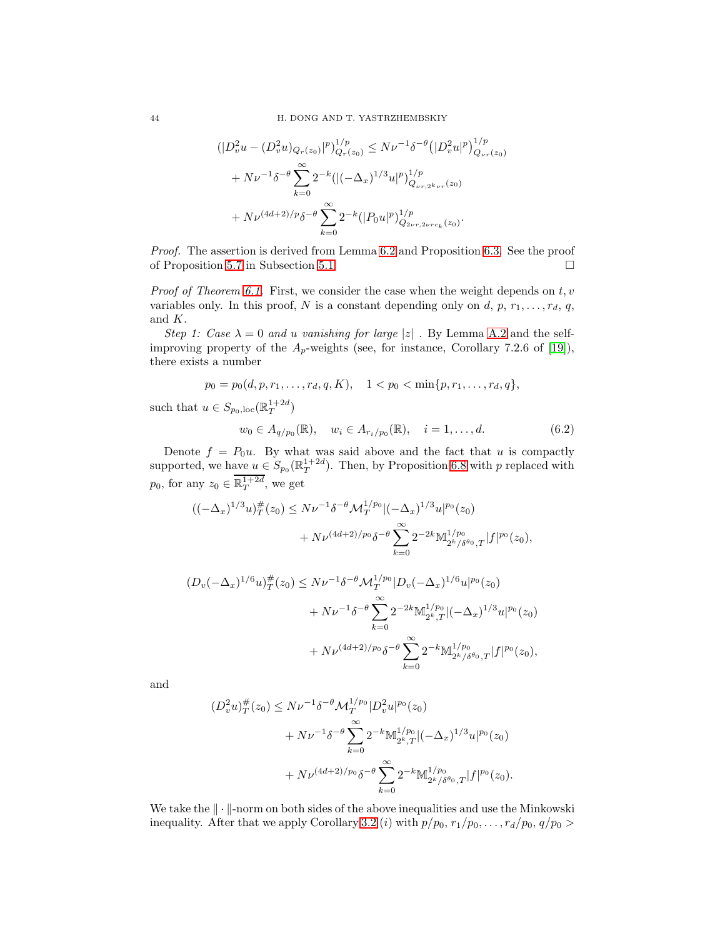$$
\begin{split} \left(|D_v^2 u - (D_v^2 u)_{Q_r(z_0)}|^p\right)_{Q_r(z_0)}^{1/p} &\leq N\nu^{-1} \delta^{-\theta} \left(|D_v^2 u|^p\right)_{Q_{\nu r}(z_0)}^{1/p} \\ &+ N\nu^{-1} \delta^{-\theta} \sum_{k=0}^{\infty} 2^{-k} \left( |(-\Delta_x)^{1/3} u|^p \right)_{Q_{\nu r, 2^k \nu r}(z_0)}^{1/p} \\ &+ N\nu^{(4d+2)/p} \delta^{-\theta} \sum_{k=0}^{\infty} 2^{-k} \left( |P_0 u|^p \right)_{Q_{2\nu r, 2\nu r c_k}(z_0)}^{1/p} .\end{split}
$$

*Proof.* The assertion is derived from Lemma [6.2](#page-40-2) and Proposition [6.3.](#page-41-0) See the proof of Proposition [5.7](#page-30-0) in Subsection [5.1.](#page-24-2)

*Proof of Theorem [6.1.](#page-40-1)* First, we consider the case when the weight depends on  $t, v$ variables only. In this proof, N is a constant depending only on  $d, p, r_1, \ldots, r_d, q$ , and K.

*Step 1: Case*  $\lambda = 0$  *and u vanishing for large* |z| *.* By Lemma [A.2](#page-52-1) and the selfimproving property of the  $A_p$ -weights (see, for instance, Corollary 7.2.6 of [\[19\]](#page-54-19)), there exists a number

$$
p_0 = p_0(d, p, r_1, \dots, r_d, q, K), \quad 1 < p_0 < \min\{p, r_1, \dots, r_d, q\},
$$

such that  $u \in S_{p_0,\text{loc}}(\mathbb{R}^{1+2d}_T)$ 

<span id="page-43-0"></span>
$$
w_0 \in A_{q/p_0}(\mathbb{R}), \quad w_i \in A_{r_i/p_0}(\mathbb{R}), \quad i = 1, \dots, d. \tag{6.2}
$$

Denote  $f = P_0u$ . By what was said above and the fact that u is compactly supported, we have  $u \in S_{p_0}(\mathbb{R}^{1+2d}_T)$ . Then, by Proposition [6.8](#page-42-0) with p replaced with  $p_0$ , for any  $z_0 \in \overline{\mathbb{R}^{1+2d}_T}$ , we get

$$
((-\Delta_x)^{1/3}u)_T^{\#}(z_0) \le N\nu^{-1}\delta^{-\theta} \mathcal{M}_T^{1/p_0}|(-\Delta_x)^{1/3}u|^{p_0}(z_0) + N\nu^{(4d+2)/p_0}\delta^{-\theta} \sum_{k=0}^{\infty} 2^{-2k} \mathbb{M}_{2^k/\delta^{\theta_0},T}^{1/p_0}(f|^{p_0}(z_0),
$$

$$
(D_v(-\Delta_x)^{1/6}u)_T^{\#}(z_0) \le N\nu^{-1}\delta^{-\theta}\mathcal{M}_T^{1/p_0}|D_v(-\Delta_x)^{1/6}u|^{p_0}(z_0) + N\nu^{-1}\delta^{-\theta}\sum_{k=0}^{\infty} 2^{-2k}\mathbb{M}_{2^k,T}^{1/p_0}|(-\Delta_x)^{1/3}u|^{p_0}(z_0) + N\nu^{(4d+2)/p_0}\delta^{-\theta}\sum_{k=0}^{\infty} 2^{-k}\mathbb{M}_{2^k/\delta^{\theta_0},T}^{1/p_0}(f|^{p_0}(z_0),
$$

and

$$
(D_v^2 u)_T^{\#}(z_0) \le N\nu^{-1} \delta^{-\theta} \mathcal{M}_T^{1/p_0} |D_v^2 u|^{p_0}(z_0)
$$
  
+  $N\nu^{-1} \delta^{-\theta} \sum_{k=0}^{\infty} 2^{-k} M_{2^k, T}^{1/p_0} |(-\Delta_x)^{1/3} u|^{p_0}(z_0)$   
+  $N\nu^{(4d+2)/p_0} \delta^{-\theta} \sum_{k=0}^{\infty} 2^{-k} M_{2^k/\delta^{\theta_0}, T}^{1/p_0}(f|^{p_0}(z_0)).$ 

We take the  $\|\cdot\|$ -norm on both sides of the above inequalities and use the Minkowski inequality. After that we apply Corollary [3.2](#page-9-0) (i) with  $p/p_0, r_1/p_0, \ldots, r_d/p_0, q/p_0 >$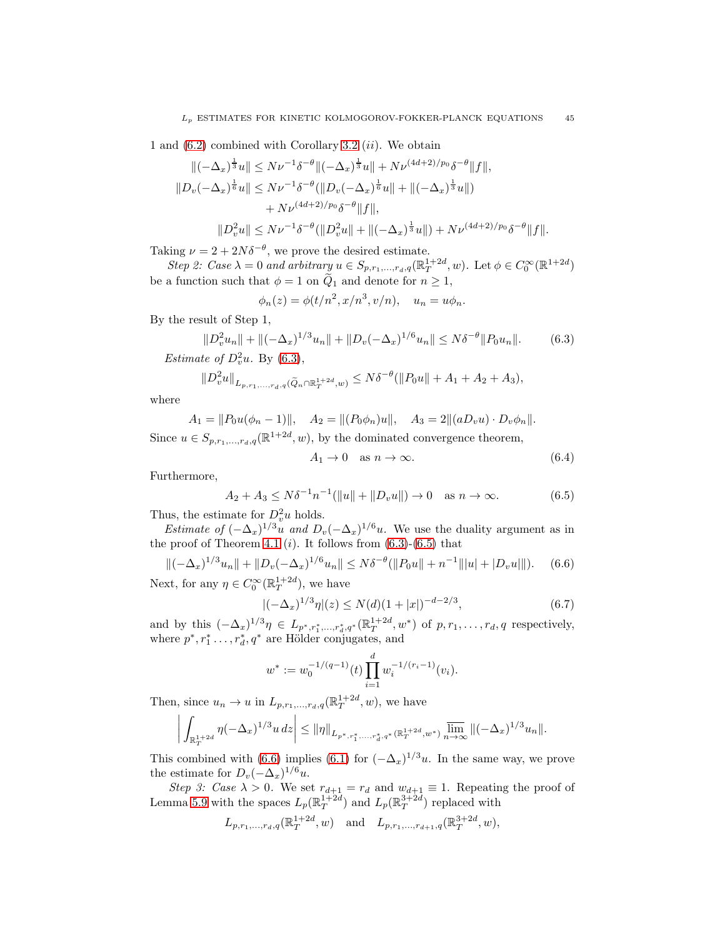1 and  $(6.2)$  combined with Corollary [3.2](#page-9-0)  $(ii)$ . We obtain

$$
\begin{aligned}\n\|(-\Delta_x)^{\frac{1}{3}}u\| &\le N\nu^{-1}\delta^{-\theta}\|(-\Delta_x)^{\frac{1}{3}}u\| + N\nu^{(4d+2)/p_0}\delta^{-\theta}\|f\|, \\
\|D_v(-\Delta_x)^{\frac{1}{6}}u\| &\le N\nu^{-1}\delta^{-\theta}(\|D_v(-\Delta_x)^{\frac{1}{6}}u\| + \|(-\Delta_x)^{\frac{1}{3}}u\|) \\
&\quad + N\nu^{(4d+2)/p_0}\delta^{-\theta}\|f\|, \\
\|D_v^2u\| &\le N\nu^{-1}\delta^{-\theta}(\|D_v^2u\| + \|(-\Delta_x)^{\frac{1}{3}}u\|) + N\nu^{(4d+2)/p_0}\delta^{-\theta}\|f\|. \n\end{aligned}
$$

Taking  $\nu = 2 + 2N\delta^{-\theta}$ , we prove the desired estimate.

*Step 2: Case*  $\lambda = 0$  *and arbitrary*  $u \in S_{p,r_1,\dots,r_d,q}(\mathbb{R}^{1+2d}_T, w)$ . Let  $\phi \in C_0^{\infty}(\mathbb{R}^{1+2d})$ be a function such that  $\phi = 1$  on  $\widetilde{Q}_1$  and denote for  $n \geq 1$ ,

$$
\phi_n(z) = \phi(t/n^2, x/n^3, v/n), \quad u_n = u\phi_n.
$$

By the result of Step 1,

<span id="page-44-0"></span>
$$
||D_v^2 u_n|| + ||(-\Delta_x)^{1/3} u_n|| + ||D_v(-\Delta_x)^{1/6} u_n|| \le N\delta^{-\theta} ||P_0 u_n||. \tag{6.3}
$$

*Estimate of*  $D_v^2 u$ *.* By [\(6.3\)](#page-44-0),

$$
||D_v^2 u||_{L_{p,r_1,\ldots,r_d,q}(\widetilde{Q}_n \cap \mathbb{R}_T^{1+2d},w)} \leq N\delta^{-\theta} (||P_0 u|| + A_1 + A_2 + A_3),
$$

where

$$
A_1 = ||P_0 u(\phi_n - 1)||, \quad A_2 = ||(P_0 \phi_n)u||, \quad A_3 = 2||(aD_v u) \cdot D_v \phi_n||.
$$

Since  $u \in S_{p,r_1,\ldots,r_d,q}(\mathbb{R}^{1+2d}, w)$ , by the dominated convergence theorem,

$$
A_1 \to 0 \quad \text{as } n \to \infty. \tag{6.4}
$$

Furthermore,

<span id="page-44-1"></span>
$$
A_2 + A_3 \le N\delta^{-1} n^{-1} (||u|| + ||D_v u||) \to 0 \quad \text{as } n \to \infty.
$$
 (6.5)

Thus, the estimate for  $D_v^2 u$  holds.

*Estimate of*  $(-\Delta_x)^{1/3}u$  *and*  $D_v(-\Delta_x)^{1/6}u$ . We use the duality argument as in the proof of Theorem [4.1](#page-15-1)  $(i)$ . It follows from  $(6.3)-(6.5)$  $(6.3)-(6.5)$  that

<span id="page-44-2"></span>
$$
\|(-\Delta_x)^{1/3}u_n\| + \|D_v(-\Delta_x)^{1/6}u_n\| \le N\delta^{-\theta}(\|P_0u\| + n^{-1}\| |u| + |D_vu|\|). \tag{6.6}
$$

Next, for any  $\eta \in C_0^{\infty}(\mathbb{R}^{1+2d}_T)$ , we have

<span id="page-44-3"></span>
$$
|(-\Delta_x)^{1/3}\eta|(z) \le N(d)(1+|x|)^{-d-2/3},\tag{6.7}
$$

and by this  $(-\Delta_x)^{1/3}\eta \in L_{p^*,r_1^*,...,r_d^*,q^*}(\mathbb{R}_T^{1+2d},w^*)$  of  $p,r_1,...,r_d,q$  respectively, where  $p^*, r_1^*, \ldots, r_d^*, q^*$  are Hölder conjugates, and

$$
w^* := w_0^{-1/(q-1)}(t) \prod_{i=1}^d w_i^{-1/(r_i-1)}(v_i).
$$

Then, since  $u_n \to u$  in  $L_{p,r_1,\dots,r_d,q}(\mathbb{R}^{1+2d}_T, w)$ , we have

$$
\bigg|\int_{\mathbb{R}^{1+2d}_T}\eta(-\Delta_x)^{1/3}u\,dz\bigg|\leq \|\eta\|_{L_{p^*,r_1^*,\dots,r_d^*,q^*}(\mathbb{R}^{1+2d}_T,w^*)}\varlimsup_{n\to\infty}\|(-\Delta_x)^{1/3}u_n\|.
$$

This combined with [\(6.6\)](#page-44-2) implies [\(6.1\)](#page-40-3) for  $(-\Delta_x)^{1/3}u$ . In the same way, we prove the estimate for  $D_v(-\Delta_x)^{1/6}u$ .

*Step 3: Case*  $\lambda > 0$ . We set  $r_{d+1} = r_d$  and  $w_{d+1} \equiv 1$ . Repeating the proof of Lemma [5.9](#page-34-3) with the spaces  $L_p(\mathbb{R}^{1+2d}_T)$  and  $L_p(\mathbb{R}^{3+2d}_T)$  replaced with

$$
L_{p,r_1,...,r_d,q}(\mathbb{R}_T^{1+2d}, w)
$$
 and  $L_{p,r_1,...,r_{d+1},q}(\mathbb{R}_T^{3+2d}, w)$ ,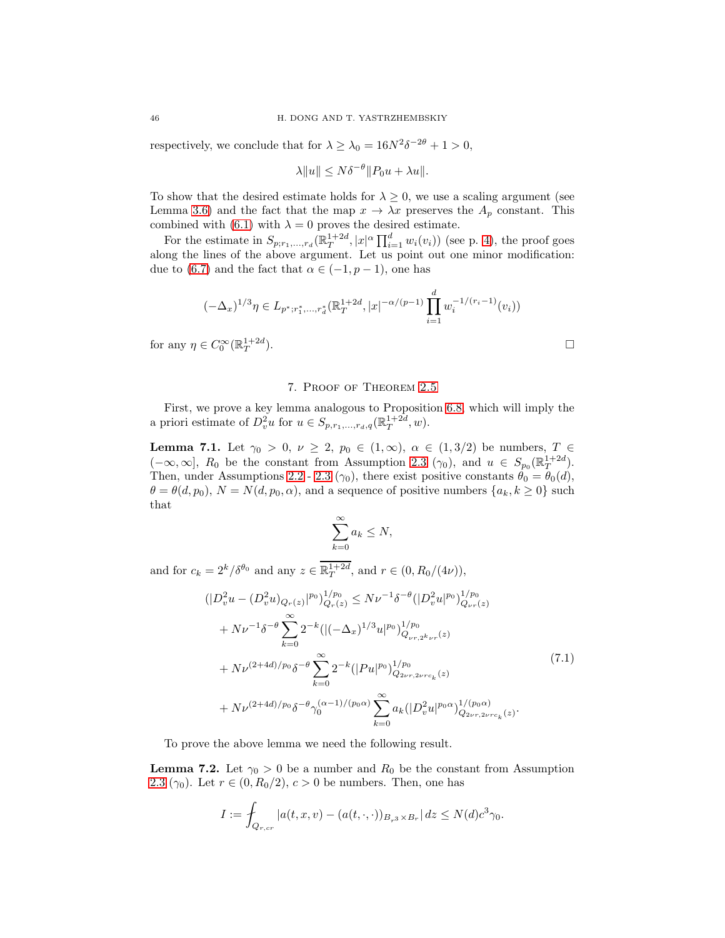respectively, we conclude that for  $\lambda \ge \lambda_0 = 16N^2\delta^{-2\theta} + 1 > 0$ ,

$$
\lambda \|u\| \le N\delta^{-\theta} \|P_0 u + \lambda u\|.
$$

To show that the desired estimate holds for  $\lambda \geq 0$ , we use a scaling argument (see Lemma [3.6\)](#page-14-0) and the fact that the map  $x \to \lambda x$  preserves the  $A_p$  constant. This combined with [\(6.1\)](#page-40-3) with  $\lambda = 0$  proves the desired estimate.

For the estimate in  $S_{p;r_1,...,r_d}(\mathbb{R}^{1+2d}_T, |x|^\alpha \prod_{i=1}^d w_i(v_i))$  (see p. [4\)](#page-3-4), the proof goes along the lines of the above argument. Let us point out one minor modification: due to [\(6.7\)](#page-44-3) and the fact that  $\alpha \in (-1, p-1)$ , one has

$$
(-\Delta_x)^{1/3}\eta \in L_{p^*;r_1^*,...,r_d^*}(\mathbb{R}_T^{1+2d}, |x|^{-\alpha/(p-1)}\prod_{i=1}^d w_i^{-1/(r_i-1)}(v_i))
$$
  

$$
v \in C_0^{\infty}(\mathbb{R}_T^{1+2d}).
$$

for any  $\eta \in C_0^{\infty}(\mathbb{R}^{1+2d}_T)$ 

#### 7. Proof of Theorem [2.5](#page-6-1)

First, we prove a key lemma analogous to Proposition [6.8,](#page-42-0) which will imply the a priori estimate of  $D_v^2 u$  for  $u \in S_{p,r_1,\dots,r_d,q}(\mathbb{R}^{1+2d}_T, w)$ .

<span id="page-45-0"></span>**Lemma 7.1.** Let  $\gamma_0 > 0$ ,  $\nu \geq 2$ ,  $p_0 \in (1, \infty)$ ,  $\alpha \in (1, 3/2)$  be numbers,  $T \in$  $(-\infty,\infty]$ ,  $R_0$  be the constant from Assumption [2.3](#page-5-0)  $(\gamma_0)$ , and  $u \in S_{p_0}(\mathbb{R}^{1+2d}_T)$ . Then, under Assumptions [2.2](#page-5-4) - [2.3](#page-5-0) ( $\gamma_0$ ), there exist positive constants  $\theta_0 = \theta_0(d)$ ,  $\theta = \theta(d, p_0), N = N(d, p_0, \alpha)$ , and a sequence of positive numbers  $\{a_k, k \geq 0\}$  such that

$$
\sum_{k=0}^{\infty} a_k \le N,
$$

and for  $c_k = 2^k/\delta^{\theta_0}$  and any  $z \in \mathbb{R}^{1+2d}_T$ , and  $r \in (0, R_0/(4\nu))$ ,

 $\overline{1}$ 

<span id="page-45-1"></span>
$$
\begin{split}\n&\left(|D_v^2 u - (D_v^2 u)_{Q_r(z)}|^{p_0}\right)_{Q_r(z)}^{1/p_0} \leq N\nu^{-1} \delta^{-\theta} (|D_v^2 u|^{p_0})_{Q_{\nu r}(z)}^{1/p_0} \\
&\quad + N\nu^{-1} \delta^{-\theta} \sum_{k=0}^{\infty} 2^{-k} \left( |(-\Delta_x)^{1/3} u|^{p_0}\right)_{Q_{\nu r, 2^k\nu r}(z)}^{1/p_0} \\
&\quad + N\nu^{(2+4d)/p_0} \delta^{-\theta} \sum_{k=0}^{\infty} 2^{-k} \left( |Pu|^{p_0}\right)_{Q_{2\nu r, 2\nu r c_k}(z)}^{1/p_0} \\
&\quad + N\nu^{(2+4d)/p_0} \delta^{-\theta} \gamma_0^{(\alpha-1)/(p_0 \alpha)} \sum_{k=0}^{\infty} a_k \left( |D_v^2 u|^{p_0 \alpha}\right)_{Q_{2\nu r, 2\nu r c_k}(z)}^{1/(p_0 \alpha)}.\n\end{split} \tag{7.1}
$$

To prove the above lemma we need the following result.

<span id="page-45-2"></span>**Lemma 7.2.** Let  $\gamma_0 > 0$  be a number and  $R_0$  be the constant from Assumption [2.3](#page-5-0) ( $\gamma_0$ ). Let  $r \in (0, R_0/2), c > 0$  be numbers. Then, one has

$$
I := \int_{Q_{r,cr}} |a(t,x,v) - (a(t,\cdot,\cdot))_{B_{r^3} \times B_r} | dz \le N(d)c^3 \gamma_0.
$$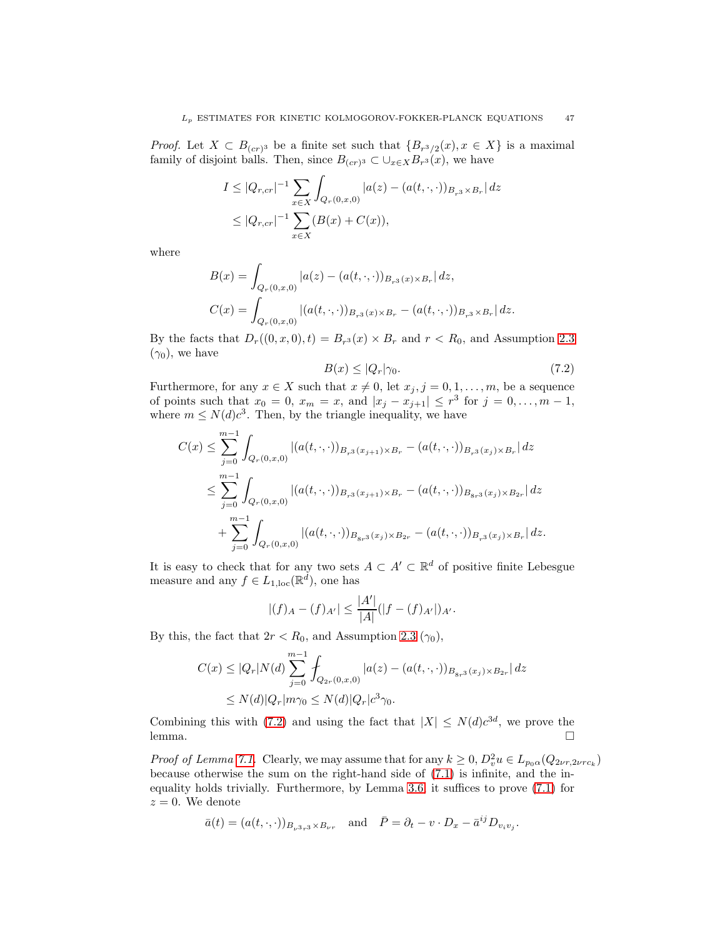*Proof.* Let  $X \subset B_{(cr)^3}$  be a finite set such that  $\{B_{r^3/2}(x), x \in X\}$  is a maximal family of disjoint balls. Then, since  $B_{(cr)^3} \subset \bigcup_{x \in X} B_{r^3}(x)$ , we have

$$
I \leq |Q_{r,cr}|^{-1} \sum_{x \in X} \int_{Q_r(0,x,0)} |a(z) - (a(t,\cdot,\cdot))_{B_{r^3} \times B_r}| dz
$$
  

$$
\leq |Q_{r,cr}|^{-1} \sum_{x \in X} (B(x) + C(x)),
$$

where

$$
B(x) = \int_{Q_r(0,x,0)} |a(z) - (a(t,\cdot,\cdot))_{B_{r^3}(x) \times B_r}| dz,
$$
  
\n
$$
C(x) = \int_{Q_r(0,x,0)} |(a(t,\cdot,\cdot))_{B_{r^3}(x) \times B_r} - (a(t,\cdot,\cdot))_{B_{r^3} \times B_r}| dz.
$$

By the facts that  $D_r((0, x, 0), t) = B_{r<sup>3</sup>}(x) \times B_r$  and  $r < R_0$ , and Assumption [2.3](#page-5-0)  $(\gamma_0)$ , we have

<span id="page-46-0"></span>
$$
B(x) \le |Q_r|\gamma_0. \tag{7.2}
$$

Furthermore, for any  $x \in X$  such that  $x \neq 0$ , let  $x_j, j = 0, 1, \ldots, m$ , be a sequence of points such that  $x_0 = 0$ ,  $x_m = x$ , and  $|x_j - x_{j+1}| \leq r^3$  for  $j = 0, ..., m - 1$ , where  $m \le N(d)c^3$ . Then, by the triangle inequality, we have

$$
C(x) \leq \sum_{j=0}^{m-1} \int_{Q_r(0,x,0)} |(a(t,\cdot,\cdot))_{B_{r^3}(x_{j+1})\times B_r} - (a(t,\cdot,\cdot))_{B_{r^3}(x_j)\times B_r}| dz
$$
  

$$
\leq \sum_{j=0}^{m-1} \int_{Q_r(0,x,0)} |(a(t,\cdot,\cdot))_{B_{r^3}(x_{j+1})\times B_r} - (a(t,\cdot,\cdot))_{B_{8r^3}(x_j)\times B_{2r}}| dz
$$
  

$$
+ \sum_{j=0}^{m-1} \int_{Q_r(0,x,0)} |(a(t,\cdot,\cdot))_{B_{8r^3}(x_j)\times B_{2r}} - (a(t,\cdot,\cdot))_{B_{r^3}(x_j)\times B_r}| dz.
$$

It is easy to check that for any two sets  $A \subset A' \subset \mathbb{R}^d$  of positive finite Lebesgue measure and any  $f \in L_{1,loc}(\mathbb{R}^d)$ , one has

$$
|(f)_{A} - (f)_{A'}| \leq \frac{|A'|}{|A|}(|f - (f)_{A'}|)_{A'}.
$$

By this, the fact that  $2r < R_0$ , and Assumption [2.3](#page-5-0) ( $\gamma_0$ ),

$$
C(x) \le |Q_r| N(d) \sum_{j=0}^{m-1} \int_{Q_{2r}(0,x,0)} |a(z) - (a(t,\cdot,\cdot))_{B_{8r^3}(x_j)\times B_{2r}}| dz
$$
  
 
$$
\le N(d) |Q_r| m\gamma_0 \le N(d) |Q_r| c^3 \gamma_0.
$$

Combining this with [\(7.2\)](#page-46-0) and using the fact that  $|X| \le N(d)c^{3d}$ , we prove the  $l$ emma.  $\Box$ 

*Proof of Lemma [7.1.](#page-45-0)* Clearly, we may assume that for any  $k \geq 0$ ,  $D_v^2 u \in L_{p_0\alpha}(Q_{2\nu r,2\nu rc_k})$ because otherwise the sum on the right-hand side of [\(7.1\)](#page-45-1) is infinite, and the inequality holds trivially. Furthermore, by Lemma [3.6,](#page-14-0) it suffices to prove [\(7.1\)](#page-45-1) for  $z = 0$ . We denote

$$
\bar{a}(t) = (a(t,\cdot,\cdot))_{B_{\nu^3 r^3} \times B_{\nu r}} \quad \text{and} \quad \bar{P} = \partial_t - v \cdot D_x - \bar{a}^{ij} D_{v_i v_j}.
$$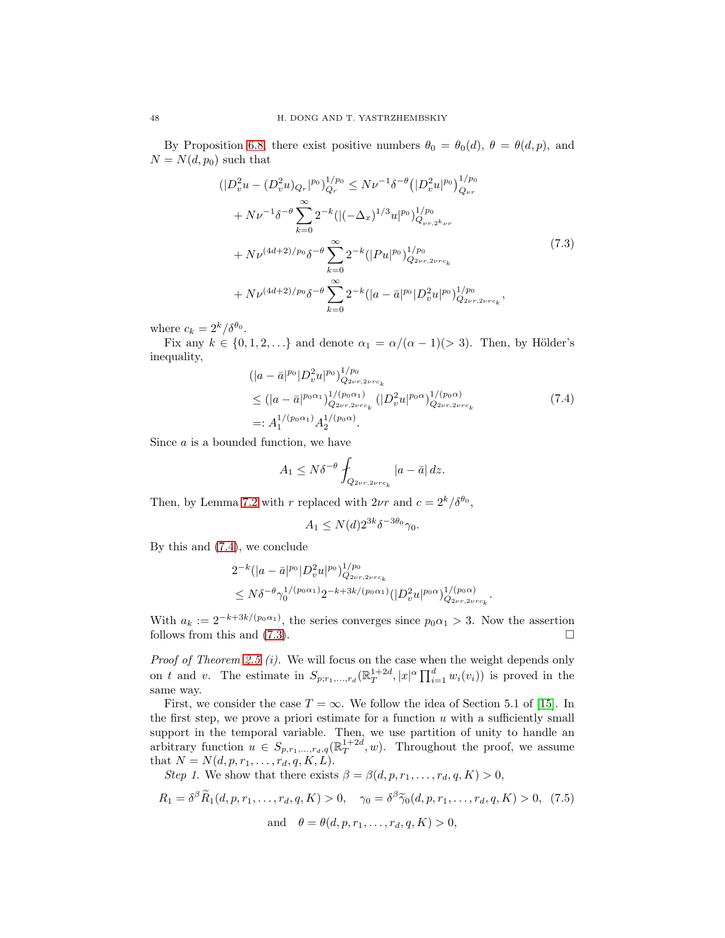By Proposition [6.8,](#page-42-0) there exist positive numbers  $\theta_0 = \theta_0(d)$ ,  $\theta = \theta(d, p)$ , and  $N = N(d, p_0)$  such that

<span id="page-47-1"></span>
$$
\begin{split}\n&(|D_v^2 u - (D_v^2 u)_{Q_r}|^{p_0})_{Q_r}^{1/p_0} \le N\nu^{-1} \delta^{-\theta} \left(|D_v^2 u|^{p_0}\right)_{Q_{\nu r}}^{1/p_0} \\
&+ N\nu^{-1} \delta^{-\theta} \sum_{k=0}^{\infty} 2^{-k} (|(-\Delta_x)^{1/3} u|^{p_0})_{Q_{\nu r, 2^k\nu r}}^{1/p_0} \\
&+ N\nu^{(4d+2)/p_0} \delta^{-\theta} \sum_{k=0}^{\infty} 2^{-k} (|Pu|^{p_0})_{Q_{2\nu r, 2\nu r c_k}}^{1/p_0} \\
&+ N\nu^{(4d+2)/p_0} \delta^{-\theta} \sum_{k=0}^{\infty} 2^{-k} (|a - \bar{a}|^{p_0} |D_v^2 u|^{p_0})_{Q_{2\nu r, 2\nu r c_k}}^{1/p_0},\n\end{split} \tag{7.3}
$$

where  $c_k = 2^k/\delta^{\theta_0}$ .

Fix any  $k \in \{0, 1, 2, ...\}$  and denote  $\alpha_1 = \alpha/(\alpha - 1)/> 3$ . Then, by Hölder's inequality,

<span id="page-47-0"></span>
$$
\begin{split} & (|a-\bar{a}|^{p_0}|D_v^2 u|^{p_0})_{Q_{2\nu r, 2\nu r c_k}}^{1/p_0} \\ & \leq (|a-\bar{a}|^{p_0\alpha_1})_{Q_{2\nu r, 2\nu r c_k}}^{1/(p_0\alpha_1)} (|D_v^2 u|^{p_0\alpha})_{Q_{2\nu r, 2\nu r c_k}}^{1/(p_0\alpha)} \\ & =: A_1^{1/(p_0\alpha_1)} A_2^{1/(p_0\alpha)}. \end{split} \tag{7.4}
$$

Since  $a$  is a bounded function, we have

$$
A_1 \le N\delta^{-\theta} \int_{Q_{2\nu r, 2\nu r c_k}} |a - \bar{a}| \, dz.
$$

Then, by Lemma [7.2](#page-45-2) with r replaced with  $2\nu r$  and  $c = 2^k/\delta^{\theta_0}$ ,

$$
A_1 \le N(d)2^{3k} \delta^{-3\theta_0} \gamma_0.
$$

By this and [\(7.4\)](#page-47-0), we conclude

$$
2^{-k} (|a - \bar{a}|^{p_0} | D_v^2 u|^{p_0})_{Q_{2\nu r, 2\nu r c_k}}^{1/p_0} \n\leq N \delta^{-\theta} \gamma_0^{1/(p_0 \alpha_1)} 2^{-k + 3k/(p_0 \alpha_1)} (|D_v^2 u|^{p_0 \alpha})_{Q_{2\nu r, 2\nu r c_k}}^{1/(p_0 \alpha)}.
$$

With  $a_k := 2^{-k+3k/(p_0\alpha_1)}$ , the series converges since  $p_0\alpha_1 > 3$ . Now the assertion follows from this and  $(7.3)$ .

*Proof of Theorem [2.5](#page-6-1) (i).* We will focus on the case when the weight depends only on t and v. The estimate in  $S_{p; r_1,...,r_d}(\mathbb{R}^{1+2d}_T, |x|^\alpha \prod_{i=1}^d w_i(v_i))$  is proved in the same way.

First, we consider the case  $T = \infty$ . We follow the idea of Section 5.1 of [\[15\]](#page-54-3). In the first step, we prove a priori estimate for a function  $u$  with a sufficiently small support in the temporal variable. Then, we use partition of unity to handle an arbitrary function  $u \in S_{p,r_1,\dots,r_d,q}(\mathbb{R}^{1+2d}_T, w)$ . Throughout the proof, we assume that  $N = N(d, p, r_1, \ldots, r_d, q, K, L).$ 

Step 1. We show that there exists 
$$
\beta = \beta(d, p, r_1, \dots, r_d, q, K) > 0
$$
,

<span id="page-47-2"></span>
$$
R_1 = \delta^{\beta} \widetilde{R}_1(d, p, r_1, \dots, r_d, q, K) > 0, \quad \gamma_0 = \delta^{\beta} \widetilde{\gamma}_0(d, p, r_1, \dots, r_d, q, K) > 0, \tag{7.5}
$$
  
and  $\theta = \theta(d, p, r_1, \dots, r_d, q, K) > 0,$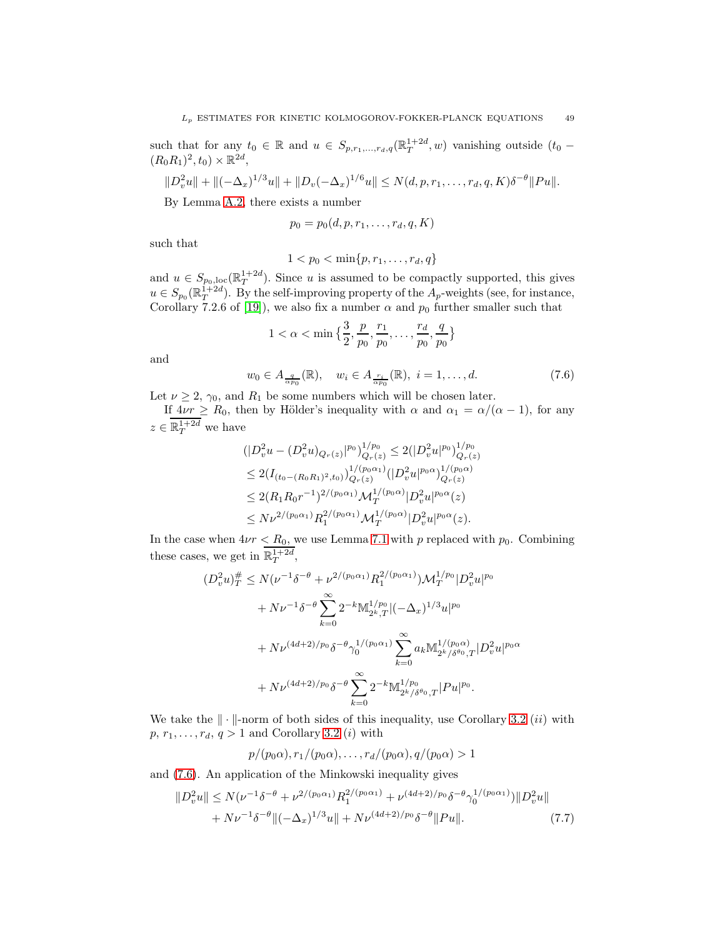such that for any  $t_0 \in \mathbb{R}$  and  $u \in S_{p,r_1,\dots,r_d,q}(\mathbb{R}^{1+2d}_T, w)$  vanishing outside  $(t_0 (R_0R_1)^2, t_0) \times \mathbb{R}^{2d}$ ,

$$
||D_v^2u|| + ||(-\Delta_x)^{1/3}u|| + ||D_v(-\Delta_x)^{1/6}u|| \le N(d,p,r_1,\ldots,r_d,q,K)\delta^{-\theta}||Pu||.
$$

By Lemma [A.2,](#page-52-1) there exists a number

$$
p_0=p_0(d,p,r_1,\ldots,r_d,q,K)
$$

such that

$$
1 < p_0 < \min\{p, r_1, \ldots, r_d, q\}
$$

and  $u \in S_{p_0,\text{loc}}(\mathbb{R}^{1+2d}_T)$ . Since u is assumed to be compactly supported, this gives  $u \in S_{p_0}(\mathbb{R}^{1+2d}_T)$ . By the self-improving property of the  $A_p$ -weights (see, for instance, Corollary 7.2.6 of [\[19\]](#page-54-19)), we also fix a number  $\alpha$  and  $p_0$  further smaller such that

$$
1 < \alpha < \min \big\{ \frac{3}{2}, \frac{p}{p_0}, \frac{r_1}{p_0}, \ldots, \frac{r_d}{p_0}, \frac{q}{p_0} \big\}
$$

and

<span id="page-48-0"></span>
$$
w_0 \in A_{\frac{q}{\alpha p_0}}(\mathbb{R}), \quad w_i \in A_{\frac{r_i}{\alpha p_0}}(\mathbb{R}), \quad i = 1, \dots, d.
$$
 (7.6)

Let  $\nu \geq 2$ ,  $\gamma_0$ , and  $R_1$  be some numbers which will be chosen later.

If  $4\nu r \ge R_0$ , then by Hölder's inequality with  $\alpha$  and  $\alpha_1 = \alpha/(\alpha - 1)$ , for any  $z \in \mathbb{R}^{1+2d}_T$  we have

$$
\begin{split} & (|D_v^2 u - (D_v^2 u)_{Q_r(z)}|^{p_0})_{Q_r(z)}^{1/p_0} \le 2(|D_v^2 u|^{p_0})_{Q_r(z)}^{1/p_0} \\ & \le 2(I_{(t_0 - (R_0 R_1)^2, t_0)})_{Q_r(z)}^{1/(p_0 \alpha_1)} (|D_v^2 u|^{p_0 \alpha})_{Q_r(z)}^{1/(p_0 \alpha)} \\ & \le 2(R_1 R_0 r^{-1})^{2/(p_0 \alpha_1)} \mathcal{M}_T^{1/(p_0 \alpha)} |D_v^2 u|^{p_0 \alpha}(z) \\ & \le N \nu^{2/(p_0 \alpha_1)} R_1^{2/(p_0 \alpha_1)} \mathcal{M}_T^{1/(p_0 \alpha)} |D_v^2 u|^{p_0 \alpha}(z). \end{split}
$$

In the case when  $4\nu r \le R_0$ , we use Lemma [7.1](#page-45-0) with p replaced with  $p_0$ . Combining these cases, we get in  $\mathbb{R}^{1+2d}_{T}$ ,

$$
(D_v^2 u)_T^{\#} \le N(\nu^{-1} \delta^{-\theta} + \nu^{2/(p_0 \alpha_1)} R_1^{2/(p_0 \alpha_1)}) \mathcal{M}_T^{1/p_0} |D_v^2 u|^{p_0}
$$
  
+  $N\nu^{-1} \delta^{-\theta} \sum_{k=0}^{\infty} 2^{-k} M_{2^k, T}^{1/p_0} |(-\Delta_x)^{1/3} u|^{p_0}$   
+  $N\nu^{(4d+2)/p_0} \delta^{-\theta} \gamma_0^{1/(p_0 \alpha_1)} \sum_{k=0}^{\infty} a_k M_{2^k/ \delta^{\theta_0}, T}^{1/(p_0 \alpha)} |D_v^2 u|^{p_0 \alpha}$   
+  $N\nu^{(4d+2)/p_0} \delta^{-\theta} \sum_{k=0}^{\infty} 2^{-k} M_{2^k/ \delta^{\theta_0}, T}^{1/p_0} |Pu|^{p_0}.$ 

We take the  $\|\cdot\|$ -norm of both sides of this inequality, use Corollary [3.2](#page-9-0) *(ii)* with  $p, r_1, \ldots, r_d, q > 1$  and Corollary [3.2](#page-9-0) (*i*) with

<span id="page-48-1"></span>
$$
p/(p_0\alpha), r_1/(p_0\alpha), \ldots, r_d/(p_0\alpha), q/(p_0\alpha) > 1
$$

and [\(7.6\)](#page-48-0). An application of the Minkowski inequality gives

$$
||D_v^2 u|| \le N(\nu^{-1} \delta^{-\theta} + \nu^{2/(p_0 \alpha_1)} R_1^{2/(p_0 \alpha_1)} + \nu^{(4d+2)/p_0} \delta^{-\theta} \gamma_0^{1/(p_0 \alpha_1)}) ||D_v^2 u||
$$
  
+  $N \nu^{-1} \delta^{-\theta} ||(-\Delta_x)^{1/3} u|| + N \nu^{(4d+2)/p_0} \delta^{-\theta} ||Pu||. \tag{7.7}$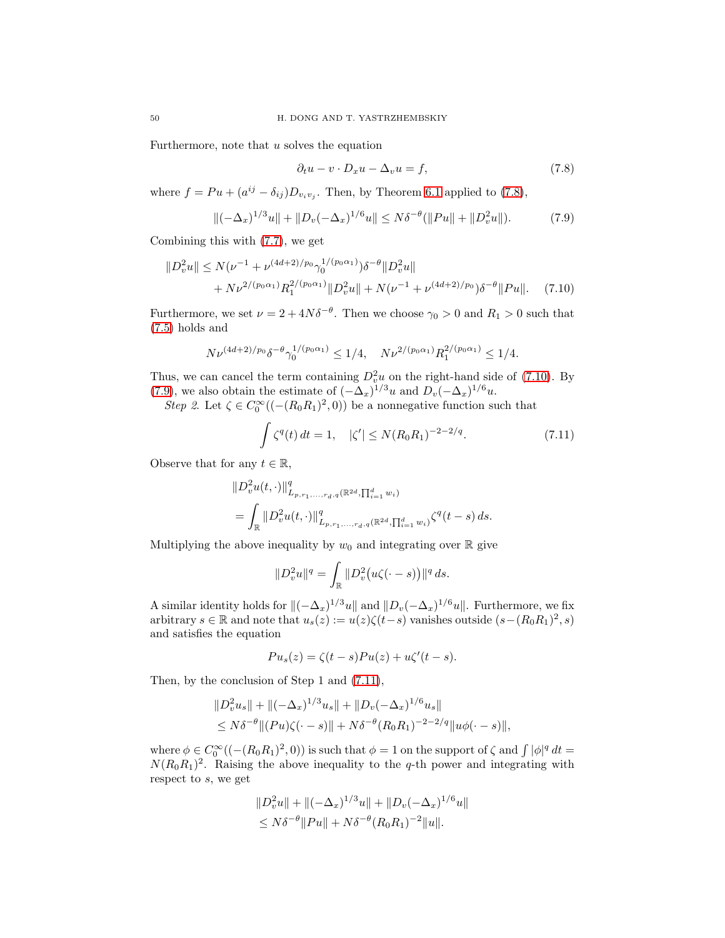Furthermore, note that  $u$  solves the equation

<span id="page-49-1"></span><span id="page-49-0"></span>
$$
\partial_t u - v \cdot D_x u - \Delta_v u = f,\tag{7.8}
$$

where  $f = Pu + (a^{ij} - \delta_{ij})D_{v_iv_j}$ . Then, by Theorem [6.1](#page-40-1) applied to [\(7.8\)](#page-49-0),

<span id="page-49-2"></span>
$$
\|(-\Delta_x)^{1/3}u\| + \|D_v(-\Delta_x)^{1/6}u\| \le N\delta^{-\theta}(\|Pu\| + \|D_v^2u\|). \tag{7.9}
$$

Combining this with [\(7.7\)](#page-48-1), we get

$$
||D_v^2 u|| \le N(\nu^{-1} + \nu^{(4d+2)/p_0} \gamma_0^{1/(p_0 \alpha_1)}) \delta^{-\theta} ||D_v^2 u||
$$
  
+  $N \nu^{2/(p_0 \alpha_1)} R_1^{2/(p_0 \alpha_1)} ||D_v^2 u|| + N(\nu^{-1} + \nu^{(4d+2)/p_0}) \delta^{-\theta} ||Pu||.$  (7.10)

Furthermore, we set  $\nu = 2 + 4N\delta^{-\theta}$ . Then we choose  $\gamma_0 > 0$  and  $R_1 > 0$  such that [\(7.5\)](#page-47-2) holds and

$$
N\nu^{(4d+2)/p_0}\delta^{-\theta}\gamma_0^{1/(p_0\alpha_1)} \leq 1/4
$$
,  $N\nu^{2/(p_0\alpha_1)}R_1^{2/(p_0\alpha_1)} \leq 1/4$ .

Thus, we can cancel the term containing  $D_v^2 u$  on the right-hand side of [\(7.10\)](#page-49-1). By [\(7.9\)](#page-49-2), we also obtain the estimate of  $(-\Delta_x)^{1/3}u$  and  $D_v(-\Delta_x)^{1/6}u$ .

*Step 2*. Let  $\zeta \in C_0^{\infty}((- (R_0 R_1)^2, 0))$  be a nonnegative function such that

<span id="page-49-3"></span>
$$
\int \zeta^{q}(t) dt = 1, \quad |\zeta'| \le N(R_0 R_1)^{-2-2/q}.
$$
 (7.11)

Observe that for any  $t \in \mathbb{R}$ ,

$$
\|D_v^2 u(t, \cdot)\|_{L_{p,r_1,\ldots,r_d,q}(\mathbb{R}^{2d}, \prod_{i=1}^d w_i)}^q
$$
  
= 
$$
\int_{\mathbb{R}} \|D_v^2 u(t, \cdot)\|_{L_{p,r_1,\ldots,r_d,q}(\mathbb{R}^{2d}, \prod_{i=1}^d w_i)}^q \zeta^q(t-s) ds.
$$

Multiplying the above inequality by  $w_0$  and integrating over  $\mathbb R$  give

$$
||D_v^2 u||^q = \int_{\mathbb{R}} ||D_v^2 (u\zeta(\cdot - s))||^q ds.
$$

A similar identity holds for  $\|(-\Delta_x)^{1/3}u\|$  and  $\|D_v(-\Delta_x)^{1/6}u\|$ . Furthermore, we fix arbitrary  $s \in \mathbb{R}$  and note that  $u_s(z) := u(z)\zeta(t-s)$  vanishes outside  $(s-(R_0R_1)^2, s)$ and satisfies the equation

$$
Pu_s(z) = \zeta(t-s)Pu(z) + u\zeta'(t-s).
$$

Then, by the conclusion of Step 1 and [\(7.11\)](#page-49-3),

$$
\|D_v^2 u_s\| + \|(-\Delta_x)^{1/3} u_s\| + \|D_v(-\Delta_x)^{1/6} u_s\|
$$
  
\$\le N\delta^{-\theta} \|(Pu)\zeta(\cdot - s)\| + N\delta^{-\theta} (R\_0 R\_1)^{-2-2/q} \|u\phi(\cdot - s)\|\$,

where  $\phi \in C_0^{\infty}((- (R_0 R_1)^2, 0))$  is such that  $\phi = 1$  on the support of  $\zeta$  and  $\int |\phi|^q dt =$  $N(R_0R_1)^2$ . Raising the above inequality to the q-th power and integrating with respect to s, we get

$$
||D_v^2 u|| + ||(-\Delta_x)^{1/3} u|| + ||D_v(-\Delta_x)^{1/6} u||
$$
  
\n
$$
\leq N\delta^{-\theta} ||Pu|| + N\delta^{-\theta} (R_0 R_1)^{-2} ||u||.
$$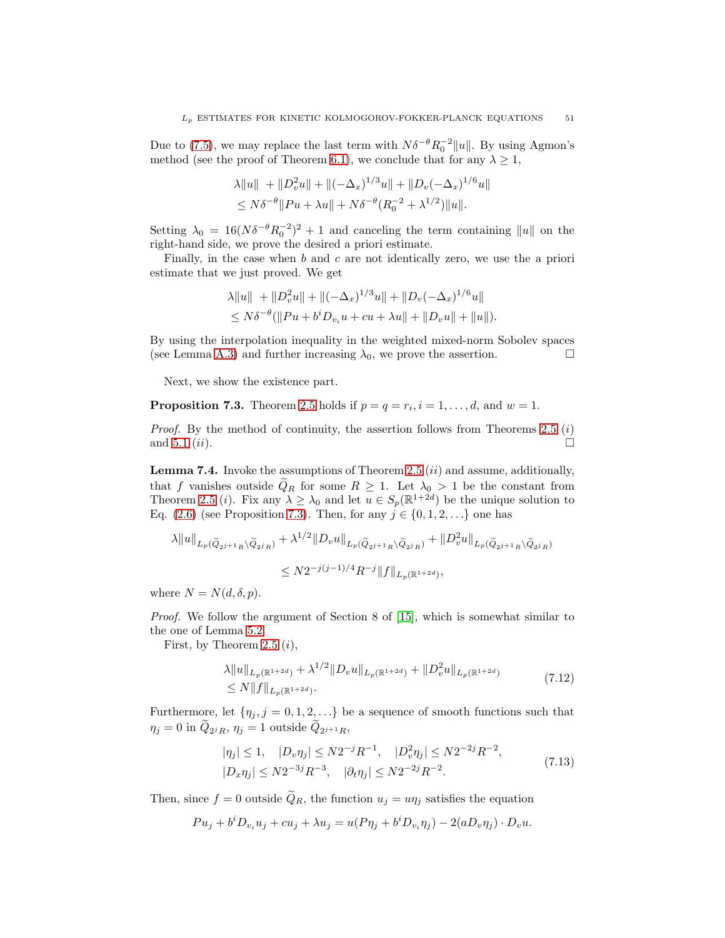Due to [\(7.5\)](#page-47-2), we may replace the last term with  $N\delta^{-\theta}R_0^{-2}||u||$ . By using Agmon's method (see the proof of Theorem [6.1\)](#page-40-1), we conclude that for any  $\lambda \geq 1$ ,

$$
\lambda \|u\| + \|D_v^2 u\| + \|(-\Delta_x)^{1/3} u\| + \|D_v(-\Delta_x)^{1/6} u\|
$$
  
\n
$$
\leq N\delta^{-\theta} \|Pu + \lambda u\| + N\delta^{-\theta} (R_0^{-2} + \lambda^{1/2}) \|u\|.
$$

Setting  $\lambda_0 = 16(N\delta^{-\theta}R_0^{-2})^2 + 1$  and canceling the term containing ||u|| on the right-hand side, we prove the desired a priori estimate.

Finally, in the case when b and c are not identically zero, we use the a priori estimate that we just proved. We get

$$
\lambda \|u\| + \|D_v^2 u\| + \|(-\Delta_x)^{1/3} u\| + \|D_v(-\Delta_x)^{1/6} u\|
$$
  
\n
$$
\leq N\delta^{-\theta} (\|Pu + b^i D_{v_i} u + cu + \lambda u\| + \|D_v u\| + \|u\|).
$$

By using the interpolation inequality in the weighted mixed-norm Sobolev spaces (see Lemma [A.3\)](#page-53-8) and further increasing  $\lambda_0$ , we prove the assertion.

Next, we show the existence part.

<span id="page-50-0"></span>**Proposition 7.3.** Theorem [2.5](#page-6-1) holds if  $p = q = r_i$ ,  $i = 1, \ldots, d$ , and  $w = 1$ .

*Proof.* By the method of continuity, the assertion follows from Theorems [2.5](#page-6-1) (i) and [5.1](#page-21-1)  $(ii)$ .

<span id="page-50-3"></span>**Lemma 7.4.** Invoke the assumptions of Theorem [2.5](#page-6-1)  $(ii)$  and assume, additionally, that f vanishes outside  $Q_R$  for some  $R \geq 1$ . Let  $\lambda_0 > 1$  be the constant from Theorem [2.5](#page-6-1) (*i*). Fix any  $\lambda \geq \lambda_0$  and let  $u \in S_p(\mathbb{R}^{1+2d})$  be the unique solution to Eq. [\(2.6\)](#page-5-2) (see Proposition [7.3\)](#page-50-0). Then, for any  $j \in \{0, 1, 2, \ldots\}$  one has

$$
\lambda \|u\|_{L_p(\widetilde{Q}_{2^{j+1}R}\setminus \widetilde{Q}_{2^jR})} + \lambda^{1/2} \|D_v u\|_{L_p(\widetilde{Q}_{2^{j+1}R}\setminus \widetilde{Q}_{2^jR})} + \|D_v^2 u\|_{L_p(\widetilde{Q}_{2^{j+1}R}\setminus \widetilde{Q}_{2^jR})}
$$
  

$$
\leq N2^{-j(j-1)/4} R^{-j} \|f\|_{L_p(\mathbb{R}^{1+2d})},
$$

where  $N = N(d, \delta, p)$ .

*Proof.* We follow the argument of Section 8 of [\[15\]](#page-54-3), which is somewhat similar to the one of Lemma [5.2.](#page-21-2)

First, by Theorem [2.5](#page-6-1)  $(i)$ ,

<span id="page-50-2"></span>
$$
\lambda \|u\|_{L_p(\mathbb{R}^{1+2d})} + \lambda^{1/2} \|D_v u\|_{L_p(\mathbb{R}^{1+2d})} + \|D_v^2 u\|_{L_p(\mathbb{R}^{1+2d})}
$$
  
\n
$$
\leq N \|f\|_{L_p(\mathbb{R}^{1+2d})}.
$$
\n(7.12)

Furthermore, let  $\{\eta_j, j = 0, 1, 2, \ldots\}$  be a sequence of smooth functions such that  $\eta_j = 0$  in  $Q_{2^j R}, \eta_j = 1$  outside  $Q_{2^{j+1} R},$ 

<span id="page-50-1"></span>
$$
|\eta_j| \le 1, \quad |D_v \eta_j| \le N2^{-j} R^{-1}, \quad |D_v^2 \eta_j| \le N2^{-2j} R^{-2},
$$
  

$$
|D_x \eta_j| \le N2^{-3j} R^{-3}, \quad |\partial_t \eta_j| \le N2^{-2j} R^{-2}.
$$
 (7.13)

Then, since  $f = 0$  outside  $\tilde{Q}_R$ , the function  $u_j = u\eta_j$  satisfies the equation

$$
Pu_j + b^i D_{v_i} u_j + cu_j + \lambda u_j = u(P\eta_j + b^i D_{v_i}\eta_j) - 2(aD_v\eta_j) \cdot D_v u.
$$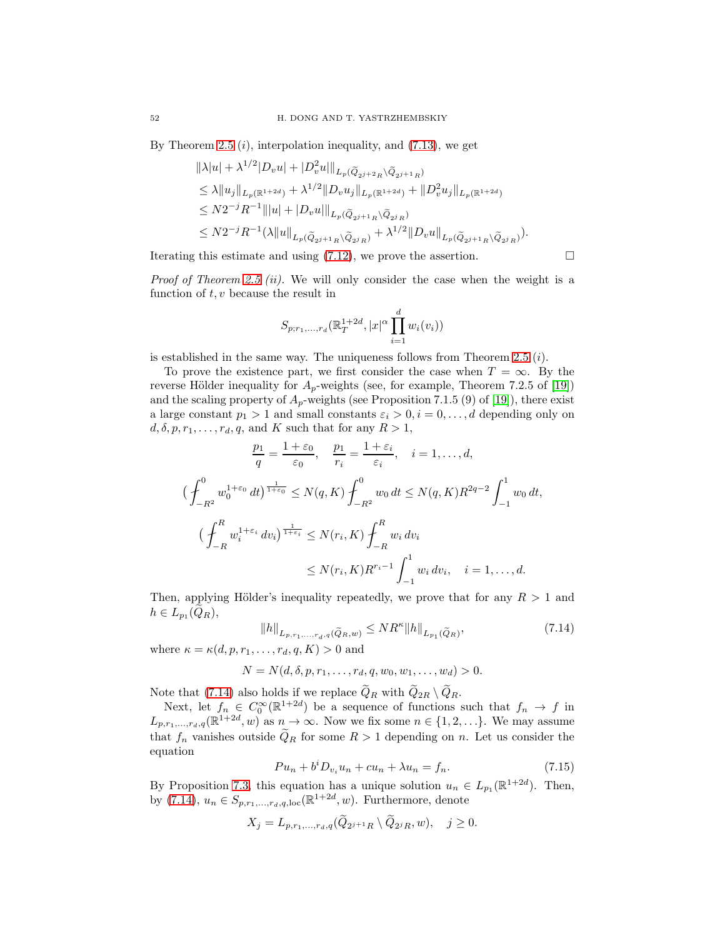By Theorem [2.5](#page-6-1)  $(i)$ , interpolation inequality, and  $(7.13)$ , we get

 $1/2$ 

$$
\|\lambda|u| + \lambda^{1/2} |D_v u| + |D_v^2 u|\|_{L_p(\tilde{Q}_{2^{j+2}R}\setminus \tilde{Q}_{2^{j+1}R})}
$$
  
\n
$$
\leq \lambda \|u_j\|_{L_p(\mathbb{R}^{1+2d})} + \lambda^{1/2} \|D_v u_j\|_{L_p(\mathbb{R}^{1+2d})} + \|D_v^2 u_j\|_{L_p(\mathbb{R}^{1+2d})}
$$
  
\n
$$
\leq N 2^{-j} R^{-1} \| |u| + |D_v u| \|_{L_p(\tilde{Q}_{2^{j+1}R}\setminus \tilde{Q}_{2^jR})}
$$
  
\n
$$
\leq N 2^{-j} R^{-1} (\lambda \|u\|_{L_p(\tilde{Q}_{2^{j+1}R}\setminus \tilde{Q}_{2^jR})} + \lambda^{1/2} \|D_v u\|_{L_p(\tilde{Q}_{2^{j+1}R}\setminus \tilde{Q}_{2^jR})}).
$$

Iterating this estimate and using  $(7.12)$ , we prove the assertion.

*Proof of Theorem [2.5](#page-6-1) (ii).* We will only consider the case when the weight is a function of  $t, v$  because the result in

$$
S_{p;r_1,...,r_d}(\mathbb{R}_T^{1+2d}, |x|^{\alpha} \prod_{i=1}^d w_i(v_i))
$$

is established in the same way. The uniqueness follows from Theorem [2.5](#page-6-1)  $(i)$ .

To prove the existence part, we first consider the case when  $T = \infty$ . By the reverse Hölder inequality for  $A_p$ -weights (see, for example, Theorem 7.2.5 of [\[19\]](#page-54-19)) and the scaling property of  $A_p$ -weights (see Proposition 7.1.5 (9) of [\[19\]](#page-54-19)), there exist a large constant  $p_1 > 1$  and small constants  $\varepsilon_i > 0, i = 0, \ldots, d$  depending only on  $d, \delta, p, r_1, \ldots, r_d, q$ , and K such that for any  $R > 1$ ,

$$
\frac{p_1}{q} = \frac{1+\varepsilon_0}{\varepsilon_0}, \quad \frac{p_1}{r_i} = \frac{1+\varepsilon_i}{\varepsilon_i}, \quad i = 1, ..., d,
$$
  

$$
\left(\int_{-R^2}^0 w_0^{1+\varepsilon_0} dt\right)^{\frac{1}{1+\varepsilon_0}} \le N(q, K) \int_{-R^2}^0 w_0 dt \le N(q, K) R^{2q-2} \int_{-1}^1 w_0 dt,
$$
  

$$
\left(\int_{-R}^R w_i^{1+\varepsilon_i} dv_i\right)^{\frac{1}{1+\varepsilon_i}} \le N(r_i, K) \int_{-R}^R w_i dv_i
$$
  

$$
\le N(r_i, K) R^{r_i - 1} \int_{-1}^1 w_i dv_i, \quad i = 1, ..., d.
$$

Then, applying Hölder's inequality repeatedly, we prove that for any  $R > 1$  and  $h\in L_{p_1}(Q_R),$ 

<span id="page-51-0"></span>
$$
||h||_{L_{p,r_1,...,r_d,q}(\tilde{Q}_R,w)} \le NR^{\kappa}||h||_{L_{p_1}(\tilde{Q}_R)},
$$
\n(7.14)

where  $\kappa = \kappa(d, p, r_1, \ldots, r_d, q, K) > 0$  and

$$
N = N(d, \delta, p, r_1, \ldots, r_d, q, w_0, w_1, \ldots, w_d) > 0.
$$

Note that [\(7.14\)](#page-51-0) also holds if we replace  $Q_R$  with  $Q_{2R} \setminus Q_R$ .

Next, let  $f_n \in C_0^{\infty}(\mathbb{R}^{1+2d})$  be a sequence of functions such that  $f_n \to f$  in  $L_{p,r_1,\ldots,r_d,q}(\mathbb{R}^{1+2d},w)$  as  $n\to\infty$ . Now we fix some  $n\in\{1,2,\ldots\}$ . We may assume that  $f_n$  vanishes outside  $\widetilde{Q}_R$  for some  $R > 1$  depending on n. Let us consider the equation

<span id="page-51-1"></span>
$$
Pu_n + b^i D_{v_i} u_n + cu_n + \lambda u_n = f_n. \tag{7.15}
$$

By Proposition [7.3,](#page-50-0) this equation has a unique solution  $u_n \in L_{p_1}(\mathbb{R}^{1+2d})$ . Then, by [\(7.14\)](#page-51-0),  $u_n \in S_{p,r_1,\ldots,r_d,q,\text{loc}}(\mathbb{R}^{1+2d},w)$ . Furthermore, denote

$$
X_j = L_{p,r_1,\dots,r_d,q}(Q_{2^{j+1}R} \setminus Q_{2^jR}, w), \quad j \ge 0.
$$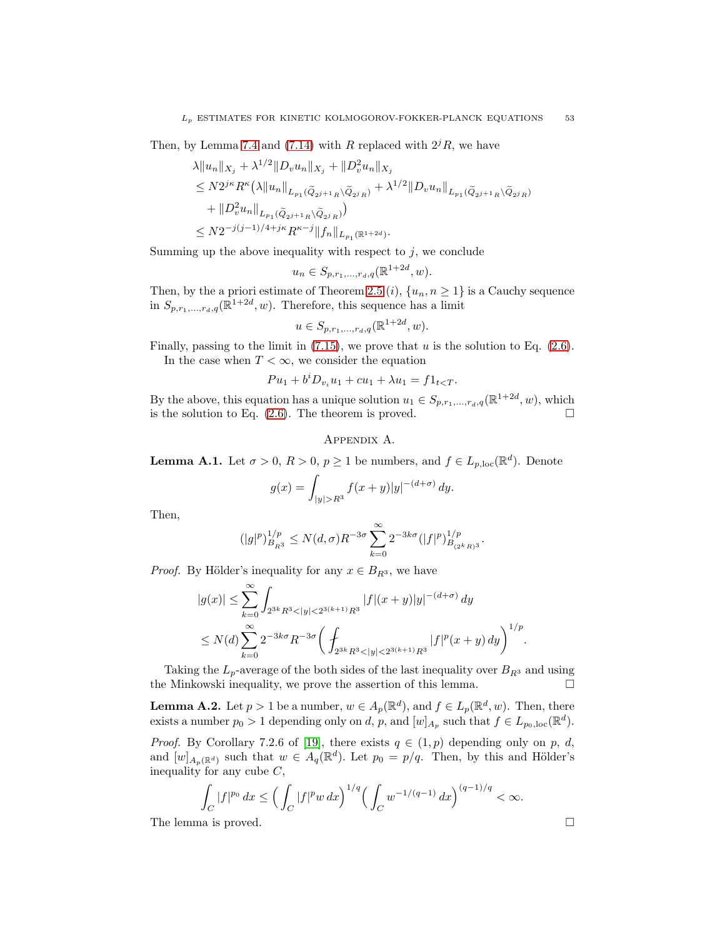Then, by Lemma [7.4](#page-50-3) and [\(7.14\)](#page-51-0) with R replaced with  $2^{j}R$ , we have

$$
\lambda \|u_n\|_{X_j} + \lambda^{1/2} \|D_v u_n\|_{X_j} + \|D_v^2 u_n\|_{X_j}
$$
  
\n
$$
\leq N 2^{j\kappa} R^{\kappa} (\lambda \|u_n\|_{L_{p_1}(\widetilde{Q}_{2^{j+1}R}\backslash \widetilde{Q}_{2^jR})} + \lambda^{1/2} \|D_v u_n\|_{L_{p_1}(\widetilde{Q}_{2^{j+1}R}\backslash \widetilde{Q}_{2^jR})}
$$
  
\n
$$
+ \|D_v^2 u_n\|_{L_{p_1}(\widetilde{Q}_{2^{j+1}R}\backslash \widetilde{Q}_{2^jR})})
$$
  
\n
$$
\leq N 2^{-j(j-1)/4+j\kappa} R^{\kappa-j} \|f_n\|_{L_{p_1}(\mathbb{R}^{1+2d})}.
$$

Summing up the above inequality with respect to  $j$ , we conclude

$$
u_n \in S_{p,r_1,\ldots,r_d,q}(\mathbb{R}^{1+2d},w).
$$

Then, by the a priori estimate of Theorem [2.5](#page-6-1) (i),  $\{u_n, n \geq 1\}$  is a Cauchy sequence in  $S_{p,r_1,...,r_d,q}(\mathbb{R}^{1+2d}, w)$ . Therefore, this sequence has a limit

$$
u \in S_{p,r_1,...,r_d,q}(\mathbb{R}^{1+2d}, w).
$$

Finally, passing to the limit in  $(7.15)$ , we prove that u is the solution to Eq.  $(2.6)$ . In the case when  $T < \infty$ , we consider the equation

$$
Pu_1 + b^i D_{v_i} u_1 + cu_1 + \lambda u_1 = f1_{t < T}.
$$

By the above, this equation has a unique solution  $u_1 \in S_{p,r_1,\dots,r_d,q}(\mathbb{R}^{1+2d}, w)$ , which is the solution to Eq.  $(2.6)$ . The theorem is proved.

### Appendix A.

<span id="page-52-0"></span>**Lemma A.1.** Let  $\sigma > 0$ ,  $R > 0$ ,  $p \ge 1$  be numbers, and  $f \in L_{p,loc}(\mathbb{R}^d)$ . Denote

$$
g(x) = \int_{|y| > R^3} f(x+y)|y|^{-(d+\sigma)} dy.
$$

Then,

$$
(|g|^p)^{1/p}_{B_{R^3}}\leq N(d,\sigma)R^{-3\sigma}\sum_{k=0}^\infty 2^{-3k\sigma}(|f|^p)^{1/p}_{B_{(2^kR)^3}}.
$$

*Proof.* By Hölder's inequality for any  $x \in B_{R^3}$ , we have

$$
\begin{aligned} |g(x)|&\leq \sum_{k=0}^{\infty}\int_{2^{3k}R^3<|y|<2^{3(k+1)}R^3}|f|(x+y)|y|^{-(d+\sigma)}\,dy\\ &\leq N(d)\sum_{k=0}^{\infty}2^{-3k\sigma}R^{-3\sigma}\bigg(\int_{2^{3k}R^3<|y|<2^{3(k+1)}R^3}|f|^p(x+y)\,dy\bigg)^{1/p}. \end{aligned}
$$

Taking the  $L_p$ -average of the both sides of the last inequality over  $B_{R^3}$  and using the Minkowski inequality, we prove the assertion of this lemma.

<span id="page-52-1"></span>**Lemma A.2.** Let  $p > 1$  be a number,  $w \in A_p(\mathbb{R}^d)$ , and  $f \in L_p(\mathbb{R}^d, w)$ . Then, there exists a number  $p_0 > 1$  depending only on d, p, and  $[w]_{A_p}$  such that  $f \in L_{p_0,loc}(\mathbb{R}^d)$ .

*Proof.* By Corollary 7.2.6 of [\[19\]](#page-54-19), there exists  $q \in (1, p)$  depending only on p, d, and  $[w]_{A_p(\mathbb{R}^d)}$  such that  $w \in A_q(\mathbb{R}^d)$ . Let  $p_0 = p/q$ . Then, by this and Hölder's inequality for any cube  $C$ ,

$$
\int_C |f|^{p_0} dx \le \Big(\int_C |f|^p w dx\Big)^{1/q} \Big(\int_C w^{-1/(q-1)} dx\Big)^{(q-1)/q} < \infty.
$$
  
The lemma is proved.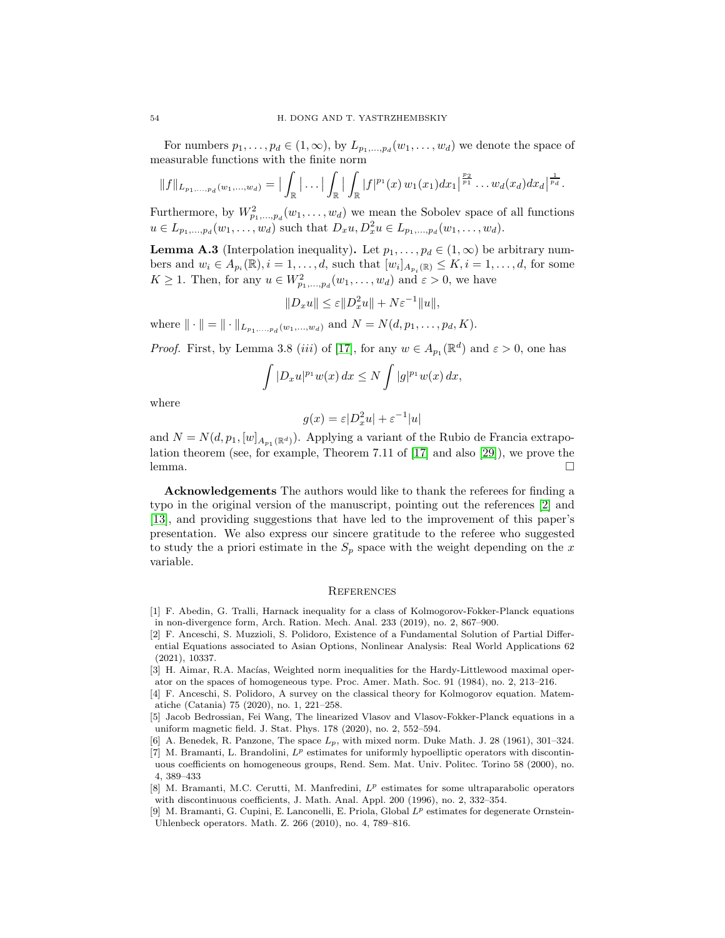For numbers  $p_1, \ldots, p_d \in (1, \infty)$ , by  $L_{p_1, \ldots, p_d}(w_1, \ldots, w_d)$  we denote the space of measurable functions with the finite norm

$$
||f||_{L_{p_1,...,p_d}(w_1,...,w_d)} = |\int_{\mathbb{R}} |\dots| \int_{\mathbb{R}} |\int_{\mathbb{R}} |f|^{p_1}(x) w_1(x_1) dx_1|^{\frac{p_2}{p_1}} ... w_d(x_d) dx_d|^{\frac{1}{p_d}}.
$$

Furthermore, by  $W_{p_1,...,p_d}^2(w_1,...,w_d)$  we mean the Sobolev space of all functions  $u \in L_{p_1,...,p_d}(w_1,...,w_d)$  such that  $D_x u, D_x^2 u \in L_{p_1,...,p_d}(w_1,...,w_d)$ .

<span id="page-53-8"></span>**Lemma A.3** (Interpolation inequality). Let  $p_1, \ldots, p_d \in (1, \infty)$  be arbitrary numbers and  $w_i \in A_{p_i}(\mathbb{R}), i = 1, \ldots, d$ , such that  $[w_i]_{A_{p_i}(\mathbb{R})} \leq K, i = 1, \ldots, d$ , for some  $K \geq 1$ . Then, for any  $u \in W_{p_1,...,p_d}^2(w_1,...,w_d)$  and  $\varepsilon > 0$ , we have

 $||D_xu|| \leq \varepsilon ||D_x^2u|| + N\varepsilon^{-1}||u||,$ 

where  $\| \cdot \| = \| \cdot \|_{L_{p_1,...,p_d}(w_1,...,w_d)}$  and  $N = N(d, p_1,...,p_d, K)$ .

*Proof.* First, by Lemma 3.8 (*iii*) of [\[17\]](#page-54-24), for any  $w \in A_{p_1}(\mathbb{R}^d)$  and  $\varepsilon > 0$ , one has

$$
\int |D_x u|^{p_1} w(x) dx \le N \int |g|^{p_1} w(x) dx,
$$

where

$$
g(x) = \varepsilon |D_x^2 u| + \varepsilon^{-1} |u|
$$

and  $N = N(d, p_1, [w]_{A_{p_1}(\mathbb{R}^d)})$ . Applying a variant of the Rubio de Francia extrapolation theorem (see, for example, Theorem 7.11 of [\[17\]](#page-54-24) and also [\[29\]](#page-54-25)), we prove the lemma. □

Acknowledgements The authors would like to thank the referees for finding a typo in the original version of the manuscript, pointing out the references [\[2\]](#page-53-4) and [\[13\]](#page-54-14), and providing suggestions that have led to the improvement of this paper's presentation. We also express our sincere gratitude to the referee who suggested to study the a priori estimate in the  $S_p$  space with the weight depending on the x variable.

### **REFERENCES**

- <span id="page-53-1"></span>[1] F. Abedin, G. Tralli, Harnack inequality for a class of Kolmogorov-Fokker-Planck equations in non-divergence form, Arch. Ration. Mech. Anal. 233 (2019), no. 2, 867–900.
- <span id="page-53-4"></span>[2] F. Anceschi, S. Muzzioli, S. Polidoro, Existence of a Fundamental Solution of Partial Differential Equations associated to Asian Options, Nonlinear Analysis: Real World Applications 62 (2021), 10337.

<span id="page-53-7"></span>[3] H. Aimar, R.A. Macías, Weighted norm inequalities for the Hardy-Littlewood maximal operator on the spaces of homogeneous type. Proc. Amer. Math. Soc. 91 (1984), no. 2, 213–216.

<span id="page-53-2"></span>[4] F. Anceschi, S. Polidoro, A survey on the classical theory for Kolmogorov equation. Matematiche (Catania) 75 (2020), no. 1, 221–258.

[5] Jacob Bedrossian, Fei Wang, The linearized Vlasov and Vlasov-Fokker-Planck equations in a uniform magnetic field. J. Stat. Phys. 178 (2020), no. 2, 552–594.

<span id="page-53-6"></span><span id="page-53-5"></span><sup>[6]</sup> A. Benedek, R. Panzone, The space  $L_p$ , with mixed norm. Duke Math. J. 28 (1961), 301–324.

<sup>[7]</sup> M. Bramanti, L. Brandolini,  $L^p$  estimates for uniformly hypoelliptic operators with discontinuous coefficients on homogeneous groups, Rend. Sem. Mat. Univ. Politec. Torino 58 (2000), no. 4, 389–433

<span id="page-53-0"></span><sup>[8]</sup> M. Bramanti, M.C. Cerutti, M. Manfredini, L p estimates for some ultraparabolic operators with discontinuous coefficients, J. Math. Anal. Appl. 200 (1996), no. 2, 332–354.

<span id="page-53-3"></span><sup>[9]</sup> M. Bramanti, G. Cupini, E. Lanconelli, E. Priola, Global  $L^p$  estimates for degenerate Ornstein-Uhlenbeck operators. Math. Z. 266 (2010), no. 4, 789–816.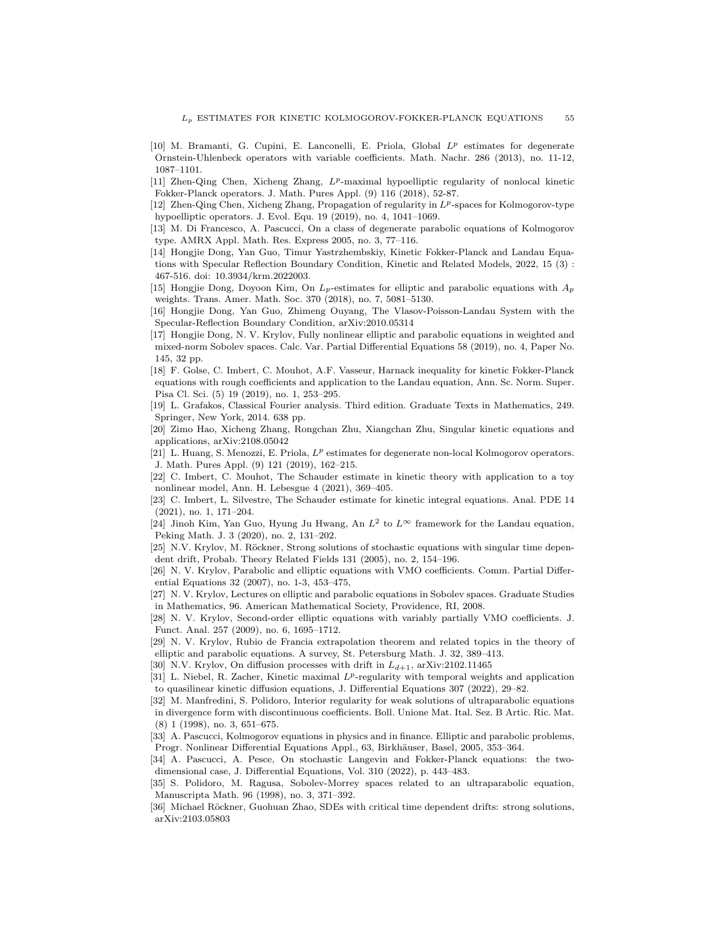- <span id="page-54-13"></span>[10] M. Bramanti, G. Cupini, E. Lanconelli, E. Priola, Global  $L^p$  estimates for degenerate Ornstein-Uhlenbeck operators with variable coefficients. Math. Nachr. 286 (2013), no. 11-12, 1087–1101.
- <span id="page-54-10"></span>[11] Zhen-Qing Chen, Xicheng Zhang,  $L^p$ -maximal hypoelliptic regularity of nonlocal kinetic Fokker-Planck operators. J. Math. Pures Appl. (9) 116 (2018), 52-87.
- <span id="page-54-12"></span>[12] Zhen-Qing Chen, Xicheng Zhang, Propagation of regularity in  $L^p$ -spaces for Kolmogorov-type hypoelliptic operators. J. Evol. Equ. 19 (2019), no. 4, 1041–1069.
- <span id="page-54-14"></span>[13] M. Di Francesco, A. Pascucci, On a class of degenerate parabolic equations of Kolmogorov type. AMRX Appl. Math. Res. Express 2005, no. 3, 77–116.
- <span id="page-54-4"></span>[14] Hongjie Dong, Yan Guo, Timur Yastrzhembskiy, Kinetic Fokker-Planck and Landau Equations with Specular Reflection Boundary Condition, Kinetic and Related Models, 2022, 15 (3) : 467-516. doi: 10.3934/krm.2022003.
- <span id="page-54-3"></span>[15] Hongjie Dong, Doyoon Kim, On  $L_p$ -estimates for elliptic and parabolic equations with  $A_p$ weights. Trans. Amer. Math. Soc. 370 (2018), no. 7, 5081–5130.
- <span id="page-54-15"></span>[16] Hongjie Dong, Yan Guo, Zhimeng Ouyang, The Vlasov-Poisson-Landau System with the Specular-Reflection Boundary Condition, arXiv:2010.05314
- <span id="page-54-24"></span>[17] Hongjie Dong, N. V. Krylov, Fully nonlinear elliptic and parabolic equations in weighted and mixed-norm Sobolev spaces. Calc. Var. Partial Differential Equations 58 (2019), no. 4, Paper No. 145, 32 pp.
- <span id="page-54-5"></span>[18] F. Golse, C. Imbert, C. Mouhot, A.F. Vasseur, Harnack inequality for kinetic Fokker-Planck equations with rough coefficients and application to the Landau equation, Ann. Sc. Norm. Super. Pisa Cl. Sci. (5) 19 (2019), no. 1, 253–295.
- <span id="page-54-19"></span>[19] L. Grafakos, Classical Fourier analysis. Third edition. Graduate Texts in Mathematics, 249. Springer, New York, 2014. 638 pp.
- <span id="page-54-18"></span>[20] Zimo Hao, Xicheng Zhang, Rongchan Zhu, Xiangchan Zhu, Singular kinetic equations and applications, arXiv:2108.05042
- <span id="page-54-6"></span>[21] L. Huang, S. Menozzi, E. Priola,  $L^p$  estimates for degenerate non-local Kolmogorov operators. J. Math. Pures Appl. (9) 121 (2019), 162–215.
- [22] C. Imbert, C. Mouhot, The Schauder estimate in kinetic theory with application to a toy nonlinear model, Ann. H. Lebesgue 4 (2021), 369–405.
- <span id="page-54-7"></span>[23] C. Imbert, L. Silvestre, The Schauder estimate for kinetic integral equations. Anal. PDE 14 (2021), no. 1, 171–204.
- <span id="page-54-1"></span>[24] Jinoh Kim, Yan Guo, Hyung Ju Hwang, An  $L^2$  to  $L^\infty$  framework for the Landau equation, Peking Math. J. 3 (2020), no. 2, 131–202.
- <span id="page-54-21"></span>[25] N.V. Krylov, M. Röckner, Strong solutions of stochastic equations with singular time dependent drift, Probab. Theory Related Fields 131 (2005), no. 2, 154–196.
- <span id="page-54-20"></span>[26] N. V. Krylov, Parabolic and elliptic equations with VMO coefficients. Comm. Partial Differential Equations 32 (2007), no. 1-3, 453–475,
- <span id="page-54-2"></span>[27] N. V. Krylov, Lectures on elliptic and parabolic equations in Sobolev spaces. Graduate Studies in Mathematics, 96. American Mathematical Society, Providence, RI, 2008.
- <span id="page-54-16"></span>[28] N. V. Krylov, Second-order elliptic equations with variably partially VMO coefficients. J. Funct. Anal. 257 (2009), no. 6, 1695–1712.
- <span id="page-54-25"></span>[29] N. V. Krylov, Rubio de Francia extrapolation theorem and related topics in the theory of elliptic and parabolic equations. A survey, St. Petersburg Math. J. 32, 389–413.
- <span id="page-54-22"></span><span id="page-54-8"></span>[30] N.V. Krylov, On diffusion processes with drift in  $L_{d+1}$ , arXiv:2102.11465
- [31] L. Niebel, R. Zacher, Kinetic maximal  $L^p$ -regularity with temporal weights and application to quasilinear kinetic diffusion equations, J. Differential Equations 307 (2022), 29–82.
- <span id="page-54-11"></span>[32] M. Manfredini, S. Polidoro, Interior regularity for weak solutions of ultraparabolic equations in divergence form with discontinuous coefficients. Boll. Unione Mat. Ital. Sez. B Artic. Ric. Mat. (8) 1 (1998), no. 3, 651–675.
- <span id="page-54-0"></span>[33] A. Pascucci, Kolmogorov equations in physics and in finance. Elliptic and parabolic problems, Progr. Nonlinear Differential Equations Appl., 63, Birkhäuser, Basel, 2005, 353–364.
- <span id="page-54-17"></span>[34] A. Pascucci, A. Pesce, On stochastic Langevin and Fokker-Planck equations: the twodimensional case, J. Differential Equations, Vol. 310 (2022), p. 443–483.
- <span id="page-54-9"></span>[35] S. Polidoro, M. Ragusa, Sobolev-Morrey spaces related to an ultraparabolic equation, Manuscripta Math. 96 (1998), no. 3, 371–392.
- <span id="page-54-23"></span>[36] Michael Röckner, Guohuan Zhao, SDEs with critical time dependent drifts: strong solutions, arXiv:2103.05803